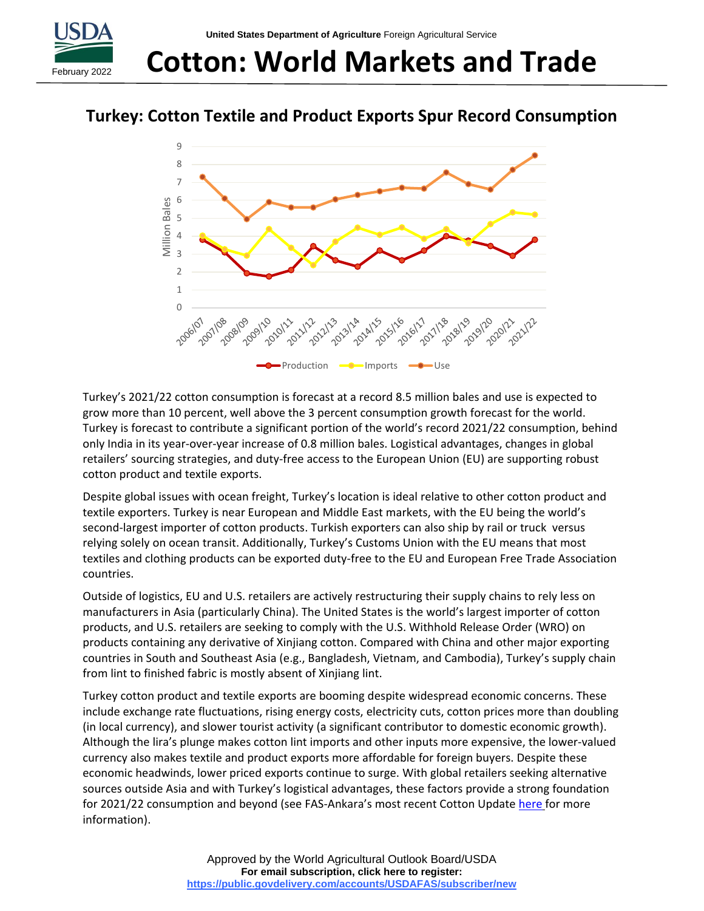

# **Cotton: World Markets and Trade**

## **Turkey: Cotton Textile and Product Exports Spur Record Consumption**



Turkey's 2021/22 cotton consumption is forecast at a record 8.5 million bales and use is expected to grow more than 10 percent, well above the 3 percent consumption growth forecast for the world. Turkey is forecast to contribute a significant portion of the world's record 2021/22 consumption, behind only India in its year-over-year increase of 0.8 million bales. Logistical advantages, changes in global retailers' sourcing strategies, and duty-free access to the European Union (EU) are supporting robust cotton product and textile exports.

Despite global issues with ocean freight, Turkey's location is ideal relative to other cotton product and textile exporters. Turkey is near European and Middle East markets, with the EU being the world's second-largest importer of cotton products. Turkish exporters can also ship by rail or truck versus relying solely on ocean transit. Additionally, Turkey's Customs Union with the EU means that most textiles and clothing products can be exported duty-free to the EU and European Free Trade Association countries.

Outside of logistics, EU and U.S. retailers are actively restructuring their supply chains to rely less on manufacturers in Asia (particularly China). The United States is the world's largest importer of cotton products, and U.S. retailers are seeking to comply with the U.S. Withhold Release Order (WRO) on products containing any derivative of Xinjiang cotton. Compared with China and other major exporting countries in South and Southeast Asia (e.g., Bangladesh, Vietnam, and Cambodia), Turkey's supply chain from lint to finished fabric is mostly absent of Xinjiang lint.

Turkey cotton product and textile exports are booming despite widespread economic concerns. These include exchange rate fluctuations, rising energy costs, electricity cuts, cotton prices more than doubling (in local currency), and slower tourist activity (a significant contributor to domestic economic growth). Although the lira's plunge makes cotton lint imports and other inputs more expensive, the lower-valued currency also makes textile and product exports more affordable for foreign buyers. Despite these economic headwinds, lower priced exports continue to surge. With global retailers seeking alternative sources outside Asia and with Turkey's logistical advantages, these factors provide a strong foundation for 2021/22 consumption and beyond (see FAS-Ankara's most recent Cotton Update [here](https://apps.fas.usda.gov/newgainapi/api/Report/DownloadReportByFileName?fileName=Cotton%20and%20Products%20Update_Ankara_Turkey_11-30-2021) for more information).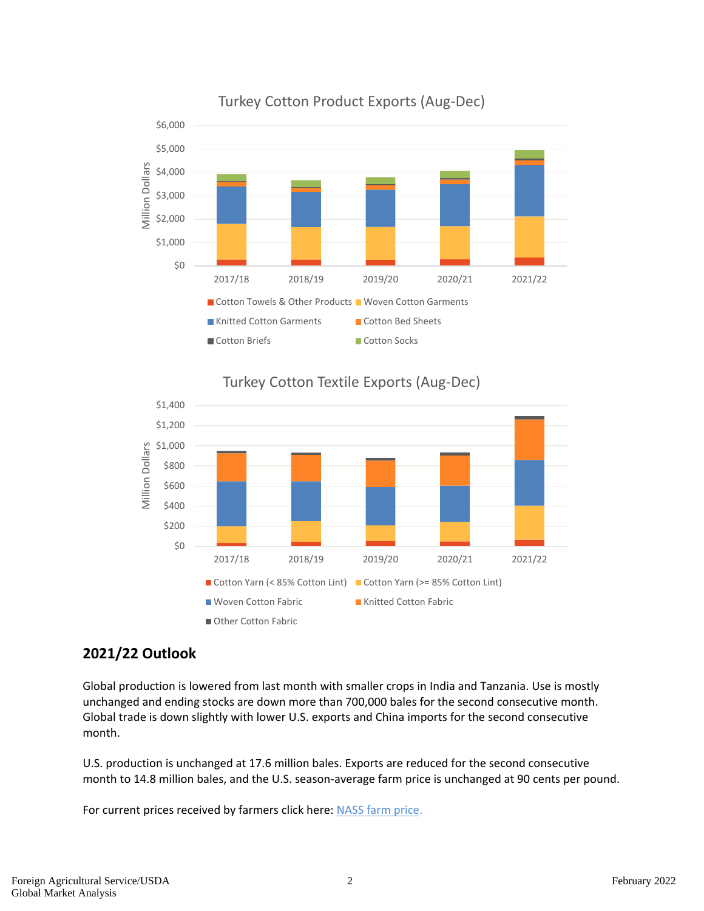





## **2021/22 Outlook**

Global production is lowered from last month with smaller crops in India and Tanzania. Use is mostly unchanged and ending stocks are down more than 700,000 bales for the second consecutive month. Global trade is down slightly with lower U.S. exports and China imports for the second consecutive month.

U.S. production is unchanged at 17.6 million bales. Exports are reduced for the second consecutive month to 14.8 million bales, and the U.S. season-average farm price is unchanged at 90 cents per pound.

For current prices received by farmers click here: [NASS farm price.](https://usda.library.cornell.edu/concern/publications/c821gj76b?locale=en)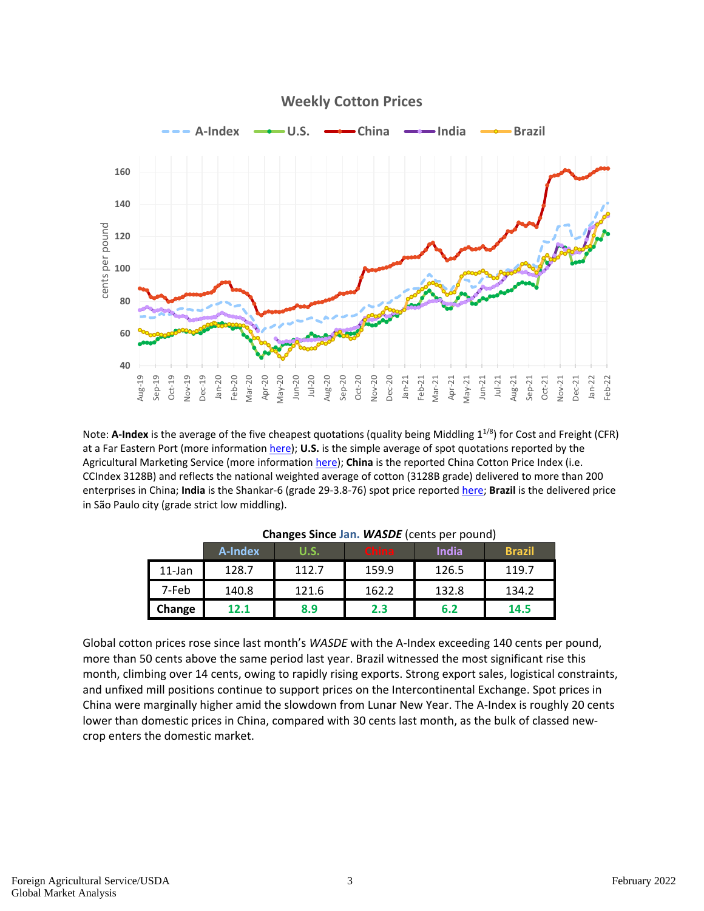

Note: **A-Index** is the average of the five cheapest quotations (quality being Middling 1<sup>1/8</sup>) for Cost and Freight (CFR) at a Far Eastern Port (more information [here\)](https://www.cotlook.com/information-2/the-cotlook-indices-an-explanation/); **U.S.** is the simple average of spot quotations reported by the Agricultural Marketing Service (more information [here\)](https://www.ams.usda.gov/mnreports/mp_cn002.txt); **China** is the reported China Cotton Price Index (i.e. CCIndex 3128B) and reflects the national weighted average of cotton (3128B grade) delivered to more than 200 enterprises in China; **India** is the Shankar-6 (grade 29-3.8-76) spot price reported [here;](https://www.gujcot.com/daily-spot-rate-list.php) **Brazil** is the delivered price in São Paulo city (grade strict low middling).

|           | A-Index | . .<br>U.S. | <b>China</b> | <b>India</b> | <b>Brazil</b> |
|-----------|---------|-------------|--------------|--------------|---------------|
| $11$ -Jan | 128.7   | 112.7       | 159.9        | 126.5        | 119.7         |
| 7-Feb     | 140.8   | 121.6       | 162.2        | 132.8        | 134.2         |
| Change    | 12.1    | 8.9         | 2.3          | 6.2          | 14.5          |

#### **Changes Since Jan.** *WASDE* (cents per pound)

Global cotton prices rose since last month's *WASDE* with the A-Index exceeding 140 cents per pound, more than 50 cents above the same period last year. Brazil witnessed the most significant rise this month, climbing over 14 cents, owing to rapidly rising exports. Strong export sales, logistical constraints, and unfixed mill positions continue to support prices on the Intercontinental Exchange. Spot prices in China were marginally higher amid the slowdown from Lunar New Year. The A-Index is roughly 20 cents lower than domestic prices in China, compared with 30 cents last month, as the bulk of classed newcrop enters the domestic market.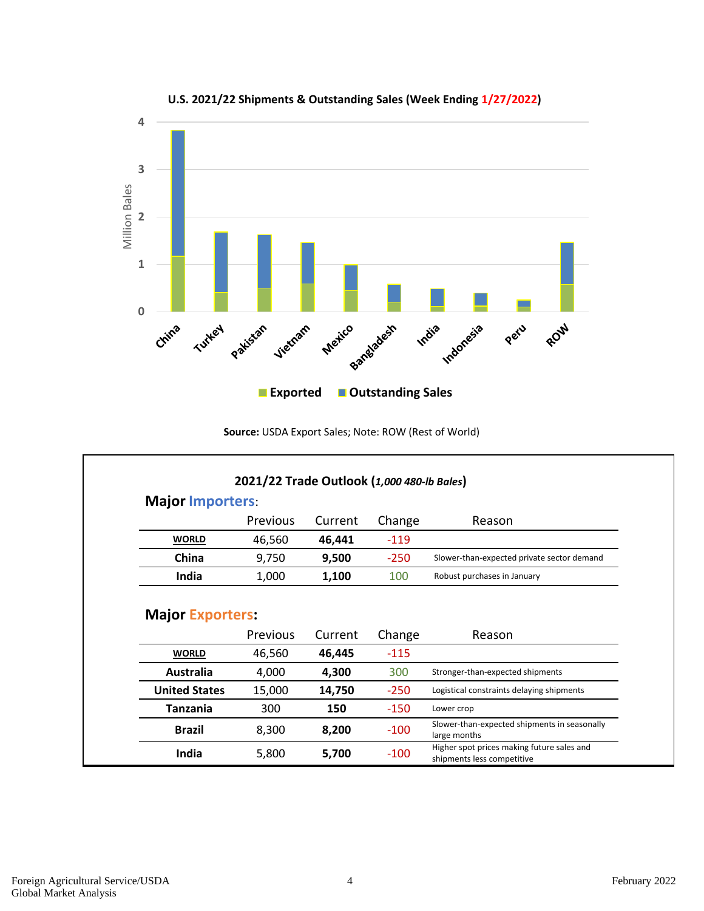

#### **U.S. 2021/22 Shipments & Outstanding Sales (Week Ending 1/27/2022)**

#### **Source:** USDA Export Sales; Note: ROW (Rest of World)

|                           | 2021/22 Trade Outlook (1,000 480-lb Bales) |                 |               |                                                              |  |  |  |  |  |  |  |
|---------------------------|--------------------------------------------|-----------------|---------------|--------------------------------------------------------------|--|--|--|--|--|--|--|
|                           | <b>Major Importers:</b>                    |                 |               |                                                              |  |  |  |  |  |  |  |
|                           | <b>Previous</b>                            | Current         | Change        | Reason                                                       |  |  |  |  |  |  |  |
| <b>WORLD</b>              | 46,560                                     | 46,441          | $-119$        |                                                              |  |  |  |  |  |  |  |
| China                     | 9,750                                      | 9,500           | $-250$        | Slower-than-expected private sector demand                   |  |  |  |  |  |  |  |
| <b>India</b>              | 1,000                                      | 1,100           | 100           | Robust purchases in January                                  |  |  |  |  |  |  |  |
|                           | Previous                                   | Current         | Change        | Reason                                                       |  |  |  |  |  |  |  |
| <b>WORLD</b><br>Australia | 46,560<br>4,000                            | 46,445<br>4,300 | $-115$<br>300 | Stronger-than-expected shipments                             |  |  |  |  |  |  |  |
| <b>United States</b>      | 15,000                                     | 14,750          | $-250$        | Logistical constraints delaying shipments                    |  |  |  |  |  |  |  |
|                           |                                            |                 |               |                                                              |  |  |  |  |  |  |  |
| <b>Tanzania</b>           | 300                                        | 150             | $-150$        | Lower crop                                                   |  |  |  |  |  |  |  |
| <b>Brazil</b>             | 8,300                                      | 8,200           | $-100$        | Slower-than-expected shipments in seasonally<br>large months |  |  |  |  |  |  |  |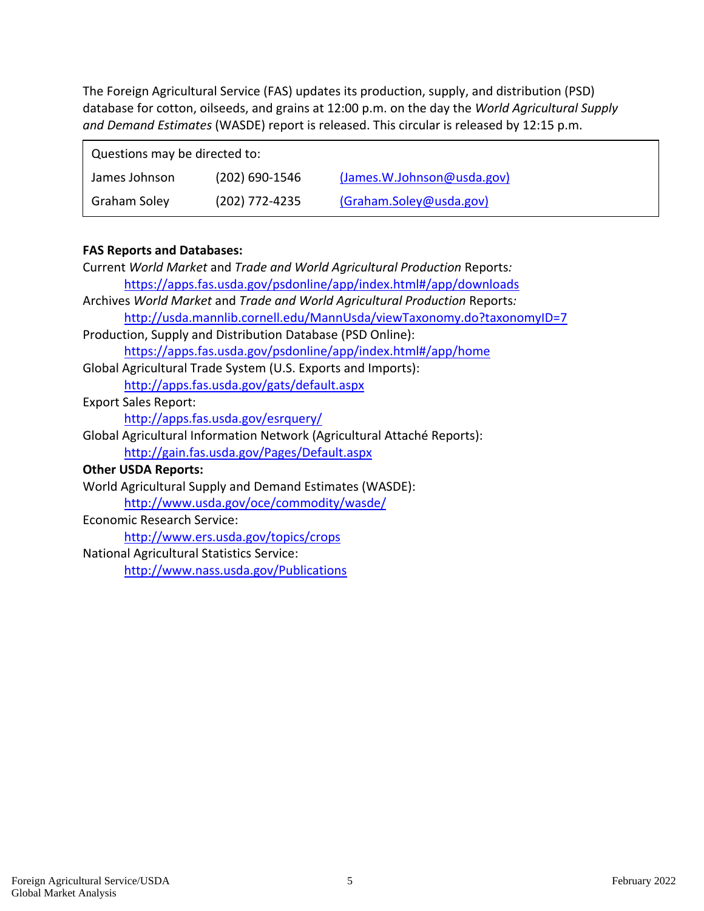The Foreign Agricultural Service (FAS) updates its production, supply, and distribution (PSD) database for cotton, oilseeds, and grains at 12:00 p.m. on the day the *World Agricultural Supply and Demand Estimates* (WASDE) report is released. This circular is released by 12:15 p.m.

| Questions may be directed to: |                  |                            |  |  |  |  |  |  |  |
|-------------------------------|------------------|----------------------------|--|--|--|--|--|--|--|
| James Johnson                 | $(202)$ 690-1546 | (James.W.Johnson@usda.gov) |  |  |  |  |  |  |  |
| Graham Soley                  | (202) 772-4235   | (Graham.Soley@usda.gov)    |  |  |  |  |  |  |  |

#### **FAS Reports and Databases:**

| Current World Market and Trade and World Agricultural Production Reports:  |
|----------------------------------------------------------------------------|
| https://apps.fas.usda.gov/psdonline/app/index.html#/app/downloads          |
| Archives World Market and Trade and World Agricultural Production Reports: |
| http://usda.mannlib.cornell.edu/MannUsda/viewTaxonomy.do?taxonomyID=7      |
| Production, Supply and Distribution Database (PSD Online):                 |
| https://apps.fas.usda.gov/psdonline/app/index.html#/app/home               |
| Global Agricultural Trade System (U.S. Exports and Imports):               |
| http://apps.fas.usda.gov/gats/default.aspx                                 |
| <b>Export Sales Report:</b>                                                |
| http://apps.fas.usda.gov/esrquery/                                         |
| Global Agricultural Information Network (Agricultural Attaché Reports):    |
| http://gain.fas.usda.gov/Pages/Default.aspx                                |
| <b>Other USDA Reports:</b>                                                 |
| World Agricultural Supply and Demand Estimates (WASDE):                    |
| http://www.usda.gov/oce/commodity/wasde/                                   |
| Economic Research Service:                                                 |
| http://www.ers.usda.gov/topics/crops                                       |
| <b>National Agricultural Statistics Service:</b>                           |

<http://www.nass.usda.gov/Publications>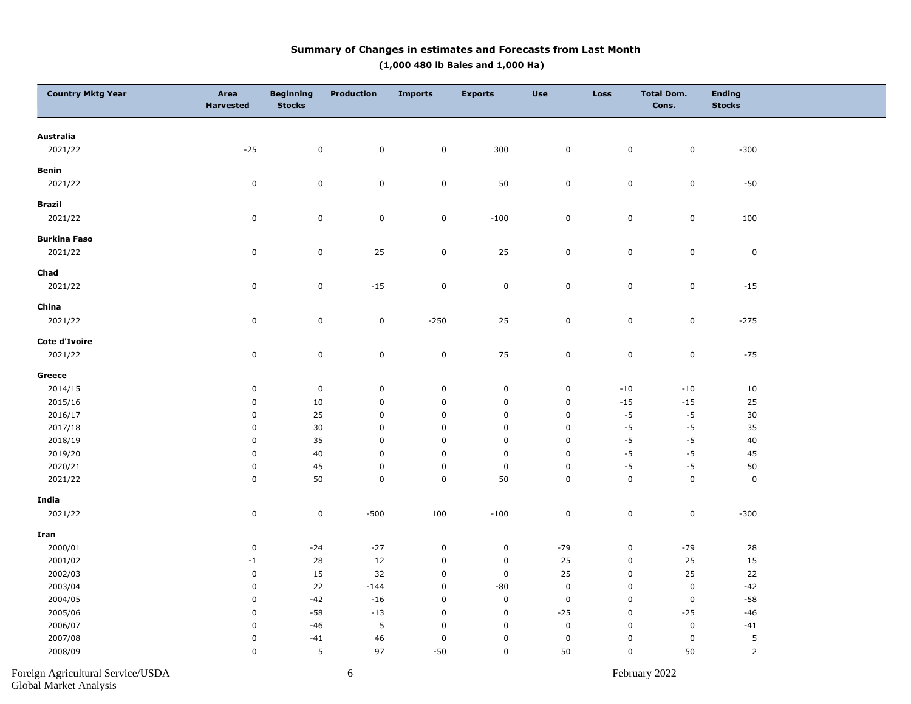#### **Summary of Changes in estimates and Forecasts from Last Month (1,000 480 lb Bales and 1,000 Ha)**

| <b>Country Mktg Year</b>          | Area<br><b>Harvested</b> | <b>Beginning</b><br><b>Stocks</b> | <b>Production</b> | <b>Imports</b> | <b>Exports</b>   | <b>Use</b>  | <b>Loss</b>         | <b>Total Dom.</b><br>Cons. | <b>Ending</b><br><b>Stocks</b> |  |
|-----------------------------------|--------------------------|-----------------------------------|-------------------|----------------|------------------|-------------|---------------------|----------------------------|--------------------------------|--|
| Australia                         |                          |                                   |                   |                |                  |             |                     |                            |                                |  |
| 2021/22                           | $-25$                    | $\mathbf 0$                       | $\mathbf 0$       | $\mathbf 0$    | 300              | 0           | $\mathbf 0$         | $\mathbf 0$                | $-300$                         |  |
| Benin                             |                          |                                   |                   |                |                  |             |                     |                            |                                |  |
| 2021/22                           | $\pmb{0}$                | $\mathsf 0$                       | $\pmb{0}$         | $\mathbf 0$    | 50               | $\pmb{0}$   | $\mathbf 0$         | $\mathbf 0$                | $-50$                          |  |
| <b>Brazil</b>                     |                          |                                   |                   |                |                  |             |                     |                            |                                |  |
| 2021/22                           | $\pmb{0}$                | $\pmb{0}$                         | $\pmb{0}$         | $\mathbf 0$    | $-100$           | $\pmb{0}$   | $\mathbf 0$         | $\mathbf 0$                | 100                            |  |
| <b>Burkina Faso</b>               |                          |                                   |                   |                |                  |             |                     |                            |                                |  |
| 2021/22                           | $\pmb{0}$                | $\pmb{0}$                         | 25                | $\mathbf 0$    | 25               | $\pmb{0}$   | $\mathbf 0$         | $\mathbf 0$                | $\pmb{0}$                      |  |
| Chad                              |                          |                                   |                   |                |                  |             |                     |                            |                                |  |
| 2021/22                           | $\mathbf 0$              | $\mathsf 0$                       | $-15$             | $\pmb{0}$      | $\mathbf 0$      | $\mathsf 0$ | $\mathsf{O}\xspace$ | $\pmb{0}$                  | $-15$                          |  |
| China                             |                          |                                   |                   |                |                  |             |                     |                            |                                |  |
| 2021/22                           | $\mathbf 0$              | $\pmb{0}$                         | $\pmb{0}$         | $-250$         | 25               | 0           | $\mathbf 0$         | $\mathbf 0$                | $-275$                         |  |
| Cote d'Ivoire                     |                          |                                   |                   |                |                  |             |                     |                            |                                |  |
| 2021/22                           | $\pmb{0}$                | $\pmb{0}$                         | $\pmb{0}$         | $\mathbf 0$    | 75               | $\pmb{0}$   | $\mathbf 0$         | $\mathbf 0$                | $-75$                          |  |
| Greece                            |                          |                                   |                   |                |                  |             |                     |                            |                                |  |
| 2014/15                           | $\mathbf 0$              | $\mathbf 0$                       | $\pmb{0}$         | $\pmb{0}$      | $\mathsf 0$      | 0           | $-10$               | $-10$                      | 10                             |  |
| 2015/16                           | $\mathbf 0$              | 10                                | $\mathbf 0$       | $\mathbf 0$    | $\mathbf 0$      | 0           | $-15$               | $-15$                      | 25                             |  |
| 2016/17                           | $\mathbf 0$              | 25                                | $\mathbf 0$       | $\pmb{0}$      | $\mathbf 0$      | 0           | $-5$                | $-5$                       | $30\,$                         |  |
| 2017/18                           | $\mathbf 0$              | 30                                | $\mathbf 0$       | $\pmb{0}$      | $\mathbf 0$      | 0           | $-5$                | $-5$                       | 35                             |  |
| 2018/19                           | $\mathsf 0$              | 35                                | $\mathbf 0$       | $\pmb{0}$      | $\pmb{0}$        | $\mathsf 0$ | $-5$                | $-5$                       | 40                             |  |
| 2019/20                           | $\mathbf 0$              | 40                                | $\mathbf 0$       | $\pmb{0}$      | $\mathbf 0$      | 0           | $-5$                | $-5$                       | 45                             |  |
| 2020/21                           | $\mathbf 0$              | 45                                | $\pmb{0}$         | $\pmb{0}$      | $\pmb{0}$        | $\mathsf 0$ | $-5$                | $-5$                       | $50\,$                         |  |
| 2021/22                           | $\mathbf 0$              | 50                                | $\pmb{0}$         | $\pmb{0}$      | 50               | $\mathsf 0$ | $\mathbf 0$         | $\mathbf 0$                | $\mathbf 0$                    |  |
| India                             |                          |                                   |                   |                |                  |             |                     |                            |                                |  |
| 2021/22                           | $\pmb{0}$                | $\pmb{0}$                         | $-500$            | 100            | $-100$           | $\pmb{0}$   | $\mathbf 0$         | $\mathbf 0$                | $-300$                         |  |
| Iran                              |                          |                                   |                   |                |                  |             |                     |                            |                                |  |
| 2000/01                           | $\mathbf 0$              | $-24$                             | $-27$             | $\pmb{0}$      | $\mathsf 0$      | $-79$       | $\mathbf 0$         | $-79$                      | 28                             |  |
| 2001/02                           | $-1$                     | 28                                | 12                | $\mathbf 0$    | $\mathbf 0$      | 25          | $\mathbf 0$         | 25                         | 15                             |  |
| 2002/03                           | $\mathbf 0$              | 15                                | 32                | $\pmb{0}$      | $\mathbf 0$      | 25          | 0                   | 25                         | 22                             |  |
| 2003/04                           | $\mathbf 0$              | 22                                | $-144$            | $\pmb{0}$      | $-80$            | 0           | 0                   | $\pmb{0}$                  | $-42$                          |  |
| 2004/05                           | $\mathsf 0$              | $-42$                             | $-16$             | $\pmb{0}$      | $\mathbf 0$      | 0           | $\mathsf 0$         | $\mathbf 0$                | $-58$                          |  |
| 2005/06                           | $\mathbf 0$              | $-58$                             | $-13$             | $\pmb{0}$      | $\mathbf 0$      | $-25$       | 0                   | $-25$                      | $-46$                          |  |
| 2006/07                           | $\mathbf 0$              | $-46$                             | 5                 | $\pmb{0}$      | $\mathbf 0$      | 0           | 0                   | $\pmb{0}$                  | $-41$                          |  |
| 2007/08                           | $\mathbf 0$              | $-41$                             | 46                | $\pmb{0}$      | $\boldsymbol{0}$ | 0           | 0                   | $\pmb{0}$                  | 5                              |  |
| 2008/09                           | $\mathbf 0$              | 5                                 | 97                | $-50$          | 0                | 50          | $\mathsf 0$         | 50                         | $\mathsf{2}$                   |  |
| Foreign Agricultural Service/USDA |                          |                                   | 6                 |                |                  |             |                     | February 2022              |                                |  |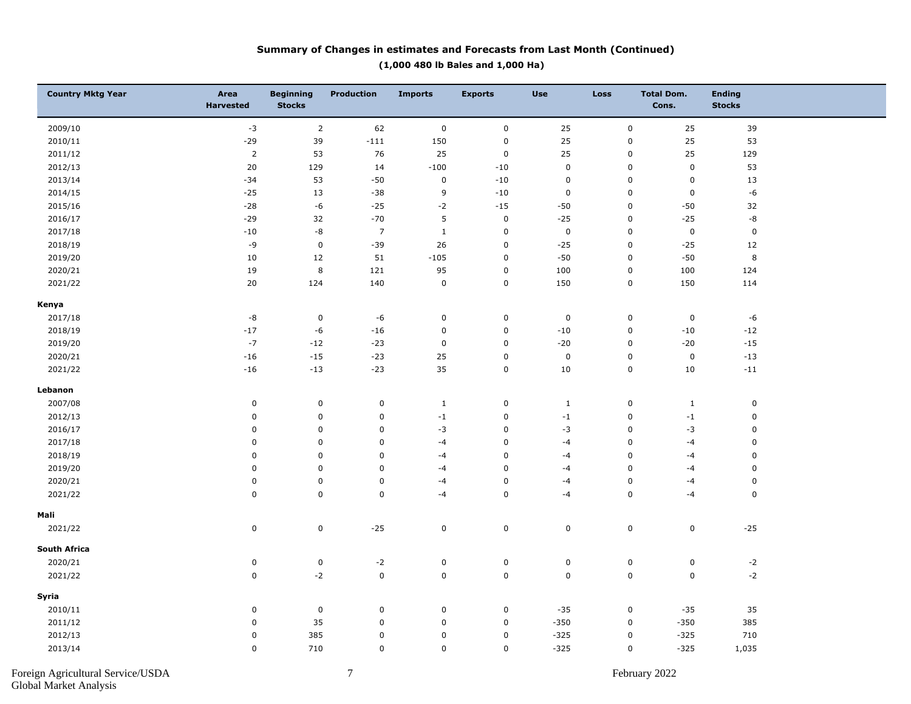#### **Summary of Changes in estimates and Forecasts from Last Month (Continued) (1,000 480 lb Bales and 1,000 Ha)**

| <b>Country Mktg Year</b> | Area<br><b>Harvested</b> | <b>Beginning</b><br><b>Stocks</b> | <b>Production</b> | <b>Imports</b> | <b>Exports</b> | <b>Use</b>  | <b>Loss</b> | <b>Total Dom.</b><br>Cons. | <b>Ending</b><br><b>Stocks</b> |  |
|--------------------------|--------------------------|-----------------------------------|-------------------|----------------|----------------|-------------|-------------|----------------------------|--------------------------------|--|
| 2009/10                  | $-3$                     | $\overline{2}$                    | 62                | $\pmb{0}$      | $\pmb{0}$      | 25          | $\pmb{0}$   | 25                         | 39                             |  |
| 2010/11                  | $-29$                    | 39                                | $-111$            | 150            | $\pmb{0}$      | 25          | $\mathbf 0$ | 25                         | 53                             |  |
| 2011/12                  | $\overline{2}$           | 53                                | 76                | 25             | $\pmb{0}$      | 25          | $\mathbf 0$ | 25                         | 129                            |  |
| 2012/13                  | 20                       | 129                               | 14                | $-100$         | $-10$          | 0           | $\mathsf 0$ | $\pmb{0}$                  | 53                             |  |
| 2013/14                  | $-34$                    | 53                                | $-50$             | $\pmb{0}$      | $-10$          | 0           | $\mathbf 0$ | $\pmb{0}$                  | 13                             |  |
| 2014/15                  | $-25$                    | 13                                | $-38$             | $\overline{9}$ | $-10$          | $\mathsf 0$ | $\mathbf 0$ | $\mathbf 0$                | -6                             |  |
| 2015/16                  | $-28$                    | -6                                | $-25$             | $-2$           | $-15$          | $-50$       | $\pmb{0}$   | $-50$                      | 32                             |  |
| 2016/17                  | $-29$                    | 32                                | $-70$             | 5              | $\pmb{0}$      | $-25$       | $\mathbf 0$ | $-25$                      | -8                             |  |
| 2017/18                  | $-10$                    | -8                                | $\overline{7}$    | $\mathbf 1$    | $\pmb{0}$      | $\mathsf 0$ | $\mathsf 0$ | $\pmb{0}$                  | $\pmb{0}$                      |  |
| 2018/19                  | $-9$                     | $\mathsf 0$                       | $-39$             | 26             | $\pmb{0}$      | $-25$       | $\mathbf 0$ | $-25$                      | $12\,$                         |  |
| 2019/20                  | 10                       | 12                                | 51                | $-105$         | $\pmb{0}$      | $-50$       | $\mathbf 0$ | $-50$                      | $\,8\,$                        |  |
| 2020/21                  | 19                       | $\bf 8$                           | 121               | 95             | $\pmb{0}$      | 100         | $\mathbf 0$ | 100                        | 124                            |  |
| 2021/22                  | 20                       | 124                               | 140               | $\pmb{0}$      | $\pmb{0}$      | 150         | $\mathbf 0$ | 150                        | 114                            |  |
| Kenya                    |                          |                                   |                   |                |                |             |             |                            |                                |  |
| 2017/18                  | $\textnormal{-}8$        | $\pmb{0}$                         | -6                | $\pmb{0}$      | $\pmb{0}$      | 0           | $\mathbf 0$ | $\pmb{0}$                  | $-6$                           |  |
| 2018/19                  | $-17$                    | -6                                | $-16$             | $\pmb{0}$      | $\pmb{0}$      | $-10$       | $\mathbf 0$ | $-10$                      | $-12$                          |  |
| 2019/20                  | $-7$                     | $-12$                             | $-23$             | $\pmb{0}$      | $\pmb{0}$      | $-20$       | $\mathbf 0$ | $-20$                      | $-15$                          |  |
| 2020/21                  | $-16$                    | $-15$                             | $-23$             | 25             | $\pmb{0}$      | 0           | $\mathsf 0$ | $\pmb{0}$                  | $-13$                          |  |
| 2021/22                  | $-16$                    | $-13$                             | $-23$             | 35             | $\pmb{0}$      | 10          | $\pmb{0}$   | 10                         | $-11$                          |  |
| Lebanon                  |                          |                                   |                   |                |                |             |             |                            |                                |  |
| 2007/08                  | 0                        | $\mathsf 0$                       | $\pmb{0}$         | $\mathbf{1}$   | $\pmb{0}$      | $1\,$       | $\mathbf 0$ | $\mathbf{1}$               | $\pmb{0}$                      |  |
| 2012/13                  | 0                        | $\mathsf 0$                       | $\pmb{0}$         | $-1$           | $\pmb{0}$      | $-1$        | $\pmb{0}$   | $-1$                       | $\pmb{0}$                      |  |
| 2016/17                  | 0                        | $\mathbf 0$                       | $\pmb{0}$         | $-3$           | $\pmb{0}$      | $-3$        | $\mathsf 0$ | $-3$                       | $\mathbf 0$                    |  |
| 2017/18                  | 0                        | $\mathbf 0$                       | $\mathbf 0$       | $-4$           | $\pmb{0}$      | $-4$        | $\mathbf 0$ | $-4$                       | $\mathbf 0$                    |  |
| 2018/19                  | 0                        | $\mathbf 0$                       | $\pmb{0}$         | $-4$           | $\mathsf 0$    | $-4$        | $\mathbf 0$ | $-4$                       | $\mathbf 0$                    |  |
| 2019/20                  | 0                        | $\mathbf 0$                       | $\pmb{0}$         | $-4$           | $\pmb{0}$      | $-4$        | 0           | $-4$                       | $\mathbf 0$                    |  |
| 2020/21                  | 0                        | $\pmb{0}$                         | $\pmb{0}$         | $-4$           | $\pmb{0}$      | $-4$        | $\mathbf 0$ | $-4$                       | $\mathbf 0$                    |  |
| 2021/22                  | $\mathbf 0$              | $\mathbf 0$                       | $\mathsf 0$       | $-4$           | $\mathsf 0$    | $-4$        | $\mathsf 0$ | $-4$                       | $\mathbf 0$                    |  |
| Mali                     |                          |                                   |                   |                |                |             |             |                            |                                |  |
| 2021/22                  | $\mathsf 0$              | $\mathsf 0$                       | $-25$             | $\pmb{0}$      | $\mathbf 0$    | 0           | $\mathbf 0$ | $\mathbf 0$                | $-25$                          |  |
| <b>South Africa</b>      |                          |                                   |                   |                |                |             |             |                            |                                |  |
| 2020/21                  | $\pmb{0}$                | $\pmb{0}$                         | $-2$              | $\pmb{0}$      | $\pmb{0}$      | $\pmb{0}$   | $\mathbf 0$ | $\pmb{0}$                  | $\textnormal{-2}$              |  |
| 2021/22                  | $\mathbf 0$              | $-2$                              | $\mathbf 0$       | $\mathbf 0$    | $\pmb{0}$      | 0           | $\pmb{0}$   | $\mathbf 0$                | $-2$                           |  |
| Syria                    |                          |                                   |                   |                |                |             |             |                            |                                |  |
| 2010/11                  | 0                        | $\pmb{0}$                         | $\pmb{0}$         | $\pmb{0}$      | $\pmb{0}$      | $-35$       | $\mathbf 0$ | $-35$                      | 35                             |  |
| 2011/12                  | 0                        | 35                                | $\pmb{0}$         | $\pmb{0}$      | $\pmb{0}$      | $-350$      | $\pmb{0}$   | $-350$                     | 385                            |  |
| 2012/13                  | $\mathbf 0$              | 385                               | $\pmb{0}$         | $\pmb{0}$      | $\pmb{0}$      | $-325$      | $\mathbf 0$ | $-325$                     | 710                            |  |
| 2013/14                  | 0                        | 710                               | $\pmb{0}$         | $\pmb{0}$      | $\mathbf 0$    | $-325$      | $\pmb{0}$   | $-325$                     | 1,035                          |  |
|                          |                          |                                   |                   |                |                |             |             |                            |                                |  |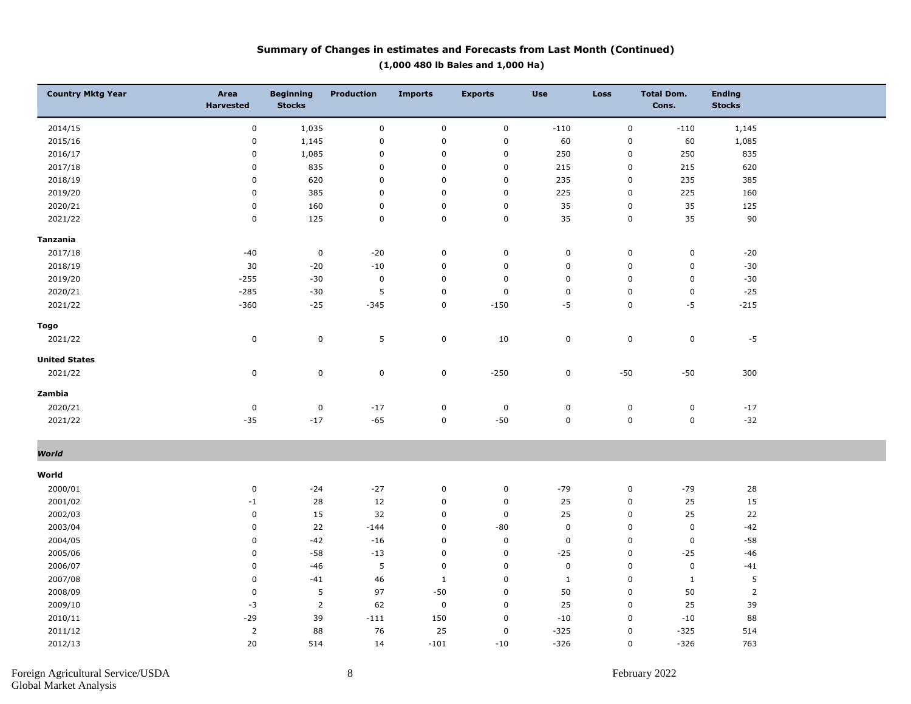#### **Summary of Changes in estimates and Forecasts from Last Month (Continued) (1,000 480 lb Bales and 1,000 Ha)**

| <b>Country Mktg Year</b> | Area<br><b>Harvested</b> | <b>Beginning</b><br><b>Stocks</b> | <b>Production</b> | <b>Imports</b> | <b>Exports</b> | <b>Use</b>   | Loss      | <b>Total Dom.</b><br>Cons. | <b>Ending</b><br><b>Stocks</b> |  |
|--------------------------|--------------------------|-----------------------------------|-------------------|----------------|----------------|--------------|-----------|----------------------------|--------------------------------|--|
| 2014/15                  | $\pmb{0}$                | 1,035                             | $\pmb{0}$         | $\pmb{0}$      | $\mathbf 0$    | $-110$       | $\pmb{0}$ | $-110$                     | 1,145                          |  |
| 2015/16                  | $\pmb{0}$                | 1,145                             | $\mathbf 0$       | $\mathbf 0$    | $\mathbf 0$    | 60           | $\pmb{0}$ | 60                         | 1,085                          |  |
| 2016/17                  | $\pmb{0}$                | 1,085                             | $\pmb{0}$         | $\mathbf 0$    | $\mathbf 0$    | 250          | 0         | 250                        | 835                            |  |
| 2017/18                  | $\pmb{0}$                | 835                               | $\mathbf 0$       | $\pmb{0}$      | $\pmb{0}$      | 215          | $\pmb{0}$ | 215                        | 620                            |  |
| 2018/19                  | $\pmb{0}$                | 620                               | $\mathsf 0$       | $\mathsf 0$    | $\mathbf 0$    | 235          | $\pmb{0}$ | 235                        | 385                            |  |
| 2019/20                  | $\pmb{0}$                | 385                               | $\mathbf 0$       | $\mathbf 0$    | $\mathbf 0$    | 225          | $\pmb{0}$ | 225                        | 160                            |  |
| 2020/21                  | $\pmb{0}$                | 160                               | $\pmb{0}$         | $\pmb{0}$      | $\pmb{0}$      | 35           | $\pmb{0}$ | 35                         | 125                            |  |
| 2021/22                  | $\pmb{0}$                | 125                               | $\mathsf 0$       | $\mathsf 0$    | $\mathsf 0$    | 35           | $\pmb{0}$ | 35                         | 90                             |  |
| Tanzania                 |                          |                                   |                   |                |                |              |           |                            |                                |  |
| 2017/18                  | $-40$                    | $\mathbf 0$                       | $-20$             | $\mathbf 0$    | $\mathbf 0$    | $\mathbf 0$  | $\pmb{0}$ | $\mathbf 0$                | $-20$                          |  |
| 2018/19                  | 30                       | $-20$                             | $-10$             | $\mathbf 0$    | $\pmb{0}$      | $\pmb{0}$    | $\pmb{0}$ | $\pmb{0}$                  | $-30$                          |  |
| 2019/20                  | $-255$                   | $-30$                             | $\pmb{0}$         | $\mathbf 0$    | $\mathbf 0$    | $\mathbf 0$  | $\pmb{0}$ | $\pmb{0}$                  | $-30$                          |  |
| 2020/21                  | $-285$                   | $-30$                             | 5                 | $\pmb{0}$      | $\mathbf 0$    | $\pmb{0}$    | $\pmb{0}$ | $\pmb{0}$                  | $-25$                          |  |
| 2021/22                  | $-360$                   | $-25$                             | $-345$            | $\mathsf 0$    | $-150$         | $-5$         | 0         | $-5$                       | $-215$                         |  |
| Togo                     |                          |                                   |                   |                |                |              |           |                            |                                |  |
| 2021/22                  | $\pmb{0}$                | $\mathbf 0$                       | $\sqrt{5}$        | $\pmb{0}$      | 10             | $\pmb{0}$    | $\pmb{0}$ | $\mathsf 0$                | $-5$                           |  |
| <b>United States</b>     |                          |                                   |                   |                |                |              |           |                            |                                |  |
| 2021/22                  | $\pmb{0}$                | $\mathbf 0$                       | $\pmb{0}$         | $\pmb{0}$      | $-250$         | $\pmb{0}$    | $-50\,$   | $-50$                      | 300                            |  |
| Zambia                   |                          |                                   |                   |                |                |              |           |                            |                                |  |
| 2020/21                  | $\pmb{0}$                | $\mathsf 0$                       | $-17$             | $\mathbf 0$    | $\pmb{0}$      | $\pmb{0}$    | $\pmb{0}$ | $\mathbf 0$                | $^{\rm -17}$                   |  |
| 2021/22                  | $-35$                    | $-17$                             | $-65$             | $\pmb{0}$      | $-50$          | $\mathbf 0$  | 0         | $\mathbf 0$                | $-32$                          |  |
| World                    |                          |                                   |                   |                |                |              |           |                            |                                |  |
|                          |                          |                                   |                   |                |                |              |           |                            |                                |  |
| World                    |                          |                                   |                   |                |                |              |           |                            |                                |  |
| 2000/01                  | $\pmb{0}$                | $-24$                             | $-27$             | $\pmb{0}$      | $\pmb{0}$      | $-79$        | $\pmb{0}$ | $-79$                      | 28                             |  |
| 2001/02                  | $-1$                     | 28                                | 12                | $\mathbf 0$    | $\mathbf 0$    | 25           | $\pmb{0}$ | 25                         | 15                             |  |
| 2002/03                  | $\pmb{0}$                | 15                                | 32                | $\pmb{0}$      | $\mathbf 0$    | 25           | $\pmb{0}$ | 25                         | 22                             |  |
| 2003/04                  | $\pmb{0}$                | 22                                | $-144$            | $\pmb{0}$      | $-80$          | $\pmb{0}$    | $\pmb{0}$ | $\pmb{0}$                  | $-42$                          |  |
| 2004/05                  | 0                        | $-42$                             | $-16$             | $\mathsf 0$    | $\pmb{0}$      | $\mathbf 0$  | 0         | $\mathbf 0$                | $-58$                          |  |
| 2005/06                  | $\pmb{0}$                | $-58$                             | $-13$             | $\mathbf 0$    | $\mathbf 0$    | $-25$        | $\pmb{0}$ | $-25$                      | $-46$                          |  |
| 2006/07                  | $\pmb{0}$                | $-46$                             | 5                 | $\mathbf 0$    | $\mathbf 0$    | $\mathbf 0$  | $\pmb{0}$ | $\mathbf 0$                | $-41$                          |  |
| 2007/08                  | $\pmb{0}$                | $-41$                             | 46                | $\mathbf{1}$   | $\mathbf 0$    | $\mathbf{1}$ | $\pmb{0}$ | $\mathbf{1}$               | 5                              |  |
| 2008/09                  | $\pmb{0}$                | 5                                 | 97                | $-50$          | $\mathbf 0$    | 50           | $\pmb{0}$ | 50                         | $\overline{2}$                 |  |
| 2009/10                  | $-3$                     | $\overline{2}$                    | 62                | $\mathbf 0$    | $\mathbf 0$    | 25           | $\pmb{0}$ | 25                         | 39                             |  |
| 2010/11                  | $-29$                    | 39                                | $-111$            | 150            | $\pmb{0}$      | $-10$        | $\pmb{0}$ | $-10$                      | 88                             |  |
| 2011/12                  | $\overline{2}$           | 88                                | 76                | 25             | $\pmb{0}$      | $-325$       | 0         | $-325$                     | 514                            |  |
| 2012/13                  | 20                       | 514                               | 14                | $-101$         | $-10$          | $-326$       | 0         | $-326$                     | 763                            |  |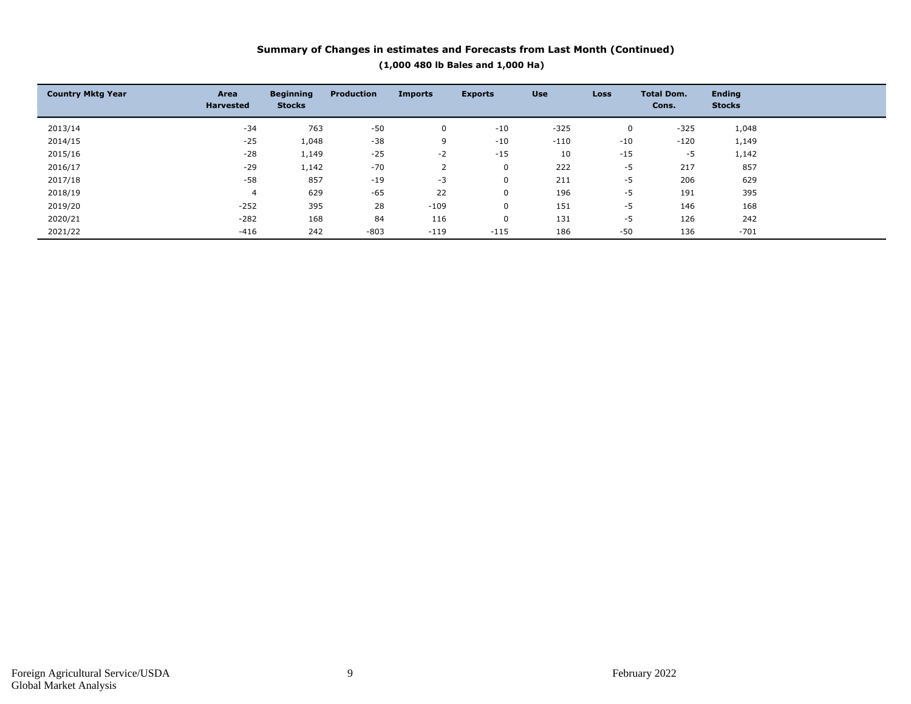#### **Summary of Changes in estimates and Forecasts from Last Month (Continued) (1,000 480 lb Bales and 1,000 Ha)**

| <b>Country Mktg Year</b> | Area<br><b>Harvested</b> | <b>Beginning</b><br><b>Stocks</b> | <b>Production</b> | <b>Imports</b> | <b>Exports</b> | <b>Use</b> | <b>Loss</b> | <b>Total Dom.</b><br>Cons. | <b>Ending</b><br><b>Stocks</b> |  |
|--------------------------|--------------------------|-----------------------------------|-------------------|----------------|----------------|------------|-------------|----------------------------|--------------------------------|--|
| 2013/14                  | $-34$                    | 763                               | $-50$             | 0              | $-10$          | $-325$     | 0           | $-325$                     | 1,048                          |  |
| 2014/15                  | $-25$                    | 1,048                             | $-38$             | 9              | $-10$          | $-110$     | $-10$       | $-120$                     | 1,149                          |  |
| 2015/16                  | $-28$                    | 1,149                             | $-25$             | $-2$           | $-15$          | 10         | $-15$       | $-5$                       | 1,142                          |  |
| 2016/17                  | $-29$                    | 1,142                             | $-70$             |                | 0              | 222        | $-5$        | 217                        | 857                            |  |
| 2017/18                  | $-58$                    | 857                               | $-19$             | $-3$           | 0              | 211        | $-5$        | 206                        | 629                            |  |
| 2018/19                  | 4                        | 629                               | $-65$             | 22             | 0              | 196        | $-5$        | 191                        | 395                            |  |
| 2019/20                  | $-252$                   | 395                               | 28                | $-109$         | 0              | 151        | $-5$        | 146                        | 168                            |  |
| 2020/21                  | $-282$                   | 168                               | 84                | 116            | 0              | 131        | $-5$        | 126                        | 242                            |  |
| 2021/22                  | $-416$                   | 242                               | $-803$            | $-119$         | $-115$         | 186        | $-50$       | 136                        | $-701$                         |  |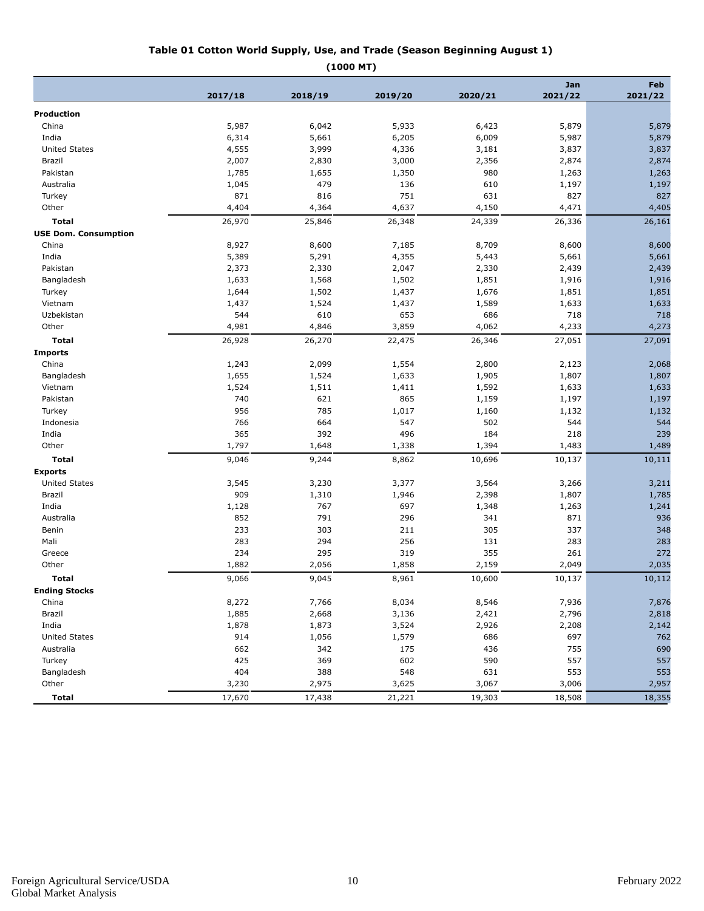#### **Table 01 Cotton World Supply, Use, and Trade (Season Beginning August 1)**

|                             |                | (1000 MT)               |         |         |                |                |
|-----------------------------|----------------|-------------------------|---------|---------|----------------|----------------|
|                             | 2017/18        | 2018/19                 | 2019/20 | 2020/21 | Jan<br>2021/22 | Feb<br>2021/22 |
| Production                  |                |                         |         |         |                |                |
| China                       | 5,987          | 6,042                   | 5,933   | 6,423   | 5,879          | 5,879          |
| India                       | 6,314          | 5,661                   | 6,205   | 6,009   | 5,987          | 5,879          |
| <b>United States</b>        | 4,555          | 3,999                   | 4,336   | 3,181   | 3,837          | 3,837          |
| Brazil                      | 2,007          | 2,830                   | 3,000   | 2,356   | 2,874          | 2,874          |
| Pakistan                    | 1,785          | 1,655                   | 1,350   | 980     | 1,263          | 1,263          |
| Australia                   | 1,045          | 479                     | 136     | 610     | 1,197          | 1,197          |
| Turkey                      | 871            | 816                     | 751     | 631     | 827            | 827            |
| Other                       | 4,404          | 4,364                   | 4,637   | 4,150   | 4,471          | 4,405          |
| Total                       | 26,970         | 25,846                  | 26,348  | 24,339  | 26,336         | 26,161         |
| <b>USE Dom. Consumption</b> |                |                         |         |         |                |                |
| China                       | 8,927          | 8,600                   | 7,185   | 8,709   | 8,600          | 8,600          |
| India                       | 5,389          | 5,291                   | 4,355   | 5,443   | 5,661          | 5,661          |
| Pakistan                    | 2,373          | 2,330                   | 2,047   | 2,330   | 2,439          | 2,439          |
| Bangladesh                  | 1,633          | 1,568                   | 1,502   | 1,851   | 1,916          | 1,916          |
| Turkey                      | 1,644          | 1,502                   | 1,437   | 1,676   | 1,851          | 1,851          |
| Vietnam                     | 1,437          | 1,524                   | 1,437   | 1,589   | 1,633          | 1,633          |
| Uzbekistan                  | 544            | 610                     | 653     | 686     | 718            | 718            |
| $\bigcap_{n=1}^{\infty}$    | $\Lambda$ 0.04 | $\Delta$ 0.4 $\epsilon$ | 2. OFO  | 1000    | 1.222          | 1.272          |

| Vietnam              | 1,437  | 1,524  | 1,437  | 1,589  | 1,633  | 1,633  |
|----------------------|--------|--------|--------|--------|--------|--------|
| Uzbekistan           | 544    | 610    | 653    | 686    | 718    | 718    |
| Other                | 4,981  | 4,846  | 3,859  | 4,062  | 4,233  | 4,273  |
| <b>Total</b>         | 26,928 | 26,270 | 22,475 | 26,346 | 27,051 | 27,091 |
| <b>Imports</b>       |        |        |        |        |        |        |
| China                | 1,243  | 2,099  | 1,554  | 2,800  | 2,123  | 2,068  |
| Bangladesh           | 1,655  | 1,524  | 1,633  | 1,905  | 1,807  | 1,807  |
| Vietnam              | 1,524  | 1,511  | 1,411  | 1,592  | 1,633  | 1,633  |
| Pakistan             | 740    | 621    | 865    | 1,159  | 1,197  | 1,197  |
| Turkey               | 956    | 785    | 1,017  | 1,160  | 1,132  | 1,132  |
| Indonesia            | 766    | 664    | 547    | 502    | 544    | 544    |
| India                | 365    | 392    | 496    | 184    | 218    | 239    |
| Other                | 1,797  | 1,648  | 1,338  | 1,394  | 1,483  | 1,489  |
| <b>Total</b>         | 9,046  | 9,244  | 8,862  | 10,696 | 10,137 | 10,111 |
| <b>Exports</b>       |        |        |        |        |        |        |
| <b>United States</b> | 3,545  | 3,230  | 3,377  | 3,564  | 3,266  | 3,211  |
| Brazil               | 909    | 1,310  | 1,946  | 2,398  | 1,807  | 1,785  |
| India                | 1,128  | 767    | 697    | 1,348  | 1,263  | 1,241  |
| Australia            | 852    | 791    | 296    | 341    | 871    | 936    |
| Benin                | 233    | 303    | 211    | 305    | 337    | 348    |
| Mali                 | 283    | 294    | 256    | 131    | 283    | 283    |
| Greece               | 234    | 295    | 319    | 355    | 261    | 272    |
| Other                | 1,882  | 2,056  | 1,858  | 2,159  | 2,049  | 2,035  |
| <b>Total</b>         | 9,066  | 9,045  | 8,961  | 10,600 | 10,137 | 10,112 |
| <b>Ending Stocks</b> |        |        |        |        |        |        |
| China                | 8,272  | 7,766  | 8,034  | 8,546  | 7,936  | 7,876  |
| Brazil               | 1,885  | 2,668  | 3,136  | 2,421  | 2,796  | 2,818  |
| India                | 1,878  | 1,873  | 3,524  | 2,926  | 2,208  | 2,142  |
| <b>United States</b> | 914    | 1,056  | 1,579  | 686    | 697    | 762    |
| Australia            | 662    | 342    | 175    | 436    | 755    | 690    |
| Turkey               | 425    | 369    | 602    | 590    | 557    | 557    |
| Bangladesh           | 404    | 388    | 548    | 631    | 553    | 553    |
| Other                | 3,230  | 2,975  | 3,625  | 3,067  | 3,006  | 2,957  |
| <b>Total</b>         | 17,670 | 17,438 | 21,221 | 19,303 | 18,508 | 18,355 |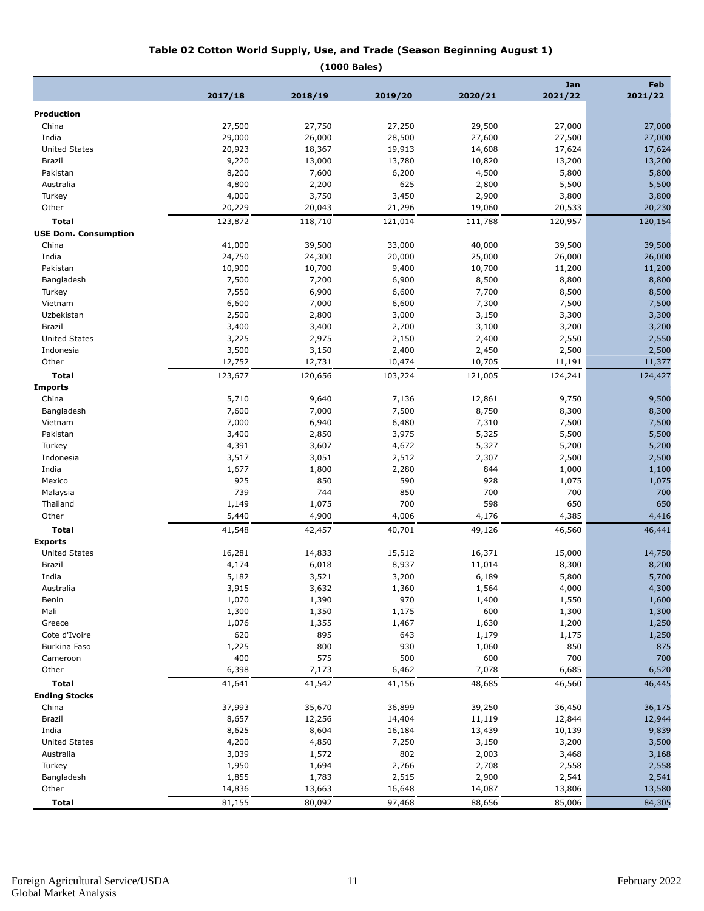#### **Table 02 Cotton World Supply, Use, and Trade (Season Beginning August 1)**

**(1000 Bales)**

|                             |                |                |                |                | Jan            | Feb<br>2021/22 |  |  |
|-----------------------------|----------------|----------------|----------------|----------------|----------------|----------------|--|--|
|                             | 2017/18        | 2018/19        | 2019/20        | 2020/21        | 2021/22        |                |  |  |
| <b>Production</b>           |                |                |                |                |                |                |  |  |
| China                       | 27,500         | 27,750         | 27,250         | 29,500         | 27,000         | 27,000         |  |  |
| India                       | 29,000         | 26,000         | 28,500         | 27,600         | 27,500         | 27,000         |  |  |
| <b>United States</b>        | 20,923         | 18,367         | 19,913         | 14,608         | 17,624         | 17,624         |  |  |
| Brazil                      | 9,220          | 13,000         | 13,780         | 10,820         | 13,200         | 13,200         |  |  |
| Pakistan                    | 8,200          | 7,600          | 6,200          | 4,500          | 5,800          | 5,800          |  |  |
| Australia                   | 4,800          | 2,200          | 625            | 2,800          | 5,500          | 5,500          |  |  |
| Turkey                      | 4,000          | 3,750          | 3,450          | 2,900          | 3,800          | 3,800          |  |  |
| Other                       | 20,229         | 20,043         | 21,296         | 19,060         | 20,533         | 20,230         |  |  |
| <b>Total</b>                | 123,872        | 118,710        | 121,014        | 111,788        | 120,957        | 120,154        |  |  |
| <b>USE Dom. Consumption</b> |                |                |                |                |                |                |  |  |
| China                       | 41,000         | 39,500         | 33,000         | 40,000         | 39,500         | 39,500         |  |  |
| India                       | 24,750         | 24,300         | 20,000         | 25,000         | 26,000         | 26,000         |  |  |
| Pakistan                    | 10,900         | 10,700         | 9,400          | 10,700         | 11,200         | 11,200         |  |  |
| Bangladesh                  | 7,500          | 7,200          | 6,900          | 8,500          | 8,800          | 8,800          |  |  |
| Turkey                      | 7,550          | 6,900          | 6,600          | 7,700          | 8,500          | 8,500          |  |  |
| Vietnam                     | 6,600          | 7,000          | 6,600          | 7,300          | 7,500          | 7,500          |  |  |
| Uzbekistan                  | 2,500          | 2,800          | 3,000          | 3,150          | 3,300          | 3,300          |  |  |
| Brazil                      | 3,400          | 3,400          | 2,700          | 3,100          | 3,200          | 3,200          |  |  |
| <b>United States</b>        | 3,225          | 2,975          | 2,150          | 2,400          | 2,550          | 2,550          |  |  |
| Indonesia                   | 3,500          | 3,150          | 2,400          | 2,450          | 2,500          | 2,500          |  |  |
| Other                       | 12,752         | 12,731         | 10,474         | 10,705         | 11,191         | 11,377         |  |  |
| Total                       | 123,677        | 120,656        | 103,224        | 121,005        | 124,241        | 124,427        |  |  |
| <b>Imports</b>              |                |                |                |                |                |                |  |  |
| China                       | 5,710          | 9,640          | 7,136          | 12,861         | 9,750          | 9,500          |  |  |
| Bangladesh                  | 7,600          | 7,000          | 7,500          | 8,750          | 8,300          | 8,300          |  |  |
| Vietnam                     | 7,000          | 6,940          | 6,480          | 7,310          | 7,500          | 7,500          |  |  |
| Pakistan                    | 3,400          | 2,850          | 3,975          | 5,325          | 5,500          | 5,500          |  |  |
| Turkey                      | 4,391          | 3,607          | 4,672          | 5,327          | 5,200          | 5,200          |  |  |
| Indonesia                   | 3,517          | 3,051          | 2,512          | 2,307          | 2,500          | 2,500          |  |  |
| India                       | 1,677          | 1,800          | 2,280          | 844            | 1,000          | 1,100          |  |  |
| Mexico                      | 925            | 850            | 590            | 928            | 1,075          | 1,075          |  |  |
| Malaysia                    | 739            | 744            | 850            | 700            | 700            | 700            |  |  |
| Thailand                    | 1,149          | 1,075          | 700            | 598            | 650            | 650            |  |  |
| Other                       | 5,440          | 4,900          | 4,006          | 4,176          | 4,385          | 4,416          |  |  |
| <b>Total</b>                | 41,548         | 42,457         | 40,701         | 49,126         | 46,560         | 46,441         |  |  |
| <b>Exports</b>              |                |                |                |                |                |                |  |  |
| <b>United States</b>        | 16,281         | 14,833         | 15,512         | 16,371         | 15,000         | 14,750         |  |  |
| Brazil                      | 4,174          | 6,018          | 8,937          | 11,014         | 8,300          | 8,200          |  |  |
| India                       | 5,182          | 3,521          | 3,200          | 6,189          | 5,800          | 5,700          |  |  |
| Australia                   | 3,915          | 3,632          | 1,360<br>970   | 1,564          | 4,000          | 4,300          |  |  |
| Benin<br>Mali               | 1,070<br>1,300 | 1,390<br>1,350 |                | 1,400<br>600   | 1,550<br>1,300 | 1,600          |  |  |
| Greece                      | 1,076          |                | 1,175<br>1,467 |                |                | 1,300          |  |  |
| Cote d'Ivoire               | 620            | 1,355<br>895   | 643            | 1,630<br>1,179 | 1,200<br>1,175 | 1,250<br>1,250 |  |  |
| Burkina Faso                | 1,225          | 800            | 930            | 1,060          | 850            | 875            |  |  |
| Cameroon                    | 400            | 575            | 500            | 600            | 700            | 700            |  |  |
| Other                       | 6,398          | 7,173          | 6,462          | 7,078          | 6,685          | 6,520          |  |  |
| <b>Total</b>                | 41,641         |                | 41,156         | 48,685         | 46,560         | 46,445         |  |  |
| <b>Ending Stocks</b>        |                | 41,542         |                |                |                |                |  |  |
| China                       | 37,993         | 35,670         | 36,899         | 39,250         | 36,450         | 36,175         |  |  |
| Brazil                      | 8,657          | 12,256         | 14,404         | 11,119         | 12,844         | 12,944         |  |  |
| India                       | 8,625          | 8,604          | 16,184         | 13,439         | 10,139         | 9,839          |  |  |
| <b>United States</b>        | 4,200          | 4,850          | 7,250          | 3,150          | 3,200          | 3,500          |  |  |
| Australia                   | 3,039          | 1,572          | 802            | 2,003          | 3,468          | 3,168          |  |  |
| Turkey                      | 1,950          | 1,694          | 2,766          | 2,708          | 2,558          | 2,558          |  |  |
| Bangladesh                  | 1,855          | 1,783          | 2,515          | 2,900          | 2,541          | 2,541          |  |  |
| Other                       | 14,836         | 13,663         | 16,648         | 14,087         | 13,806         | 13,580         |  |  |
| <b>Total</b>                | 81,155         | 80,092         | 97,468         | 88,656         | 85,006         | 84,305         |  |  |
|                             |                |                |                |                |                |                |  |  |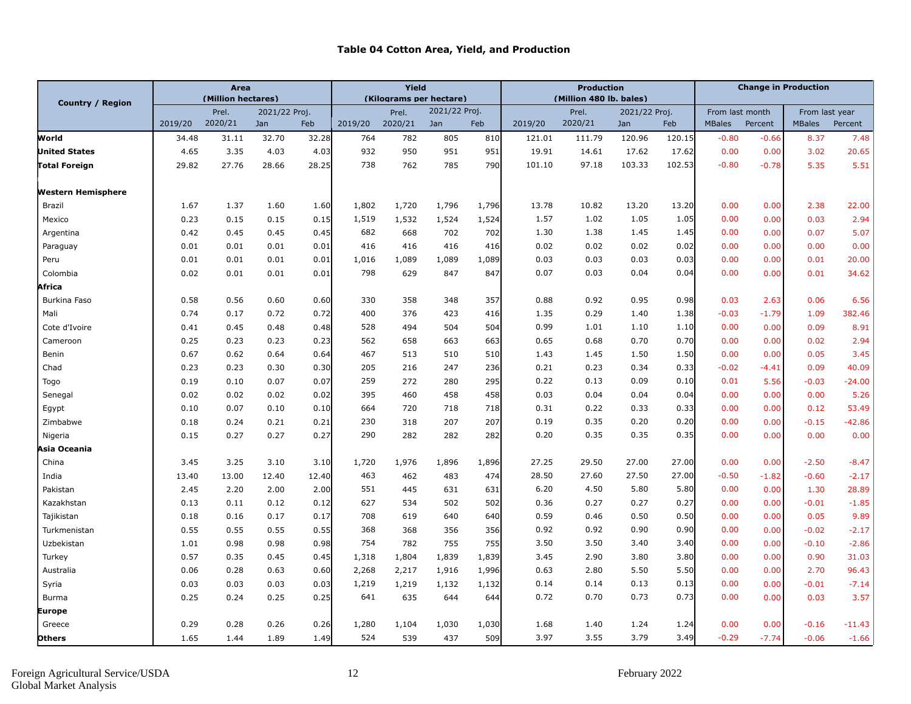#### **Table 04 Cotton Area, Yield, and Production**

|                      | <b>Area</b> |                    |               |       | Yield   |                         |               |       | <b>Production</b> |                         |               | <b>Change in Production</b> |                 |         |                |          |
|----------------------|-------------|--------------------|---------------|-------|---------|-------------------------|---------------|-------|-------------------|-------------------------|---------------|-----------------------------|-----------------|---------|----------------|----------|
| Country / Region     |             | (Million hectares) |               |       |         | (Kilograms per hectare) |               |       |                   | (Million 480 lb. bales) |               |                             |                 |         |                |          |
|                      |             | Prel.              | 2021/22 Proj. |       |         | Prel.                   | 2021/22 Proj. |       |                   | Prel.                   | 2021/22 Proj. |                             | From last month |         | From last year |          |
|                      | 2019/20     | 2020/21            | Jan           | Feb   | 2019/20 | 2020/21                 | Jan           | Feb   | 2019/20           | 2020/21                 | Jan           | Feb                         | <b>MBales</b>   | Percent | <b>MBales</b>  | Percent  |
| World                | 34.48       | 31.11              | 32.70         | 32.28 | 764     | 782                     | 805           | 810   | 121.01            | 111.79                  | 120.96        | 120.15                      | $-0.80$         | $-0.66$ | 8.37           | 7.48     |
| <b>United States</b> | 4.65        | 3.35               | 4.03          | 4.03  | 932     | 950                     | 951           | 951   | 19.91             | 14.61                   | 17.62         | 17.62                       | 0.00            | 0.00    | 3.02           | 20.65    |
| Total Foreign        | 29.82       | 27.76              | 28.66         | 28.25 | 738     | 762                     | 785           | 790   | 101.10            | 97.18                   | 103.33        | 102.53                      | $-0.80$         | $-0.78$ | 5.35           | 5.51     |
| Western Hemisphere   |             |                    |               |       |         |                         |               |       |                   |                         |               |                             |                 |         |                |          |
| Brazil               | 1.67        | 1.37               | 1.60          | 1.60  | 1,802   | 1,720                   | 1,796         | 1,796 | 13.78             | 10.82                   | 13.20         | 13.20                       | 0.00            | 0.00    | 2.38           | 22.00    |
| Mexico               | 0.23        | 0.15               | 0.15          | 0.15  | 1,519   | 1,532                   | 1,524         | 1,524 | 1.57              | 1.02                    | 1.05          | 1.05                        | 0.00            | 0.00    | 0.03           | 2.94     |
| Argentina            | 0.42        | 0.45               | 0.45          | 0.45  | 682     | 668                     | 702           | 702   | 1.30              | 1.38                    | 1.45          | 1.45                        | 0.00            | 0.00    | 0.07           | 5.07     |
| Paraguay             | 0.01        | 0.01               | 0.01          | 0.01  | 416     | 416                     | 416           | 416   | 0.02              | 0.02                    | 0.02          | 0.02                        | 0.00            | 0.00    | 0.00           | 0.00     |
| Peru                 | 0.01        | 0.01               | 0.01          | 0.01  | 1,016   | 1,089                   | 1,089         | 1,089 | 0.03              | 0.03                    | 0.03          | 0.03                        | 0.00            | 0.00    | 0.01           | 20.00    |
| Colombia             | 0.02        | 0.01               | 0.01          | 0.01  | 798     | 629                     | 847           | 847   | 0.07              | 0.03                    | 0.04          | 0.04                        | 0.00            | 0.00    | 0.01           | 34.62    |
| Africa               |             |                    |               |       |         |                         |               |       |                   |                         |               |                             |                 |         |                |          |
| Burkina Faso         | 0.58        | 0.56               | 0.60          | 0.60  | 330     | 358                     | 348           | 357   | 0.88              | 0.92                    | 0.95          | 0.98                        | 0.03            | 2.63    | 0.06           | 6.56     |
| Mali                 | 0.74        | 0.17               | 0.72          | 0.72  | 400     | 376                     | 423           | 416   | 1.35              | 0.29                    | 1.40          | 1.38                        | $-0.03$         | $-1.79$ | 1.09           | 382.46   |
| Cote d'Ivoire        | 0.41        | 0.45               | 0.48          | 0.48  | 528     | 494                     | 504           | 504   | 0.99              | 1.01                    | 1.10          | 1.10                        | 0.00            | 0.00    | 0.09           | 8.91     |
| Cameroon             | 0.25        | 0.23               | 0.23          | 0.23  | 562     | 658                     | 663           | 663   | 0.65              | 0.68                    | 0.70          | 0.70                        | 0.00            | 0.00    | 0.02           | 2.94     |
| Benin                | 0.67        | 0.62               | 0.64          | 0.64  | 467     | 513                     | 510           | 510   | 1.43              | 1.45                    | 1.50          | 1.50                        | 0.00            | 0.00    | 0.05           | 3.45     |
| Chad                 | 0.23        | 0.23               | 0.30          | 0.30  | 205     | 216                     | 247           | 236   | 0.21              | 0.23                    | 0.34          | 0.33                        | $-0.02$         | -4.41   | 0.09           | 40.09    |
| Togo                 | 0.19        | 0.10               | 0.07          | 0.07  | 259     | 272                     | 280           | 295   | 0.22              | 0.13                    | 0.09          | 0.10                        | 0.01            | 5.56    | $-0.03$        | $-24.00$ |
| Senegal              | 0.02        | 0.02               | 0.02          | 0.02  | 395     | 460                     | 458           | 458   | 0.03              | 0.04                    | 0.04          | 0.04                        | 0.00            | 0.00    | 0.00           | 5.26     |
| Egypt                | 0.10        | 0.07               | 0.10          | 0.10  | 664     | 720                     | 718           | 718   | 0.31              | 0.22                    | 0.33          | 0.33                        | 0.00            | 0.00    | 0.12           | 53.49    |
| Zimbabwe             | 0.18        | 0.24               | 0.21          | 0.21  | 230     | 318                     | 207           | 207   | 0.19              | 0.35                    | 0.20          | 0.20                        | 0.00            | 0.00    | $-0.15$        | $-42.86$ |
| Nigeria              | 0.15        | 0.27               | 0.27          | 0.27  | 290     | 282                     | 282           | 282   | 0.20              | 0.35                    | 0.35          | 0.35                        | 0.00            | 0.00    | 0.00           | 0.00     |
| Asia Oceania         |             |                    |               |       |         |                         |               |       |                   |                         |               |                             |                 |         |                |          |
| China                | 3.45        | 3.25               | 3.10          | 3.10  | 1,720   | 1,976                   | 1,896         | 1,896 | 27.25             | 29.50                   | 27.00         | 27.00                       | 0.00            | 0.00    | $-2.50$        | $-8.47$  |
| India                | 13.40       | 13.00              | 12.40         | 12.40 | 463     | 462                     | 483           | 474   | 28.50             | 27.60                   | 27.50         | 27.00                       | $-0.50$         | $-1.82$ | $-0.60$        | $-2.17$  |
| Pakistan             | 2.45        | 2.20               | 2.00          | 2.00  | 551     | 445                     | 631           | 631   | 6.20              | 4.50                    | 5.80          | 5.80                        | 0.00            | 0.00    | 1.30           | 28.89    |
| Kazakhstan           | 0.13        | 0.11               | 0.12          | 0.12  | 627     | 534                     | 502           | 502   | 0.36              | 0.27                    | 0.27          | 0.27                        | 0.00            | 0.00    | $-0.01$        | $-1.85$  |
| Tajikistan           | 0.18        | 0.16               | 0.17          | 0.17  | 708     | 619                     | 640           | 640   | 0.59              | 0.46                    | 0.50          | 0.50                        | 0.00            | 0.00    | 0.05           | 9.89     |
| Turkmenistan         | 0.55        | 0.55               | 0.55          | 0.55  | 368     | 368                     | 356           | 356   | 0.92              | 0.92                    | 0.90          | 0.90                        | 0.00            | 0.00    | $-0.02$        | $-2.17$  |
| Uzbekistan           | 1.01        | 0.98               | 0.98          | 0.98  | 754     | 782                     | 755           | 755   | 3.50              | 3.50                    | 3.40          | 3.40                        | 0.00            | 0.00    | $-0.10$        | $-2.86$  |
| Turkey               | 0.57        | 0.35               | 0.45          | 0.45  | 1,318   | 1,804                   | 1,839         | 1,839 | 3.45              | 2.90                    | 3.80          | 3.80                        | 0.00            | 0.00    | 0.90           | 31.03    |
| Australia            | 0.06        | 0.28               | 0.63          | 0.60  | 2,268   | 2,217                   | 1,916         | 1,996 | 0.63              | 2.80                    | 5.50          | 5.50                        | 0.00            | 0.00    | 2.70           | 96.43    |
| Syria                | 0.03        | 0.03               | 0.03          | 0.03  | 1,219   | 1,219                   | 1,132         | 1,132 | 0.14              | 0.14                    | 0.13          | 0.13                        | 0.00            | 0.00    | $-0.01$        | $-7.14$  |
| <b>Burma</b>         | 0.25        | 0.24               | 0.25          | 0.25  | 641     | 635                     | 644           | 644   | 0.72              | 0.70                    | 0.73          | 0.73                        | 0.00            | 0.00    | 0.03           | 3.57     |
| Europe               |             |                    |               |       |         |                         |               |       |                   |                         |               |                             |                 |         |                |          |
| Greece               | 0.29        | 0.28               | 0.26          | 0.26  | 1,280   | 1,104                   | 1,030         | 1,030 | 1.68              | 1.40                    | 1.24          | 1.24                        | 0.00            | 0.00    | $-0.16$        | $-11.43$ |
| <b>Others</b>        | 1.65        | 1.44               | 1.89          | 1.49  | 524     | 539                     | 437           | 509   | 3.97              | 3.55                    | 3.79          | 3.49                        | $-0.29$         | $-7.74$ | $-0.06$        | $-1.66$  |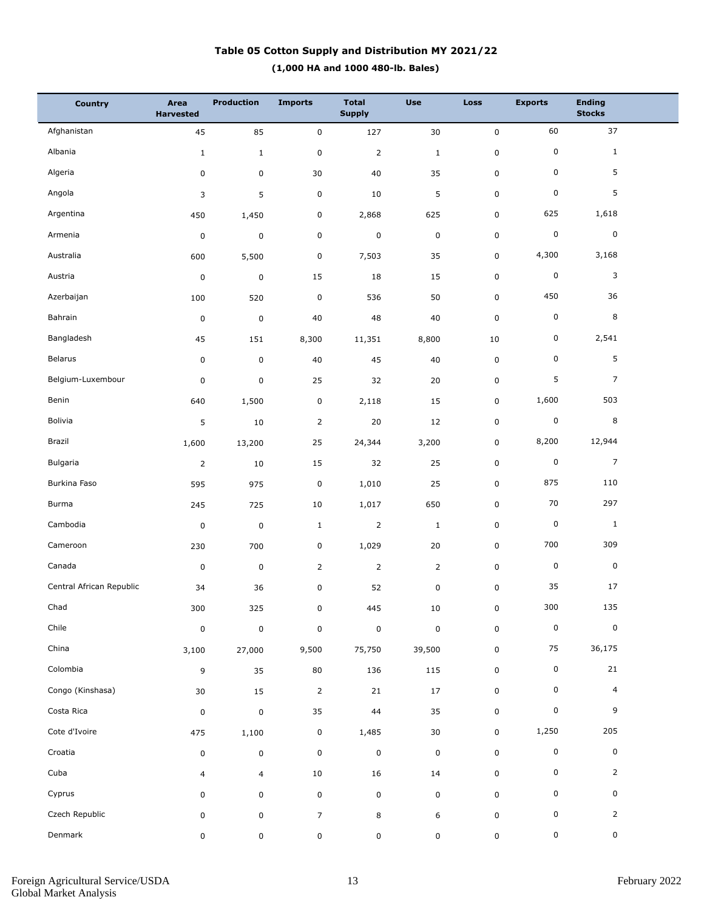## **(1,000 HA and 1000 480-lb. Bales) Table 05 Cotton Supply and Distribution MY 2021/22**

| <b>Country</b>           | Area<br><b>Harvested</b> | <b>Production</b> | <b>Imports</b> | <b>Total</b><br><b>Supply</b> | <b>Use</b>     | <b>Loss</b> | <b>Exports</b> | <b>Ending</b><br><b>Stocks</b> |  |
|--------------------------|--------------------------|-------------------|----------------|-------------------------------|----------------|-------------|----------------|--------------------------------|--|
| Afghanistan              | 45                       | 85                | $\pmb{0}$      | 127                           | 30             | $\mathbf 0$ | 60             | 37                             |  |
| Albania                  | $\mathbf{1}$             | $\mathbf{1}$      | $\pmb{0}$      | $\overline{2}$                | $\mathbf 1$    | $\pmb{0}$   | 0              | $\mathbf{1}$                   |  |
| Algeria                  | 0                        | 0                 | $30\,$         | 40                            | 35             | $\mathsf 0$ | 0              | 5                              |  |
| Angola                   | 3                        | 5                 | $\pmb{0}$      | 10                            | 5              | $\mathsf 0$ | $\pmb{0}$      | 5                              |  |
| Argentina                | 450                      | 1,450             | $\pmb{0}$      | 2,868                         | 625            | $\mathsf 0$ | 625            | 1,618                          |  |
| Armenia                  | $\pmb{0}$                | $\mathsf 0$       | $\pmb{0}$      | $\pmb{0}$                     | $\pmb{0}$      | $\mathsf 0$ | 0              | $\pmb{0}$                      |  |
| Australia                | 600                      | 5,500             | $\pmb{0}$      | 7,503                         | 35             | $\mathbf 0$ | 4,300          | 3,168                          |  |
| Austria                  | $\pmb{0}$                | $\mathsf 0$       | 15             | 18                            | 15             | $\mathbf 0$ | 0              | 3                              |  |
| Azerbaijan               | 100                      | 520               | $\pmb{0}$      | 536                           | 50             | $\mathsf 0$ | 450            | 36                             |  |
| Bahrain                  | $\pmb{0}$                | $\mathsf 0$       | 40             | 48                            | 40             | $\mathsf 0$ | 0              | 8                              |  |
| Bangladesh               | 45                       | 151               | 8,300          | 11,351                        | 8,800          | 10          | 0              | 2,541                          |  |
| Belarus                  | 0                        | $\pmb{0}$         | 40             | 45                            | 40             | $\mathsf 0$ | 0              | 5                              |  |
| Belgium-Luxembour        | $\pmb{0}$                | $\mathsf 0$       | 25             | 32                            | $20\,$         | $\pmb{0}$   | 5              | $\overline{7}$                 |  |
| Benin                    | 640                      | 1,500             | $\pmb{0}$      | 2,118                         | 15             | 0           | 1,600          | 503                            |  |
| Bolivia                  | 5                        | 10                | $\overline{2}$ | 20                            | 12             | $\pmb{0}$   | 0              | 8                              |  |
| Brazil                   | 1,600                    | 13,200            | 25             | 24,344                        | 3,200          | 0           | 8,200          | 12,944                         |  |
| Bulgaria                 | $\overline{2}$           | 10                | 15             | 32                            | 25             | $\pmb{0}$   | 0              | $\overline{7}$                 |  |
| Burkina Faso             | 595                      | 975               | $\pmb{0}$      | 1,010                         | 25             | $\mathbf 0$ | 875            | 110                            |  |
| Burma                    | 245                      | 725               | 10             | 1,017                         | 650            | $\mathsf 0$ | 70             | 297                            |  |
| Cambodia                 | $\pmb{0}$                | $\mathsf 0$       | $\mathbf{1}$   | $\overline{2}$                | $\mathbf 1$    | $\mathsf 0$ | 0              | $\mathbf{1}$                   |  |
| Cameroon                 | 230                      | 700               | $\pmb{0}$      | 1,029                         | 20             | $\mathsf 0$ | 700            | 309                            |  |
| Canada                   | $\pmb{0}$                | $\mathsf 0$       | $\overline{2}$ | $\overline{2}$                | $\overline{2}$ | $\mathbf 0$ | 0              | $\pmb{0}$                      |  |
| Central African Republic | 34                       | 36                | $\pmb{0}$      | 52                            | $\pmb{0}$      | $\mathsf 0$ | 35             | 17                             |  |
| Chad                     | 300                      | 325               | $\mathbf 0$    | 445                           | $10\,$         | $\mathsf 0$ | 300            | 135                            |  |
| Chile                    | $\pmb{0}$                | $\pmb{0}$         | $\pmb{0}$      | $\pmb{0}$                     | $\pmb{0}$      | $\pmb{0}$   | 0              | $\pmb{0}$                      |  |
| China                    | 3,100                    | 27,000            | 9,500          | 75,750                        | 39,500         | $\mathbf 0$ | 75             | 36,175                         |  |
| Colombia                 | 9                        | 35                | 80             | 136                           | 115            | $\pmb{0}$   | 0              | 21                             |  |
| Congo (Kinshasa)         | 30                       | 15                | $\overline{2}$ | 21                            | 17             | $\mathbf 0$ | 0              | $\overline{4}$                 |  |
| Costa Rica               | 0                        | $\pmb{0}$         | 35             | 44                            | 35             | $\mathbf 0$ | 0              | 9                              |  |
| Cote d'Ivoire            | 475                      | 1,100             | $\pmb{0}$      | 1,485                         | 30             | $\mathbf 0$ | 1,250          | 205                            |  |
| Croatia                  | 0                        | $\mathsf 0$       | $\pmb{0}$      | $\pmb{0}$                     | $\pmb{0}$      | $\mathbf 0$ | 0              | $\mathsf 0$                    |  |
| Cuba                     | $\overline{4}$           | $\overline{4}$    | $10\,$         | 16                            | 14             | $\pmb{0}$   | 0              | $\overline{2}$                 |  |
| Cyprus                   | 0                        | 0                 | $\pmb{0}$      | $\mathbf 0$                   | 0              | $\mathbf 0$ | 0              | 0                              |  |
| Czech Republic           | 0                        | $\mathsf 0$       | $\overline{7}$ | 8                             | 6              | $\pmb{0}$   | 0              | $\overline{2}$                 |  |
| Denmark                  | 0                        | 0                 | $\mathsf 0$    | $\mathsf 0$                   | 0              | $\mathsf 0$ | 0              | 0                              |  |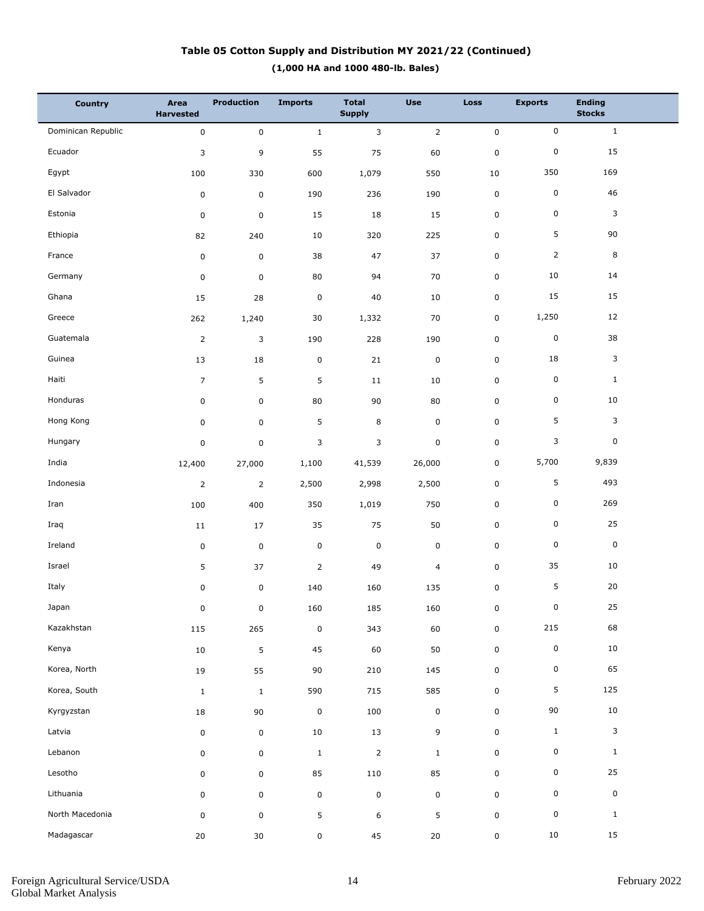## **(1,000 HA and 1000 480-lb. Bales) Table 05 Cotton Supply and Distribution MY 2021/22 (Continued)**

| <b>Country</b>     | Area<br><b>Harvested</b> | <b>Production</b> | <b>Imports</b> | <b>Total</b><br><b>Supply</b> | <b>Use</b>     | <b>Loss</b>  | <b>Exports</b>  | <b>Ending</b><br><b>Stocks</b> |  |
|--------------------|--------------------------|-------------------|----------------|-------------------------------|----------------|--------------|-----------------|--------------------------------|--|
| Dominican Republic | $\mathbf 0$              | $\mathbf 0$       | $\mathbf{1}$   | 3                             | $\overline{2}$ | $\mathsf{O}$ | $\mathbf 0$     | $\mathbf{1}$                   |  |
| Ecuador            | 3                        | 9                 | 55             | 75                            | 60             | $\pmb{0}$    | $\pmb{0}$       | 15                             |  |
| Egypt              | 100                      | 330               | 600            | 1,079                         | 550            | 10           | 350             | 169                            |  |
| El Salvador        | $\pmb{0}$                | $\pmb{0}$         | 190            | 236                           | 190            | 0            | $\pmb{0}$       | 46                             |  |
| Estonia            | $\pmb{0}$                | $\pmb{0}$         | 15             | 18                            | 15             | 0            | $\pmb{0}$       | 3                              |  |
| Ethiopia           | 82                       | 240               | 10             | 320                           | 225            | 0            | 5               | 90                             |  |
| France             | $\pmb{0}$                | $\mathsf 0$       | 38             | 47                            | 37             | 0            | $\overline{2}$  | 8                              |  |
| Germany            | 0                        | $\mathbf 0$       | 80             | 94                            | 70             | 0            | 10              | 14                             |  |
| Ghana              | 15                       | 28                | $\pmb{0}$      | 40                            | 10             | 0            | 15              | 15                             |  |
| Greece             | 262                      | 1,240             | 30             | 1,332                         | 70             | 0            | 1,250           | 12                             |  |
| Guatemala          | $\overline{2}$           | 3                 | 190            | 228                           | 190            | $\mathbf 0$  | $\pmb{0}$       | 38                             |  |
| Guinea             | 13                       | 18                | $\pmb{0}$      | 21                            | $\mathbf 0$    | 0            | 18              | 3                              |  |
| Haiti              | $\overline{7}$           | 5                 | 5              | 11                            | 10             | 0            | $\pmb{0}$       | $\mathbf{1}$                   |  |
| Honduras           | 0                        | 0                 | 80             | 90                            | 80             | 0            | $\pmb{0}$       | 10                             |  |
| Hong Kong          | 0                        | 0                 | 5              | 8                             | $\mathbf 0$    | 0            | 5               | 3                              |  |
| Hungary            | 0                        | $\pmb{0}$         | 3              | 3                             | $\pmb{0}$      | 0            | 3               | 0                              |  |
| India              | 12,400                   | 27,000            | 1,100          | 41,539                        | 26,000         | 0            | 5,700           | 9,839                          |  |
| Indonesia          | $\overline{2}$           | $\overline{2}$    | 2,500          | 2,998                         | 2,500          | 0            | 5               | 493                            |  |
| Iran               | 100                      | 400               | 350            | 1,019                         | 750            | $\pmb{0}$    | $\mathsf 0$     | 269                            |  |
| Iraq               | 11                       | 17                | 35             | 75                            | 50             | 0            | $\pmb{0}$       | 25                             |  |
| Ireland            | $\pmb{0}$                | $\pmb{0}$         | $\pmb{0}$      | $\pmb{0}$                     | $\mathbf 0$    | 0            | 0               | $\mathsf 0$                    |  |
| Israel             | 5                        | 37                | $\overline{2}$ | 49                            | $\overline{4}$ | 0            | 35              | 10                             |  |
| Italy              | 0                        | $\pmb{0}$         | 140            | 160                           | 135            | $\pmb{0}$    | 5               | 20                             |  |
| Japan              | $\mathbf 0$              | $\pmb{0}$         | 160            | 185                           | 160            | $\mathbf 0$  | $\mathbf 0$     | 25                             |  |
| Kazakhstan         | 115                      | 265               | $\pmb{0}$      | 343                           | 60             | $\mathbf 0$  | 215             | 68                             |  |
| Kenya              | $10\,$                   | $\overline{5}$    | 45             | 60                            | 50             | $\mathbf 0$  | $\pmb{0}$       | $10\,$                         |  |
| Korea, North       | $19\,$                   | 55                | 90             | 210                           | 145            | $\mathbf 0$  | 0               | 65                             |  |
| Korea, South       | $1\,$                    | $\mathbf 1$       | 590            | 715                           | 585            | $\mathbf 0$  | $5\phantom{.0}$ | 125                            |  |
| Kyrgyzstan         | $18\,$                   | $90\,$            | $\pmb{0}$      | 100                           | $\pmb{0}$      | $\mathbf 0$  | $90\,$          | $10\,$                         |  |
| Latvia             | $\pmb{0}$                | $\mathsf 0$       | 10             | 13                            | $\mathsf g$    | $\mathbf 0$  | $\mathbf{1}$    | $\mathbf{3}$                   |  |
| Lebanon            | 0                        | $\mathsf 0$       | $\mathbf{1}$   | $\mathbf 2$                   | $\mathbf{1}$   | 0            | 0               | $\mathbf{1}$                   |  |
| Lesotho            | $\mathsf{O}\xspace$      | $\mathsf 0$       | 85             | 110                           | 85             | $\mathbf 0$  | 0               | 25                             |  |
| Lithuania          | $\pmb{0}$                | $\mathsf 0$       | $\pmb{0}$      | $\pmb{0}$                     | $\pmb{0}$      | $\mathbf 0$  | 0               | $\mathbf 0$                    |  |
| North Macedonia    | $\pmb{0}$                | $\mathsf 0$       | 5              | 6                             | 5              | 0            | $\pmb{0}$       | $\mathbf{1}$                   |  |
| Madagascar         | 20                       | 30                | $\pmb{0}$      | 45                            | $20\,$         | $\mathbf 0$  | $10\,$          | 15                             |  |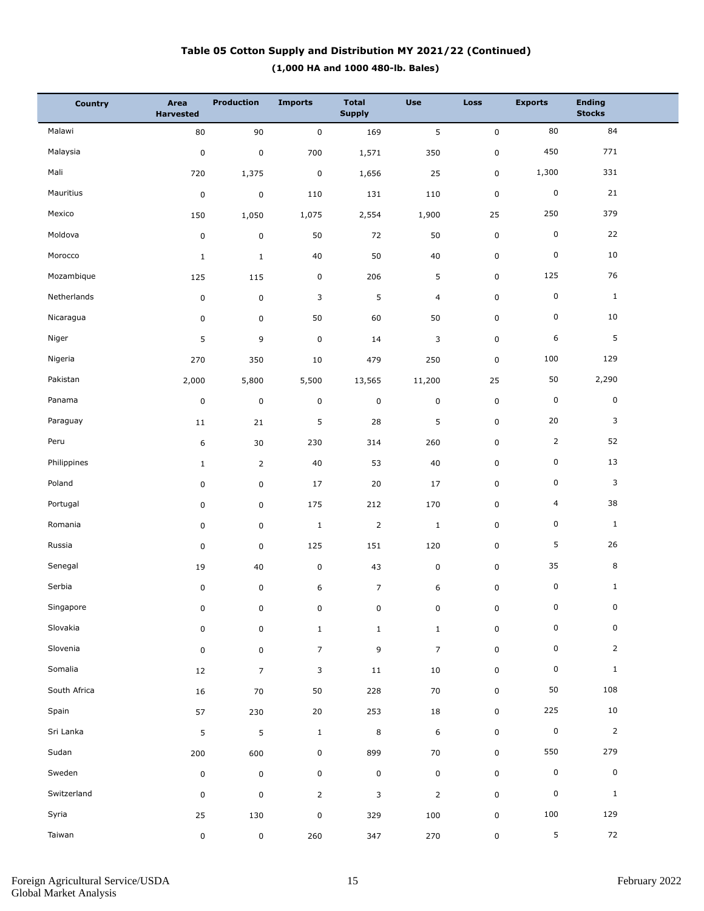## **(1,000 HA and 1000 480-lb. Bales) Table 05 Cotton Supply and Distribution MY 2021/22 (Continued)**

| <b>Country</b> | Area<br><b>Harvested</b> | <b>Production</b> | <b>Imports</b> | <b>Total</b><br><b>Supply</b> | <b>Use</b>     | <b>Loss</b> | <b>Exports</b>          | <b>Ending</b><br><b>Stocks</b> |  |
|----------------|--------------------------|-------------------|----------------|-------------------------------|----------------|-------------|-------------------------|--------------------------------|--|
| Malawi         | 80                       | 90                | $\pmb{0}$      | 169                           | 5              | $\mathsf 0$ | 80                      | 84                             |  |
| Malaysia       | $\pmb{0}$                | $\mathbf 0$       | 700            | 1,571                         | 350            | $\pmb{0}$   | 450                     | 771                            |  |
| Mali           | 720                      | 1,375             | $\pmb{0}$      | 1,656                         | 25             | 0           | 1,300                   | 331                            |  |
| Mauritius      | $\pmb{0}$                | $\mathsf 0$       | 110            | 131                           | 110            | $\mathsf 0$ | $\mathsf 0$             | 21                             |  |
| Mexico         | 150                      | 1,050             | 1,075          | 2,554                         | 1,900          | 25          | 250                     | 379                            |  |
| Moldova        | $\pmb{0}$                | 0                 | 50             | 72                            | 50             | $\mathsf 0$ | 0                       | 22                             |  |
| Morocco        | $\mathbf 1$              | $\mathbf{1}$      | $40\,$         | 50                            | $40\,$         | $\pmb{0}$   | 0                       | 10                             |  |
| Mozambique     | 125                      | 115               | $\pmb{0}$      | 206                           | 5              | $\mathsf 0$ | 125                     | 76                             |  |
| Netherlands    | $\pmb{0}$                | $\mathsf 0$       | 3              | $\mathsf S$                   | 4              | $\pmb{0}$   | 0                       | $\,$ 1 $\,$                    |  |
| Nicaragua      | 0                        | $\mathsf 0$       | 50             | 60                            | 50             | 0           | 0                       | 10                             |  |
| Niger          | 5                        | 9                 | $\mathbf 0$    | 14                            | 3              | $\pmb{0}$   | 6                       | 5                              |  |
| Nigeria        | 270                      | 350               | 10             | 479                           | 250            | $\mathsf 0$ | 100                     | 129                            |  |
| Pakistan       | 2,000                    | 5,800             | 5,500          | 13,565                        | 11,200         | 25          | 50                      | 2,290                          |  |
| Panama         | $\pmb{0}$                | $\mathbf 0$       | $\pmb{0}$      | $\pmb{0}$                     | 0              | $\mathsf 0$ | $\mathsf 0$             | $\pmb{0}$                      |  |
| Paraguay       | $11\,$                   | 21                | 5              | 28                            | 5              | 0           | 20                      | 3                              |  |
| Peru           | 6                        | 30                | 230            | 314                           | 260            | 0           | $\overline{2}$          | 52                             |  |
| Philippines    | $\mathbf{1}$             | $\overline{2}$    | 40             | 53                            | 40             | 0           | 0                       | 13                             |  |
| Poland         | 0                        | $\mathsf 0$       | 17             | 20                            | 17             | 0           | 0                       | 3                              |  |
| Portugal       | 0                        | $\mathsf 0$       | 175            | 212                           | 170            | 0           | $\overline{\mathbf{4}}$ | 38                             |  |
| Romania        | 0                        | $\mathsf 0$       | $\mathbf{1}$   | $\overline{2}$                | $\mathbf{1}$   | 0           | 0                       | $\mathbf{1}$                   |  |
| Russia         | 0                        | $\mathsf 0$       | 125            | 151                           | 120            | $\pmb{0}$   | 5                       | 26                             |  |
| Senegal        | 19                       | 40                | $\pmb{0}$      | 43                            | 0              | 0           | 35                      | 8                              |  |
| Serbia         | 0                        | $\mathsf 0$       | 6              | $\overline{7}$                | 6              | $\mathsf 0$ | 0                       | $\mathbf{1}$                   |  |
| Singapore      | 0                        | $\pmb{0}$         | 0              | $\pmb{0}$                     | 0              | $\mathsf 0$ | $\mathbf 0$             | $\mathbf 0$                    |  |
| Slovakia       | 0                        | $\mathsf 0$       | $1\,$          | $\mathbf{1}$                  | $\mathbf{1}$   | $\pmb{0}$   | 0                       | $\pmb{0}$                      |  |
| Slovenia       | $\pmb{0}$                | $\mathsf 0$       | $\overline{7}$ | 9                             | $\overline{7}$ | $\mathsf 0$ | 0                       | $\overline{2}$                 |  |
| Somalia        | 12                       | $\overline{7}$    | 3              | $11\,$                        | $10\,$         | $\mathsf 0$ | 0                       | $\mathbf{1}$                   |  |
| South Africa   | 16                       | $70\,$            | 50             | 228                           | 70             | $\mathbf 0$ | $50\,$                  | 108                            |  |
| Spain          | 57                       | 230               | 20             | 253                           | 18             | $\mathbf 0$ | 225                     | $10\,$                         |  |
| Sri Lanka      | 5                        | 5                 | $\mathbf{1}$   | $\,8\,$                       | 6              | $\mathsf 0$ | $\pmb{0}$               | $\overline{2}$                 |  |
| Sudan          | 200                      | 600               | $\pmb{0}$      | 899                           | 70             | $\mathbf 0$ | 550                     | 279                            |  |
| Sweden         | $\pmb{0}$                | $\mathbf 0$       | $\pmb{0}$      | $\mathbf 0$                   | $\pmb{0}$      | $\mathsf 0$ | 0                       | $\pmb{0}$                      |  |
| Switzerland    | 0                        | $\mathsf 0$       | $\overline{2}$ | 3                             | $\overline{2}$ | $\mathsf 0$ | $\mathsf 0$             | $\mathbf{1}$                   |  |
| Syria          | 25                       | 130               | $\pmb{0}$      | 329                           | 100            | $\pmb{0}$   | 100                     | 129                            |  |
| Taiwan         | 0                        | $\mathbf 0$       | 260            | 347                           | 270            | $\mathsf 0$ | 5                       | 72                             |  |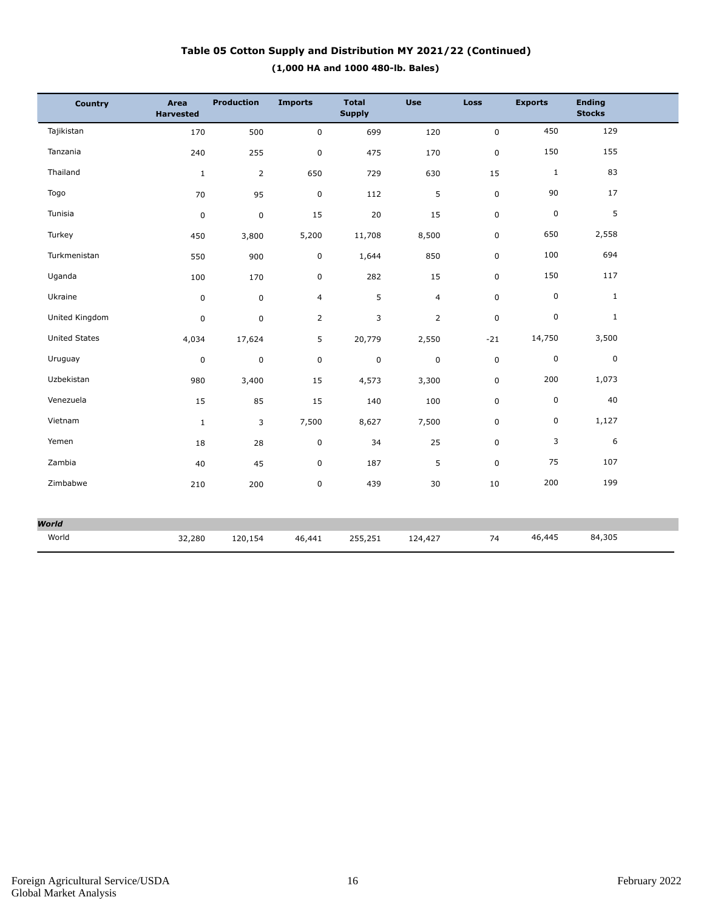## **(1,000 HA and 1000 480-lb. Bales) Table 05 Cotton Supply and Distribution MY 2021/22 (Continued)**

| <b>Country</b>       | Area<br><b>Harvested</b> | <b>Production</b> | <b>Imports</b> | <b>Total</b><br><b>Supply</b> | <b>Use</b>     | <b>Loss</b> | <b>Exports</b> | <b>Ending</b><br><b>Stocks</b> |  |
|----------------------|--------------------------|-------------------|----------------|-------------------------------|----------------|-------------|----------------|--------------------------------|--|
| Tajikistan           | 170                      | 500               | $\mathsf 0$    | 699                           | 120            | 0           | 450            | 129                            |  |
| Tanzania             | 240                      | 255               | $\mathbf 0$    | 475                           | 170            | 0           | 150            | 155                            |  |
| Thailand             | $\mathbf{1}$             | $\overline{2}$    | 650            | 729                           | 630            | 15          | $1\,$          | 83                             |  |
| Togo                 | 70                       | 95                | $\mathbf 0$    | 112                           | 5              | 0           | 90             | 17                             |  |
| Tunisia              | $\pmb{0}$                | $\pmb{0}$         | 15             | 20                            | 15             | 0           | $\pmb{0}$      | 5                              |  |
| Turkey               | 450                      | 3,800             | 5,200          | 11,708                        | 8,500          | 0           | 650            | 2,558                          |  |
| Turkmenistan         | 550                      | 900               | 0              | 1,644                         | 850            | 0           | 100            | 694                            |  |
| Uganda               | 100                      | 170               | $\pmb{0}$      | 282                           | 15             | 0           | 150            | 117                            |  |
| Ukraine              | $\pmb{0}$                | $\mathbf 0$       | $\overline{4}$ | 5                             | $\overline{4}$ | 0           | $\mathsf 0$    | $\mathbf{1}$                   |  |
| United Kingdom       | $\pmb{0}$                | $\pmb{0}$         | $\overline{2}$ | 3                             | $\overline{2}$ | 0           | 0              | $\mathbf{1}$                   |  |
| <b>United States</b> | 4,034                    | 17,624            | 5              | 20,779                        | 2,550          | $-21$       | 14,750         | 3,500                          |  |
| Uruguay              | $\pmb{0}$                | $\mathsf 0$       | $\mathbf 0$    | $\pmb{0}$                     | $\pmb{0}$      | 0           | $\pmb{0}$      | $\mathbf 0$                    |  |
| Uzbekistan           | 980                      | 3,400             | 15             | 4,573                         | 3,300          | 0           | 200            | 1,073                          |  |
| Venezuela            | 15                       | 85                | 15             | 140                           | 100            | 0           | $\pmb{0}$      | 40                             |  |
| Vietnam              | $\mathbf{1}$             | 3                 | 7,500          | 8,627                         | 7,500          | 0           | 0              | 1,127                          |  |
| Yemen                | 18                       | 28                | $\pmb{0}$      | 34                            | 25             | 0           | 3              | 6                              |  |
| Zambia               | 40                       | 45                | $\pmb{0}$      | 187                           | 5              | 0           | 75             | 107                            |  |
| Zimbabwe             | 210                      | 200               | $\pmb{0}$      | 439                           | 30             | 10          | 200            | 199                            |  |
|                      |                          |                   |                |                               |                |             |                |                                |  |
| <b>World</b>         |                          |                   |                |                               |                |             |                |                                |  |
| World                | 32,280                   | 120,154           | 46,441         | 255,251                       | 124,427        | 74          | 46,445         | 84,305                         |  |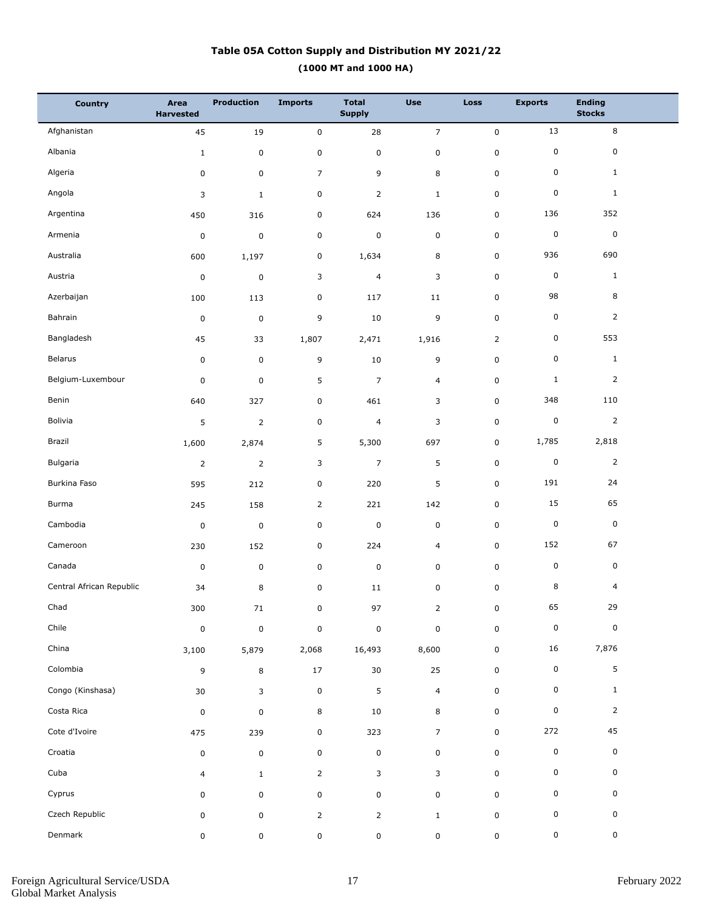## **(1000 MT and 1000 HA) Table 05A Cotton Supply and Distribution MY 2021/22**

| <b>Country</b>           | Area<br><b>Harvested</b> | <b>Production</b> | <b>Imports</b> | <b>Total</b><br><b>Supply</b> | <b>Use</b>     | <b>Loss</b>    | <b>Exports</b> | <b>Ending</b><br><b>Stocks</b> |  |
|--------------------------|--------------------------|-------------------|----------------|-------------------------------|----------------|----------------|----------------|--------------------------------|--|
| Afghanistan              | 45                       | 19                | $\pmb{0}$      | 28                            | $\overline{7}$ | $\mathbf 0$    | 13             | $\bf 8$                        |  |
| Albania                  | $1\,$                    | $\pmb{0}$         | $\pmb{0}$      | $\pmb{0}$                     | 0              | $\pmb{0}$      | 0              | $\mathsf 0$                    |  |
| Algeria                  | 0                        | $\mathsf 0$       | $\overline{7}$ | 9                             | 8              | $\pmb{0}$      | 0              | $\mathbf{1}$                   |  |
| Angola                   | 3                        | $\mathbf{1}$      | $\pmb{0}$      | $\overline{2}$                | $\mathbf 1$    | $\pmb{0}$      | 0              | $\mathbf{1}$                   |  |
| Argentina                | 450                      | 316               | $\pmb{0}$      | 624                           | 136            | $\pmb{0}$      | 136            | 352                            |  |
| Armenia                  | $\pmb{0}$                | $\mathbf 0$       | $\pmb{0}$      | $\pmb{0}$                     | $\pmb{0}$      | $\pmb{0}$      | 0              | $\pmb{0}$                      |  |
| Australia                | 600                      | 1,197             | $\pmb{0}$      | 1,634                         | 8              | $\pmb{0}$      | 936            | 690                            |  |
| Austria                  | $\pmb{0}$                | $\mathsf 0$       | 3              | $\overline{4}$                | 3              | $\pmb{0}$      | 0              | $\mathbf{1}$                   |  |
| Azerbaijan               | 100                      | 113               | $\pmb{0}$      | 117                           | 11             | $\pmb{0}$      | 98             | 8                              |  |
| Bahrain                  | $\pmb{0}$                | $\pmb{0}$         | 9              | $10\,$                        | 9              | $\pmb{0}$      | 0              | $\overline{2}$                 |  |
| Bangladesh               | 45                       | 33                | 1,807          | 2,471                         | 1,916          | $\overline{2}$ | 0              | 553                            |  |
| Belarus                  | $\pmb{0}$                | $\pmb{0}$         | 9              | $10\,$                        | 9              | $\pmb{0}$      | 0              | $1\,$                          |  |
| Belgium-Luxembour        | $\pmb{0}$                | $\pmb{0}$         | $\mathsf S$    | $\overline{7}$                | 4              | $\pmb{0}$      | $\mathbf{1}$   | $\overline{2}$                 |  |
| Benin                    | 640                      | 327               | $\pmb{0}$      | 461                           | 3              | 0              | 348            | 110                            |  |
| Bolivia                  | 5                        | $\overline{2}$    | $\pmb{0}$      | $\overline{4}$                | 3              | $\pmb{0}$      | 0              | $\overline{2}$                 |  |
| Brazil                   | 1,600                    | 2,874             | 5              | 5,300                         | 697            | 0              | 1,785          | 2,818                          |  |
| Bulgaria                 | $\overline{2}$           | $\overline{2}$    | 3              | $\overline{7}$                | 5              | $\pmb{0}$      | 0              | $\overline{2}$                 |  |
| Burkina Faso             | 595                      | 212               | $\pmb{0}$      | 220                           | 5              | $\pmb{0}$      | 191            | 24                             |  |
| Burma                    | 245                      | 158               | $\overline{2}$ | 221                           | 142            | $\pmb{0}$      | 15             | 65                             |  |
| Cambodia                 | $\pmb{0}$                | $\mathbf 0$       | $\pmb{0}$      | $\pmb{0}$                     | 0              | $\pmb{0}$      | 0              | $\pmb{0}$                      |  |
| Cameroon                 | 230                      | 152               | $\pmb{0}$      | 224                           | 4              | $\pmb{0}$      | 152            | 67                             |  |
| Canada                   | $\pmb{0}$                | $\pmb{0}$         | $\pmb{0}$      | $\pmb{0}$                     | 0              | $\pmb{0}$      | 0              | $\pmb{0}$                      |  |
| Central African Republic | 34                       | 8                 | $\pmb{0}$      | 11                            | 0              | $\pmb{0}$      | 8              | $\overline{4}$                 |  |
| Chad                     | $300\,$                  | $71\,$            | 0              | 97                            | $\overline{2}$ | 0              | 65             | 29                             |  |
| Chile                    | $\pmb{0}$                | $\pmb{0}$         | $\pmb{0}$      | $\pmb{0}$                     | $\pmb{0}$      | $\pmb{0}$      | $\pmb{0}$      | $\pmb{0}$                      |  |
| China                    | 3,100                    | 5,879             | 2,068          | 16,493                        | 8,600          | $\pmb{0}$      | 16             | 7,876                          |  |
| Colombia                 | 9                        | 8                 | $17\,$         | $30\,$                        | 25             | $\pmb{0}$      | 0              | $5\phantom{.0}$                |  |
| Congo (Kinshasa)         | $30\,$                   | 3                 | $\pmb{0}$      | $\sqrt{5}$                    | $\overline{4}$ | $\pmb{0}$      | 0              | $\mathbf{1}$                   |  |
| Costa Rica               | $\pmb{0}$                | $\pmb{0}$         | $\,8\,$        | $10\,$                        | 8              | $\pmb{0}$      | 0              | $\overline{2}$                 |  |
| Cote d'Ivoire            | 475                      | 239               | $\pmb{0}$      | 323                           | $\overline{7}$ | $\pmb{0}$      | 272            | 45                             |  |
| Croatia                  | 0                        | $\pmb{0}$         | $\pmb{0}$      | $\mathbf 0$                   | 0              | $\pmb{0}$      | 0              | 0                              |  |
| Cuba                     | $\overline{4}$           | $\mathbf{1}$      | $\overline{2}$ | 3                             | 3              | $\pmb{0}$      | 0              | 0                              |  |
| Cyprus                   | 0                        | $\mathsf 0$       | $\pmb{0}$      | $\mathbf 0$                   | 0              | $\pmb{0}$      | 0              | 0                              |  |
| Czech Republic           | 0                        | $\mathsf 0$       | $\overline{2}$ | $\overline{2}$                | $\mathbf{1}$   | $\pmb{0}$      | 0              | 0                              |  |
| Denmark                  | 0                        | 0                 | $\pmb{0}$      | $\pmb{0}$                     | 0              | $\pmb{0}$      | 0              | $\mathbf 0$                    |  |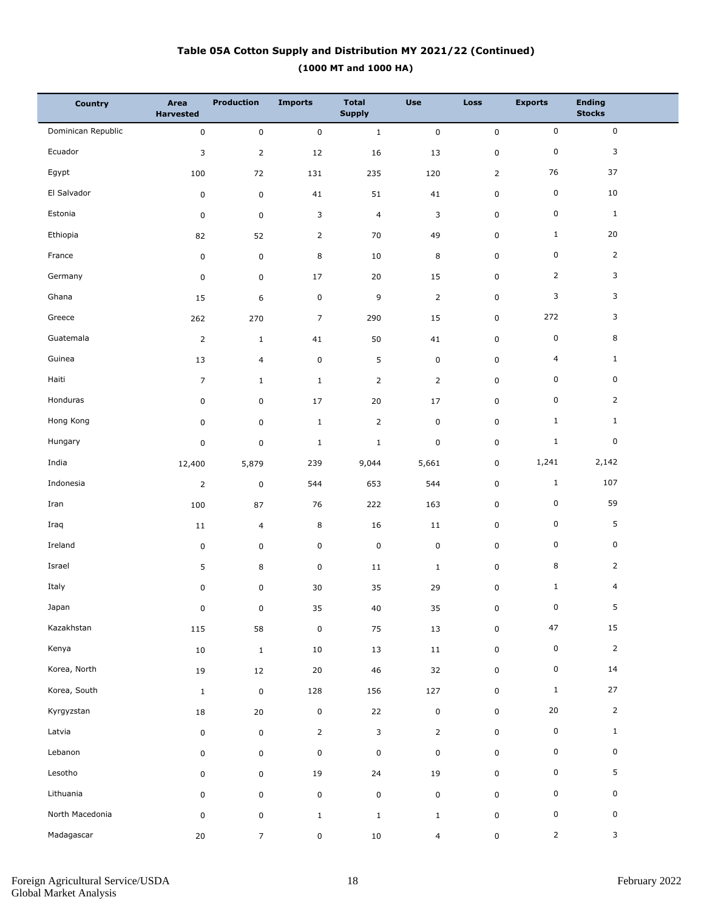## **(1000 MT and 1000 HA) Table 05A Cotton Supply and Distribution MY 2021/22 (Continued)**

| <b>Country</b>     | Area<br><b>Harvested</b> | <b>Production</b> | <b>Imports</b> | <b>Total</b><br><b>Supply</b> | <b>Use</b>     | <b>Loss</b>    | <b>Exports</b> | <b>Ending</b><br><b>Stocks</b> |
|--------------------|--------------------------|-------------------|----------------|-------------------------------|----------------|----------------|----------------|--------------------------------|
| Dominican Republic | $\mathsf{O}\xspace$      | $\pmb{0}$         | $\mathbf 0$    | $\mathbf 1$                   | $\pmb{0}$      | $\pmb{0}$      | $\mathsf 0$    | $\mathsf 0$                    |
| Ecuador            | 3                        | $\overline{2}$    | 12             | 16                            | 13             | 0              | $\pmb{0}$      | 3                              |
| Egypt              | 100                      | 72                | 131            | 235                           | 120            | $\overline{2}$ | 76             | 37                             |
| El Salvador        | $\pmb{0}$                | $\mathsf 0$       | 41             | 51                            | 41             | 0              | $\pmb{0}$      | 10                             |
| Estonia            | $\pmb{0}$                | 0                 | 3              | $\overline{4}$                | 3              | 0              | $\mathsf 0$    | $\mathbf{1}$                   |
| Ethiopia           | 82                       | 52                | $\overline{2}$ | 70                            | 49             | 0              | $\mathbf{1}$   | 20                             |
| France             | $\pmb{0}$                | $\mathsf 0$       | 8              | 10                            | 8              | 0              | $\pmb{0}$      | $\overline{2}$                 |
| Germany            | $\pmb{0}$                | 0                 | 17             | 20                            | 15             | 0              | $\overline{2}$ | 3                              |
| Ghana              | 15                       | 6                 | $\pmb{0}$      | 9                             | $\mathbf 2$    | 0              | 3              | 3                              |
| Greece             | 262                      | 270               | $\overline{7}$ | 290                           | 15             | 0              | 272            | 3                              |
| Guatemala          | $\mathbf 2$              | $\mathbf{1}$      | 41             | 50                            | 41             | 0              | $\pmb{0}$      | 8                              |
| Guinea             | 13                       | $\overline{4}$    | $\pmb{0}$      | 5                             | $\mathbf 0$    | 0              | $\overline{4}$ | $\mathbf{1}$                   |
| Haiti              | $\overline{7}$           | $\mathbf{1}$      | $\mathbf{1}$   | $\overline{2}$                | $\overline{2}$ | 0              | $\pmb{0}$      | 0                              |
| Honduras           | 0                        | $\mathsf 0$       | 17             | 20                            | 17             | 0              | $\pmb{0}$      | $\overline{2}$                 |
| Hong Kong          | 0                        | 0                 | $\mathbf{1}$   | $\overline{2}$                | $\pmb{0}$      | 0              | $\mathbf{1}$   | $\mathbf{1}$                   |
| Hungary            | $\pmb{0}$                | $\mathsf 0$       | $\mathbf{1}$   | $\mathbf{1}$                  | $\mathbf 0$    | 0              | $1\,$          | 0                              |
| India              | 12,400                   | 5,879             | 239            | 9,044                         | 5,661          | 0              | 1,241          | 2,142                          |
| Indonesia          | $\overline{2}$           | $\pmb{0}$         | 544            | 653                           | 544            | 0              | $1\,$          | 107                            |
| Iran               | 100                      | 87                | 76             | 222                           | 163            | 0              | $\mathbf 0$    | 59                             |
| Iraq               | 11                       | $\overline{4}$    | 8              | 16                            | 11             | 0              | $\pmb{0}$      | 5                              |
| Ireland            | $\pmb{0}$                | $\mathsf 0$       | $\pmb{0}$      | $\pmb{0}$                     | $\mathbf 0$    | 0              | $\pmb{0}$      | 0                              |
| Israel             | 5                        | 8                 | $\pmb{0}$      | 11                            | $\mathbf{1}$   | 0              | 8              | $\overline{2}$                 |
| Italy              | 0                        | $\pmb{0}$         | $30\,$         | 35                            | 29             | 0              | $\mathbf{1}$   | $\overline{a}$                 |
| Japan              | 0                        | 0                 | 35             | $40\,$                        | 35             | 0              | $\mathbf 0$    | 5                              |
| Kazakhstan         | 115                      | 58                | $\pmb{0}$      | 75                            | 13             | 0              | 47             | 15                             |
| Kenya              | $10\,$                   | $\mathbf{1}$      | 10             | 13                            | $11\,$         | $\mathbf 0$    | $\pmb{0}$      | $\overline{2}$                 |
| Korea, North       | $19\,$                   | $12\,$            | 20             | 46                            | 32             | 0              | 0              | 14                             |
| Korea, South       | $\mathbf{1}$             | $\mathbf 0$       | 128            | 156                           | 127            | 0              | $\mathbf{1}$   | 27                             |
| Kyrgyzstan         | $18\,$                   | $20\,$            | $\pmb{0}$      | 22                            | $\pmb{0}$      | 0              | $20\,$         | $\overline{2}$                 |
| Latvia             | $\pmb{0}$                | $\mathsf 0$       | $\overline{2}$ | $\mathbf{3}$                  | $\overline{2}$ | 0              | $\pmb{0}$      | $\mathbf{1}$                   |
| Lebanon            | 0                        | $\mathsf 0$       | $\mathbf 0$    | $\pmb{0}$                     | $\pmb{0}$      | 0              | 0              | $\pmb{0}$                      |
| Lesotho            | 0                        | $\mathsf 0$       | 19             | 24                            | 19             | 0              | 0              | 5                              |
| Lithuania          | 0                        | $\mathsf 0$       | $\pmb{0}$      | $\mathsf 0$                   | $\mathbf 0$    | 0              | 0              | 0                              |
| North Macedonia    | $\mathsf 0$              | 0                 | $\mathbf{1}$   | $1\,$                         | $\mathbf 1$    | 0              | 0              | $\mathbf 0$                    |
| Madagascar         | $20\,$                   | $\overline{7}$    | $\pmb{0}$      | 10                            | $\overline{4}$ | 0              | $\overline{2}$ | 3                              |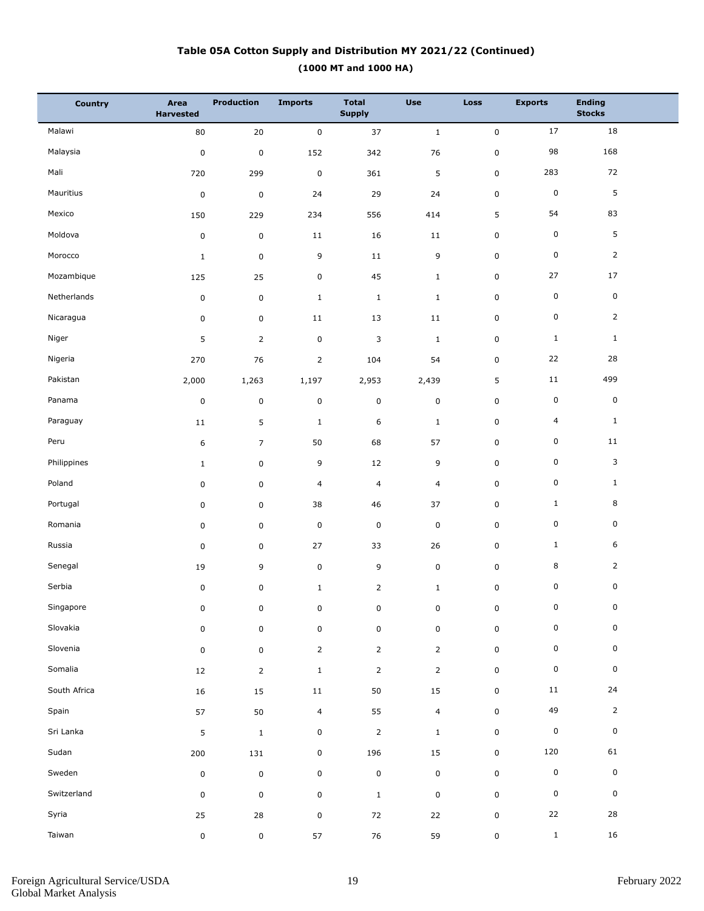## **(1000 MT and 1000 HA) Table 05A Cotton Supply and Distribution MY 2021/22 (Continued)**

| <b>Country</b> | Area<br><b>Harvested</b> | Production     | <b>Imports</b> | <b>Total</b><br><b>Supply</b> | <b>Use</b>     | <b>Loss</b>         | <b>Exports</b>      | <b>Ending</b><br><b>Stocks</b> |  |
|----------------|--------------------------|----------------|----------------|-------------------------------|----------------|---------------------|---------------------|--------------------------------|--|
| Malawi         | 80                       | $20\,$         | $\mathbf 0$    | 37                            | $\,1\,$        | $\mathsf{O}\xspace$ | 17                  | 18                             |  |
| Malaysia       | $\pmb{0}$                | $\pmb{0}$      | 152            | 342                           | 76             | 0                   | 98                  | 168                            |  |
| Mali           | 720                      | 299            | $\pmb{0}$      | 361                           | $\mathsf S$    | 0                   | 283                 | 72                             |  |
| Mauritius      | $\pmb{0}$                | $\mathbf 0$    | 24             | 29                            | 24             | 0                   | $\pmb{0}$           | 5                              |  |
| Mexico         | 150                      | 229            | 234            | 556                           | 414            | 5                   | 54                  | 83                             |  |
| Moldova        | $\pmb{0}$                | $\mathbf 0$    | 11             | 16                            | $11\,$         | 0                   | $\pmb{0}$           | 5                              |  |
| Morocco        | $\mathbf 1$              | $\mathsf 0$    | 9              | 11                            | 9              | 0                   | $\pmb{0}$           | $\overline{2}$                 |  |
| Mozambique     | 125                      | 25             | $\pmb{0}$      | 45                            | $\mathbf{1}$   | 0                   | 27                  | 17                             |  |
| Netherlands    | $\pmb{0}$                | $\mathsf 0$    | $\mathbf{1}$   | $1\,$                         | $1\,$          | 0                   | $\pmb{0}$           | $\mathbf 0$                    |  |
| Nicaragua      | 0                        | $\mathsf 0$    | 11             | 13                            | 11             | 0                   | $\mathsf 0$         | $\overline{2}$                 |  |
| Niger          | 5                        | $\overline{2}$ | $\pmb{0}$      | 3                             | $\mathbf{1}$   | 0                   | $\mathbf{1}$        | $\mathbf{1}$                   |  |
| Nigeria        | 270                      | 76             | $\overline{2}$ | 104                           | 54             | 0                   | 22                  | 28                             |  |
| Pakistan       | 2,000                    | 1,263          | 1,197          | 2,953                         | 2,439          | 5                   | $11\,$              | 499                            |  |
| Panama         | $\pmb{0}$                | $\pmb{0}$      | $\pmb{0}$      | $\mathsf 0$                   | $\pmb{0}$      | 0                   | $\pmb{0}$           | $\mathbf 0$                    |  |
| Paraguay       | 11                       | 5              | $\mathbf{1}$   | 6                             | $1\,$          | 0                   | 4                   | $\mathbf{1}$                   |  |
| Peru           | 6                        | $\overline{7}$ | 50             | 68                            | 57             | 0                   | $\pmb{0}$           | 11                             |  |
| Philippines    | $1\,$                    | $\mathsf 0$    | 9              | 12                            | 9              | 0                   | $\pmb{0}$           | 3                              |  |
| Poland         | 0                        | 0              | 4              | $\overline{4}$                | $\overline{4}$ | 0                   | $\pmb{0}$           | $\mathbf{1}$                   |  |
| Portugal       | 0                        | 0              | 38             | 46                            | 37             | 0                   | $\mathbf{1}$        | 8                              |  |
| Romania        | 0                        | 0              | $\pmb{0}$      | $\mathsf 0$                   | $\mathbf 0$    | 0                   | $\pmb{0}$           | 0                              |  |
| Russia         | $\pmb{0}$                | $\mathsf 0$    | 27             | 33                            | 26             | 0                   | $\mathbf{1}$        | 6                              |  |
| Senegal        | 19                       | 9              | $\pmb{0}$      | 9                             | $\pmb{0}$      | 0                   | 8                   | $\overline{2}$                 |  |
| Serbia         | 0                        | 0              | $\mathbf 1$    | $\overline{2}$                | $1\,$          | 0                   | 0                   | 0                              |  |
| Singapore      | 0                        | 0              | 0              | 0                             | 0              | $\pmb{0}$           | $\mathsf{O}\xspace$ | $\overline{0}$                 |  |
| Slovakia       | $\mathbf 0$              | 0              | $\pmb{0}$      | $\mathsf 0$                   | $\mathsf 0$    | 0                   | $\mathsf 0$         | 0                              |  |
| Slovenia       | $\mathbf 0$              | $\mathsf 0$    | $\overline{2}$ | $\overline{2}$                | $\overline{2}$ | $\mathbf 0$         | $\mathsf 0$         | $\mathbf 0$                    |  |
| Somalia        | 12                       | $\overline{2}$ | $\mathbf{1}$   | $\overline{2}$                | $\overline{2}$ | 0                   | $\pmb{0}$           | 0                              |  |
| South Africa   | 16                       | 15             | $11\,$         | 50                            | 15             | 0                   | 11                  | 24                             |  |
| Spain          | 57                       | 50             | $\overline{4}$ | 55                            | $\overline{4}$ | 0                   | 49                  | $\overline{2}$                 |  |
| Sri Lanka      | 5                        | $\mathbf{1}$   | $\pmb{0}$      | $\mathbf 2$                   | $\mathbf{1}$   | 0                   | $\pmb{0}$           | $\mathbf 0$                    |  |
| Sudan          | 200                      | 131            | $\mathbf 0$    | 196                           | 15             | 0                   | 120                 | 61                             |  |
| Sweden         | $\pmb{0}$                | $\mathbf 0$    | $\pmb{0}$      | $\pmb{0}$                     | $\pmb{0}$      | $\mathbf 0$         | $\pmb{0}$           | $\mathbf 0$                    |  |
| Switzerland    | $\pmb{0}$                | 0              | $\mathbf 0$    | $\mathbf{1}$                  | $\pmb{0}$      | 0                   | $\mathsf 0$         | $\mathsf 0$                    |  |
| Syria          | 25                       | 28             | $\pmb{0}$      | 72                            | $22\,$         | 0                   | $22\,$              | 28                             |  |
| Taiwan         | 0                        | 0              | 57             | 76                            | 59             | 0                   | $\mathbf{1}$        | 16                             |  |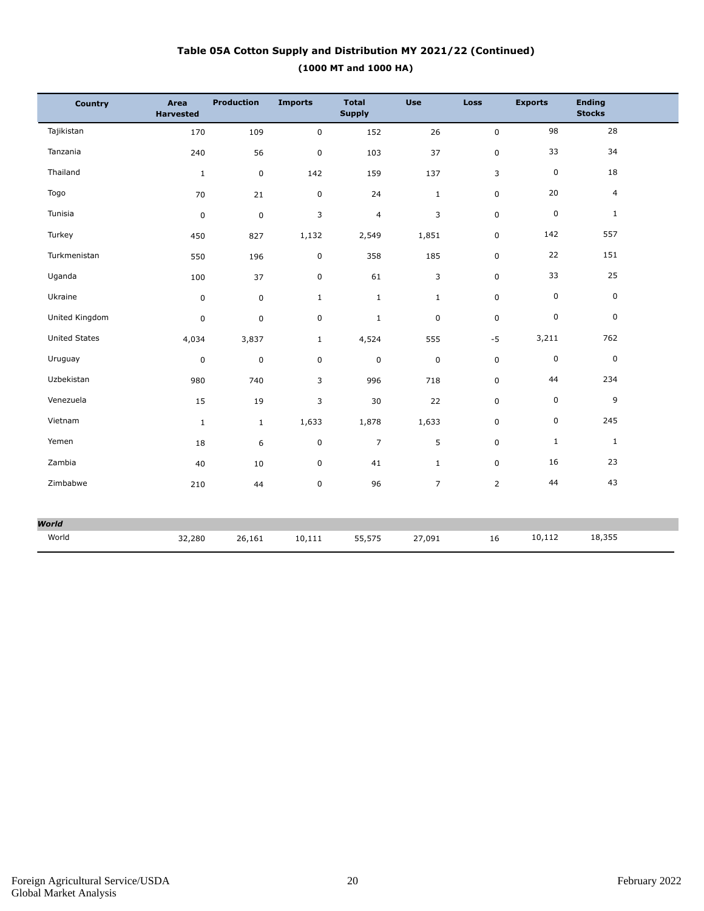## **(1000 MT and 1000 HA) Table 05A Cotton Supply and Distribution MY 2021/22 (Continued)**

| <b>Country</b>       | Area<br><b>Harvested</b> | <b>Production</b> | <b>Imports</b> | <b>Total</b><br><b>Supply</b> | <b>Use</b>     | Loss           | <b>Exports</b> | <b>Ending</b><br><b>Stocks</b> |
|----------------------|--------------------------|-------------------|----------------|-------------------------------|----------------|----------------|----------------|--------------------------------|
| Tajikistan           | 170                      | 109               | $\mathsf 0$    | 152                           | 26             | 0              | 98             | 28                             |
| Tanzania             | 240                      | 56                | $\pmb{0}$      | 103                           | 37             | 0              | 33             | 34                             |
| Thailand             | $1\,$                    | $\mathsf 0$       | 142            | 159                           | 137            | 3              | $\mathbf 0$    | 18                             |
| Togo                 | 70                       | 21                | $\pmb{0}$      | 24                            | $\mathbf{1}$   | 0              | 20             | $\overline{4}$                 |
| Tunisia              | $\pmb{0}$                | $\pmb{0}$         | 3              | $\overline{\mathbf{4}}$       | 3              | 0              | $\mathsf 0$    | $\mathbf{1}$                   |
| Turkey               | 450                      | 827               | 1,132          | 2,549                         | 1,851          | 0              | 142            | 557                            |
| Turkmenistan         | 550                      | 196               | $\mathsf 0$    | 358                           | 185            | $\overline{0}$ | 22             | 151                            |
| Uganda               | 100                      | 37                | $\pmb{0}$      | 61                            | 3              | 0              | 33             | 25                             |
| Ukraine              | $\pmb{0}$                | $\mathbf 0$       | $\mathbf{1}$   | $\mathbf{1}$                  | $\mathbf{1}$   | 0              | $\mathbf 0$    | $\boldsymbol{0}$               |
| United Kingdom       | $\pmb{0}$                | $\mathsf 0$       | $\mathsf 0$    | $\mathbf{1}$                  | $\mathbf 0$    | 0              | $\mathbf 0$    | $\mathbf 0$                    |
| <b>United States</b> | 4,034                    | 3,837             | $\mathbf{1}$   | 4,524                         | 555            | $-5$           | 3,211          | 762                            |
| Uruguay              | $\pmb{0}$                | $\pmb{0}$         | 0              | 0                             | $\mathbf 0$    | 0              | $\mathbf 0$    | $\boldsymbol{0}$               |
| Uzbekistan           | 980                      | 740               | 3              | 996                           | 718            | 0              | 44             | 234                            |
| Venezuela            | 15                       | 19                | 3              | 30                            | 22             | 0              | 0              | 9                              |
| Vietnam              | $\mathbf{1}$             | $\mathbf{1}$      | 1,633          | 1,878                         | 1,633          | 0              | $\pmb{0}$      | 245                            |
| Yemen                | 18                       | 6                 | $\mathsf 0$    | $\overline{7}$                | 5              | $\overline{0}$ | $\mathbf{1}$   | $\mathbf{1}$                   |
| Zambia               | 40                       | 10                | $\pmb{0}$      | 41                            | $\mathbf{1}$   | 0              | 16             | 23                             |
| Zimbabwe             | 210                      | 44                | 0              | 96                            | $\overline{7}$ | $\overline{2}$ | 44             | 43                             |
|                      |                          |                   |                |                               |                |                |                |                                |
| <b>World</b>         |                          |                   |                |                               |                |                |                |                                |
| World                | 32,280                   | 26,161            | 10,111         | 55,575                        | 27,091         | 16             | 10,112         | 18,355                         |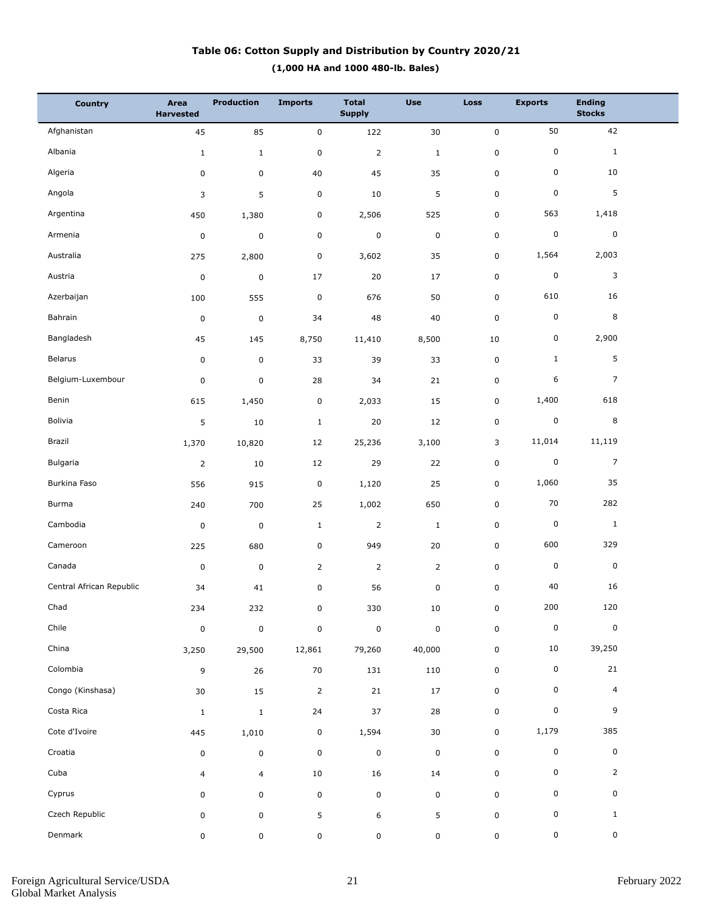## **(1,000 HA and 1000 480-lb. Bales) Table 06: Cotton Supply and Distribution by Country 2020/21**

| <b>Country</b>           | Area<br><b>Harvested</b> | <b>Production</b> | <b>Imports</b> | <b>Total</b><br><b>Supply</b> | <b>Use</b>     | Loss        | <b>Exports</b> | <b>Ending</b><br><b>Stocks</b> |  |
|--------------------------|--------------------------|-------------------|----------------|-------------------------------|----------------|-------------|----------------|--------------------------------|--|
| Afghanistan              | 45                       | 85                | $\pmb{0}$      | 122                           | 30             | $\mathbf 0$ | 50             | 42                             |  |
| Albania                  | $1\,$                    | $\mathbf{1}$      | $\pmb{0}$      | $\overline{2}$                | $\mathbf 1$    | $\pmb{0}$   | 0              | $\mathbf{1}$                   |  |
| Algeria                  | 0                        | 0                 | $40\,$         | 45                            | 35             | $\pmb{0}$   | 0              | 10                             |  |
| Angola                   | 3                        | 5                 | $\pmb{0}$      | 10                            | 5              | $\mathsf 0$ | 0              | 5                              |  |
| Argentina                | 450                      | 1,380             | $\pmb{0}$      | 2,506                         | 525            | $\pmb{0}$   | 563            | 1,418                          |  |
| Armenia                  | $\pmb{0}$                | $\pmb{0}$         | $\pmb{0}$      | $\pmb{0}$                     | $\pmb{0}$      | $\pmb{0}$   | 0              | $\pmb{0}$                      |  |
| Australia                | 275                      | 2,800             | $\pmb{0}$      | 3,602                         | 35             | 0           | 1,564          | 2,003                          |  |
| Austria                  | $\pmb{0}$                | $\pmb{0}$         | 17             | 20                            | $17\,$         | $\pmb{0}$   | 0              | 3                              |  |
| Azerbaijan               | 100                      | 555               | $\pmb{0}$      | 676                           | 50             | $\pmb{0}$   | 610            | 16                             |  |
| Bahrain                  | $\pmb{0}$                | $\pmb{0}$         | 34             | 48                            | 40             | $\mathsf 0$ | 0              | 8                              |  |
| Bangladesh               | 45                       | 145               | 8,750          | 11,410                        | 8,500          | 10          | 0              | 2,900                          |  |
| Belarus                  | $\pmb{0}$                | $\pmb{0}$         | 33             | 39                            | 33             | $\pmb{0}$   | $\mathbf{1}$   | 5                              |  |
| Belgium-Luxembour        | 0                        | $\pmb{0}$         | 28             | 34                            | 21             | $\pmb{0}$   | 6              | $\overline{7}$                 |  |
| Benin                    | 615                      | 1,450             | $\pmb{0}$      | 2,033                         | 15             | 0           | 1,400          | 618                            |  |
| Bolivia                  | 5                        | 10                | $\mathbf 1$    | 20                            | 12             | $\pmb{0}$   | 0              | 8                              |  |
| Brazil                   | 1,370                    | 10,820            | 12             | 25,236                        | 3,100          | 3           | 11,014         | 11,119                         |  |
| Bulgaria                 | $\overline{2}$           | 10                | 12             | 29                            | 22             | $\pmb{0}$   | 0              | $\overline{7}$                 |  |
| Burkina Faso             | 556                      | 915               | $\pmb{0}$      | 1,120                         | 25             | 0           | 1,060          | 35                             |  |
| Burma                    | 240                      | 700               | 25             | 1,002                         | 650            | $\pmb{0}$   | 70             | 282                            |  |
| Cambodia                 | $\pmb{0}$                | $\pmb{0}$         | $\mathbf 1$    | $\mathbf 2$                   | $\mathbf 1$    | $\pmb{0}$   | 0              | $\mathbf{1}$                   |  |
| Cameroon                 | 225                      | 680               | $\pmb{0}$      | 949                           | $20\,$         | $\pmb{0}$   | 600            | 329                            |  |
| Canada                   | $\pmb{0}$                | $\mathbf 0$       | $\overline{2}$ | $\overline{2}$                | $\overline{2}$ | $\pmb{0}$   | 0              | $\mathbf 0$                    |  |
| Central African Republic | 34                       | 41                | $\pmb{0}$      | 56                            | 0              | $\pmb{0}$   | 40             | 16                             |  |
| Chad                     | 234                      | 232               | $\mathbf 0$    | 330                           | $10\,$         | $\mathsf 0$ | 200            | 120                            |  |
| Chile                    | $\pmb{0}$                | $\pmb{0}$         | $\pmb{0}$      | $\pmb{0}$                     | $\pmb{0}$      | $\pmb{0}$   | $\pmb{0}$      | $\pmb{0}$                      |  |
| China                    | 3,250                    | 29,500            | 12,861         | 79,260                        | 40,000         | $\mathsf 0$ | 10             | 39,250                         |  |
| Colombia                 | 9                        | 26                | $70\,$         | 131                           | 110            | $\mathsf 0$ | 0              | 21                             |  |
| Congo (Kinshasa)         | $30\,$                   | 15                | $\overline{2}$ | 21                            | 17             | $\mathsf 0$ | 0              | $\overline{4}$                 |  |
| Costa Rica               | $1\,$                    | $\mathbf 1$       | 24             | 37                            | 28             | $\pmb{0}$   | 0              | 9                              |  |
| Cote d'Ivoire            | 445                      | 1,010             | $\pmb{0}$      | 1,594                         | $30\,$         | $\mathbf 0$ | 1,179          | 385                            |  |
| Croatia                  | 0                        | $\pmb{0}$         | $\pmb{0}$      | $\pmb{0}$                     | $\pmb{0}$      | $\pmb{0}$   | 0              | $\pmb{0}$                      |  |
| Cuba                     | 4                        | $\overline{4}$    | $10\,$         | 16                            | 14             | $\pmb{0}$   | 0              | $\overline{2}$                 |  |
| Cyprus                   | 0                        | 0                 | $\pmb{0}$      | $\mathbf 0$                   | 0              | $\mathsf 0$ | 0              | 0                              |  |
| Czech Republic           | 0                        | $\mathsf 0$       | 5              | 6                             | 5              | $\pmb{0}$   | 0              | $\mathbf{1}$                   |  |
| Denmark                  | 0                        | 0                 | $\pmb{0}$      | $\pmb{0}$                     | 0              | $\mathsf 0$ | 0              | $\mathsf{O}\xspace$            |  |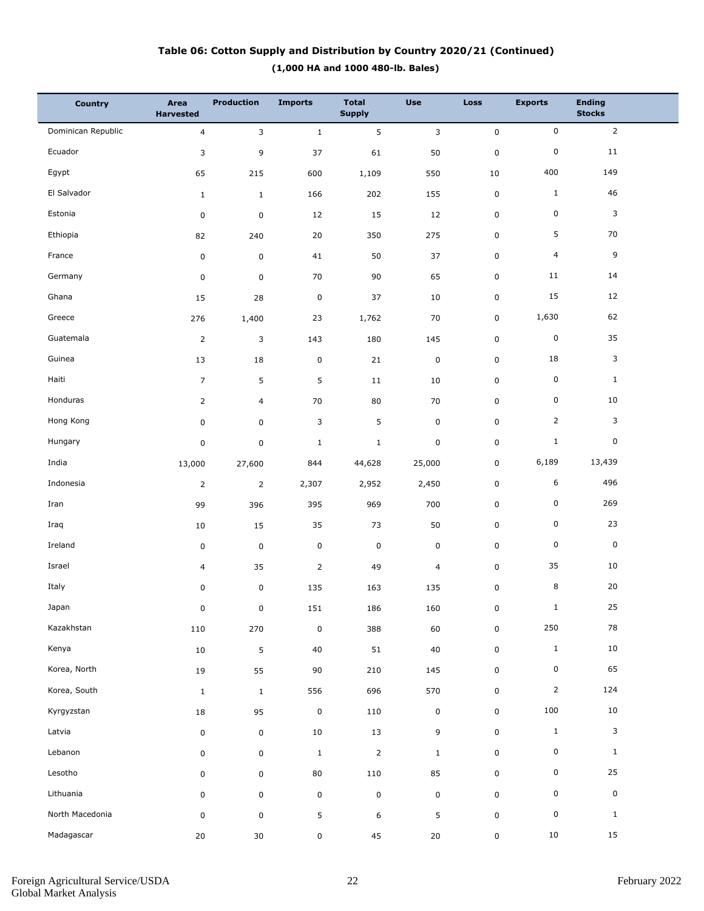## **(1,000 HA and 1000 480-lb. Bales) Table 06: Cotton Supply and Distribution by Country 2020/21 (Continued)**

| <b>Country</b>     | Area<br><b>Harvested</b> | <b>Production</b> | <b>Imports</b> | <b>Total</b><br><b>Supply</b> | <b>Use</b>     | <b>Loss</b> | <b>Exports</b> | <b>Ending</b><br><b>Stocks</b> |  |
|--------------------|--------------------------|-------------------|----------------|-------------------------------|----------------|-------------|----------------|--------------------------------|--|
| Dominican Republic | $\overline{4}$           | 3                 | $\mathbf{1}$   | 5                             | 3              | $\pmb{0}$   | $\mathsf 0$    | $\overline{2}$                 |  |
| Ecuador            | 3                        | 9                 | 37             | 61                            | 50             | $\pmb{0}$   | $\pmb{0}$      | 11                             |  |
| Egypt              | 65                       | 215               | 600            | 1,109                         | 550            | 10          | 400            | 149                            |  |
| El Salvador        | $\mathbf{1}$             | $\mathbf{1}$      | 166            | 202                           | 155            | 0           | $\mathbf{1}$   | 46                             |  |
| Estonia            | $\pmb{0}$                | $\pmb{0}$         | 12             | 15                            | 12             | 0           | $\pmb{0}$      | 3                              |  |
| Ethiopia           | 82                       | 240               | 20             | 350                           | 275            | 0           | 5              | 70                             |  |
| France             | $\pmb{0}$                | $\mathbf 0$       | 41             | 50                            | 37             | 0           | $\overline{4}$ | 9                              |  |
| Germany            | $\pmb{0}$                | 0                 | 70             | 90                            | 65             | 0           | 11             | 14                             |  |
| Ghana              | 15                       | 28                | $\pmb{0}$      | 37                            | $10\,$         | 0           | 15             | 12                             |  |
| Greece             | 276                      | 1,400             | 23             | 1,762                         | 70             | 0           | 1,630          | 62                             |  |
| Guatemala          | $\overline{2}$           | 3                 | 143            | 180                           | 145            | 0           | $\pmb{0}$      | 35                             |  |
| Guinea             | 13                       | 18                | $\pmb{0}$      | 21                            | $\mathbf 0$    | 0           | 18             | 3                              |  |
| Haiti              | $\overline{7}$           | 5                 | 5              | 11                            | 10             | 0           | $\pmb{0}$      | $\mathbf{1}$                   |  |
| Honduras           | $\overline{2}$           | 4                 | 70             | 80                            | 70             | 0           | $\pmb{0}$      | 10                             |  |
| Hong Kong          | $\pmb{0}$                | 0                 | 3              | 5                             | $\mathbf 0$    | 0           | $\overline{2}$ | 3                              |  |
| Hungary            | $\pmb{0}$                | 0                 | $\mathbf{1}$   | $\mathbf{1}$                  | $\mathbf 0$    | 0           | $\mathbf{1}$   | 0                              |  |
| India              | 13,000                   | 27,600            | 844            | 44,628                        | 25,000         | 0           | 6,189          | 13,439                         |  |
| Indonesia          | $\overline{2}$           | $\overline{2}$    | 2,307          | 2,952                         | 2,450          | 0           | 6              | 496                            |  |
| Iran               | 99                       | 396               | 395            | 969                           | 700            | 0           | $\mathsf 0$    | 269                            |  |
| Iraq               | 10                       | 15                | 35             | 73                            | 50             | 0           | $\pmb{0}$      | 23                             |  |
| Ireland            | $\pmb{0}$                | $\mathbf 0$       | $\pmb{0}$      | $\mathsf 0$                   | $\mathbf 0$    | 0           | $\pmb{0}$      | $\mathbf 0$                    |  |
| Israel             | $\overline{4}$           | 35                | $\overline{2}$ | 49                            | $\overline{4}$ | 0           | 35             | 10                             |  |
| Italy              | 0                        | $\pmb{0}$         | 135            | 163                           | 135            | 0           | 8              | 20                             |  |
| Japan              | 0                        | 0                 | 151            | 186                           | 160            | 0           | $\mathbf{1}$   | 25                             |  |
| Kazakhstan         | 110                      | 270               | $\pmb{0}$      | 388                           | 60             | $\mathbf 0$ | 250            | 78                             |  |
| Kenya              | 10                       | $\overline{5}$    | $40\,$         | $51\,$                        | $40\,$         | $\mathbf 0$ | $\mathbf 1$    | $10\,$                         |  |
| Korea, North       | $19\,$                   | 55                | 90             | 210                           | 145            | 0           | 0              | 65                             |  |
| Korea, South       | $\mathbf{1}$             | $\mathbf{1}$      | 556            | 696                           | 570            | 0           | $\overline{2}$ | 124                            |  |
| Kyrgyzstan         | $18\,$                   | 95                | $\pmb{0}$      | 110                           | $\mathsf 0$    | 0           | 100            | 10                             |  |
| Latvia             | $\pmb{0}$                | $\mathbf 0$       | $10\,$         | 13                            | 9              | $\mathbf 0$ | $\,1\,$        | 3                              |  |
| Lebanon            | 0                        | $\mathsf 0$       | $\mathbf{1}$   | $\mathbf 2$                   | $\mathbf{1}$   | 0           | 0              | $\mathbf{1}$                   |  |
| Lesotho            | 0                        | $\mathsf 0$       | $80\,$         | 110                           | 85             | 0           | $\mathbf 0$    | 25                             |  |
| Lithuania          | 0                        | $\mathsf 0$       | $\pmb{0}$      | $\mathsf 0$                   | $\pmb{0}$      | 0           | 0              | $\mathbf 0$                    |  |
| North Macedonia    | $\pmb{0}$                | $\mathsf 0$       | 5              | 6                             | 5              | 0           | $\mathsf 0$    | $\mathbf{1}$                   |  |
| Madagascar         | $20\,$                   | $30\,$            | $\pmb{0}$      | 45                            | $20\,$         | 0           | 10             | 15                             |  |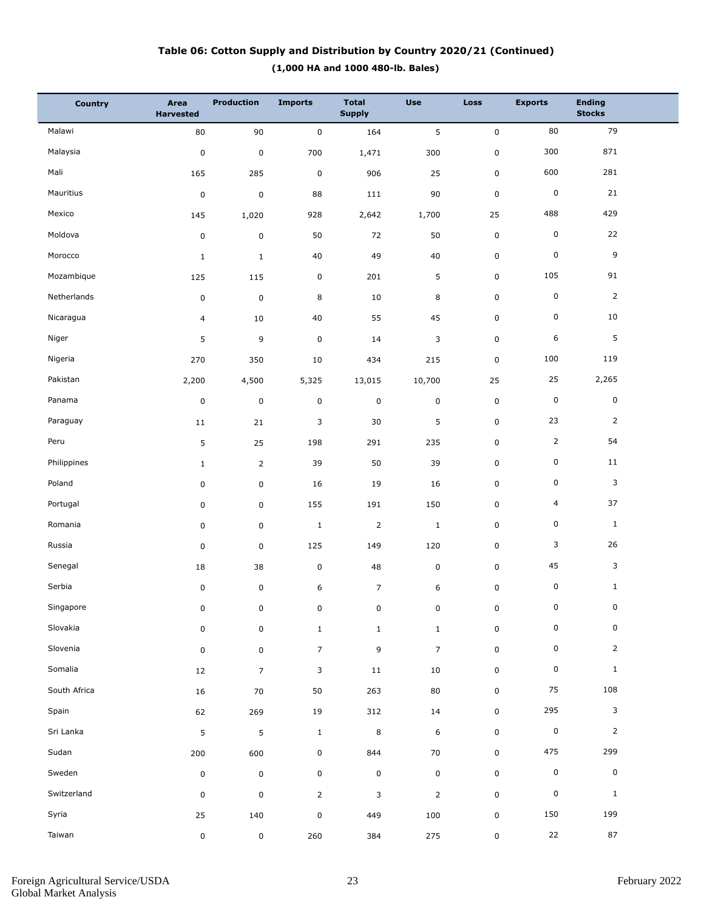## **(1,000 HA and 1000 480-lb. Bales) Table 06: Cotton Supply and Distribution by Country 2020/21 (Continued)**

| <b>Country</b> | Area<br><b>Harvested</b> | <b>Production</b> | <b>Imports</b> | <b>Total</b><br><b>Supply</b> | <b>Use</b>     | Loss        | <b>Exports</b> | <b>Ending</b><br><b>Stocks</b> |  |
|----------------|--------------------------|-------------------|----------------|-------------------------------|----------------|-------------|----------------|--------------------------------|--|
| Malawi         | 80                       | 90                | $\pmb{0}$      | 164                           | 5              | $\pmb{0}$   | 80             | 79                             |  |
| Malaysia       | $\pmb{0}$                | $\pmb{0}$         | 700            | 1,471                         | 300            | $\pmb{0}$   | 300            | 871                            |  |
| Mali           | 165                      | 285               | $\mathbf 0$    | 906                           | 25             | $\pmb{0}$   | 600            | 281                            |  |
| Mauritius      | $\pmb{0}$                | $\mathbf 0$       | 88             | 111                           | 90             | $\mathsf 0$ | $\mathsf 0$    | 21                             |  |
| Mexico         | 145                      | 1,020             | 928            | 2,642                         | 1,700          | 25          | 488            | 429                            |  |
| Moldova        | $\pmb{0}$                | $\mathsf 0$       | 50             | 72                            | 50             | $\pmb{0}$   | 0              | 22                             |  |
| Morocco        | $\mathbf 1$              | $\mathbf{1}$      | 40             | 49                            | 40             | $\pmb{0}$   | 0              | 9                              |  |
| Mozambique     | 125                      | 115               | $\pmb{0}$      | 201                           | 5              | $\mathsf 0$ | 105            | 91                             |  |
| Netherlands    | $\pmb{0}$                | $\pmb{0}$         | 8              | 10                            | 8              | $\pmb{0}$   | 0              | $\overline{2}$                 |  |
| Nicaragua      | 4                        | 10                | 40             | 55                            | 45             | 0           | 0              | 10                             |  |
| Niger          | 5                        | 9                 | $\mathbf 0$    | 14                            | 3              | $\pmb{0}$   | 6              | $\sqrt{5}$                     |  |
| Nigeria        | 270                      | 350               | 10             | 434                           | 215            | 0           | 100            | 119                            |  |
| Pakistan       | 2,200                    | 4,500             | 5,325          | 13,015                        | 10,700         | 25          | 25             | 2,265                          |  |
| Panama         | $\pmb{0}$                | $\mathsf 0$       | $\pmb{0}$      | $\pmb{0}$                     | 0              | 0           | 0              | $\mathsf 0$                    |  |
| Paraguay       | 11                       | 21                | 3              | 30                            | 5              | $\pmb{0}$   | 23             | $\overline{2}$                 |  |
| Peru           | 5                        | 25                | 198            | 291                           | 235            | 0           | $\overline{2}$ | 54                             |  |
| Philippines    | $\mathbf{1}$             | $\overline{2}$    | 39             | 50                            | 39             | $\pmb{0}$   | 0              | 11                             |  |
| Poland         | $\pmb{0}$                | $\mathsf 0$       | 16             | 19                            | 16             | 0           | 0              | 3                              |  |
| Portugal       | $\pmb{0}$                | $\mathsf 0$       | 155            | 191                           | 150            | $\pmb{0}$   | $\overline{4}$ | 37                             |  |
| Romania        | $\pmb{0}$                | $\mathsf 0$       | $\mathbf{1}$   | $\overline{2}$                | $\mathbf{1}$   | 0           | 0              | $\mathbf{1}$                   |  |
| Russia         | $\pmb{0}$                | $\mathsf 0$       | 125            | 149                           | 120            | $\pmb{0}$   | 3              | 26                             |  |
| Senegal        | 18                       | 38                | $\pmb{0}$      | 48                            | 0              | $\pmb{0}$   | 45             | 3                              |  |
| Serbia         | $\pmb{0}$                | $\pmb{0}$         | 6              | $\overline{7}$                | 6              | $\pmb{0}$   | 0              | $\mathbf{1}$                   |  |
| Singapore      | 0                        | 0                 | 0              | 0                             | 0              | 0           | $\mathbf 0$    | $\mathbf 0$                    |  |
| Slovakia       | $\pmb{0}$                | $\mathsf 0$       | $\mathbf{1}$   | $\mathbf{1}$                  | $\mathbf{1}$   | $\pmb{0}$   | 0              | 0                              |  |
| Slovenia       | $\pmb{0}$                | $\mathsf 0$       | $\overline{7}$ | $\mathsf 9$                   | $\overline{7}$ | $\mathbf 0$ | 0              | $\overline{2}$                 |  |
| Somalia        | 12                       | $\overline{7}$    | 3              | 11                            | 10             | $\mathbf 0$ | 0              | $\mathbf{1}$                   |  |
| South Africa   | 16                       | 70                | 50             | 263                           | 80             | $\mathsf 0$ | 75             | 108                            |  |
| Spain          | 62                       | 269               | 19             | 312                           | 14             | $\mathbf 0$ | 295            | $\mathbf{3}$                   |  |
| Sri Lanka      | 5                        | 5                 | $\mathbf{1}$   | 8                             | 6              | $\mathsf 0$ | $\pmb{0}$      | $\overline{2}$                 |  |
| Sudan          | 200                      | 600               | $\pmb{0}$      | 844                           | 70             | $\mathbf 0$ | 475            | 299                            |  |
| Sweden         | $\pmb{0}$                | $\pmb{0}$         | $\pmb{0}$      | $\mathbf 0$                   | 0              | $\mathsf 0$ | 0              | $\mathbf 0$                    |  |
| Switzerland    | $\pmb{0}$                | $\mathsf 0$       | $\overline{2}$ | 3                             | $\overline{2}$ | $\mathbf 0$ | 0              | $\mathbf{1}$                   |  |
| Syria          | 25                       | 140               | $\pmb{0}$      | 449                           | 100            | $\pmb{0}$   | 150            | 199                            |  |
| Taiwan         | 0                        | $\mathsf 0$       | 260            | 384                           | 275            | $\mathsf 0$ | 22             | 87                             |  |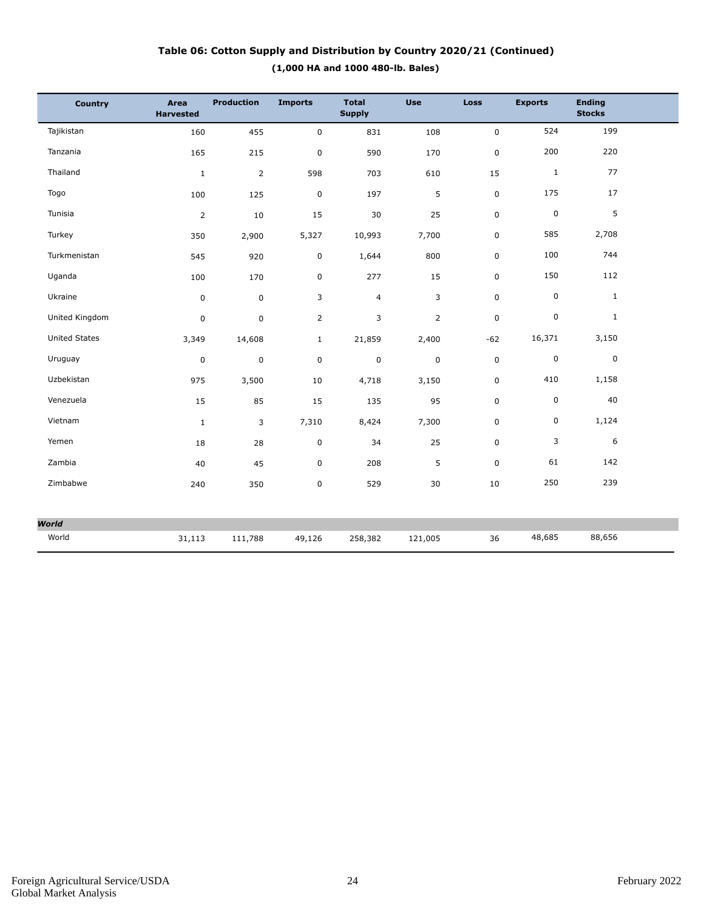## **(1,000 HA and 1000 480-lb. Bales) Table 06: Cotton Supply and Distribution by Country 2020/21 (Continued)**

| Country              | Area<br><b>Harvested</b> | <b>Production</b> | <b>Imports</b> | <b>Total</b><br><b>Supply</b> | <b>Use</b>   | Loss        | <b>Exports</b> | <b>Ending</b><br><b>Stocks</b> |  |
|----------------------|--------------------------|-------------------|----------------|-------------------------------|--------------|-------------|----------------|--------------------------------|--|
| Tajikistan           | 160                      | 455               | $\pmb{0}$      | 831                           | 108          | $\pmb{0}$   | 524            | 199                            |  |
| Tanzania             | 165                      | 215               | $\pmb{0}$      | 590                           | 170          | 0           | 200            | 220                            |  |
| Thailand             | $1\,$                    | $\overline{2}$    | 598            | 703                           | 610          | 15          | $1\,$          | 77                             |  |
| Togo                 | 100                      | 125               | $\mathbf 0$    | 197                           | 5            | 0           | 175            | 17                             |  |
| Tunisia              | $\overline{2}$           | 10                | 15             | 30                            | 25           | 0           | $\mathsf 0$    | 5                              |  |
| Turkey               | 350                      | 2,900             | 5,327          | 10,993                        | 7,700        | 0           | 585            | 2,708                          |  |
| Turkmenistan         | 545                      | 920               | $\mathsf 0$    | 1,644                         | 800          | 0           | 100            | 744                            |  |
| Uganda               | 100                      | 170               | $\pmb{0}$      | 277                           | 15           | 0           | 150            | 112                            |  |
| Ukraine              | $\mathbf 0$              | $\mathbf 0$       | 3              | $\overline{4}$                | 3            | 0           | 0              | $\mathbf{1}$                   |  |
| United Kingdom       | 0                        | $\mathbf 0$       | $\overline{2}$ | 3                             | $\mathsf{2}$ | $\pmb{0}$   | 0              | $\mathbf{1}$                   |  |
| <b>United States</b> | 3,349                    | 14,608            | $\mathbf{1}$   | 21,859                        | 2,400        | $-62$       | 16,371         | 3,150                          |  |
| Uruguay              | 0                        | $\mathbf 0$       | $\pmb{0}$      | $\mathsf 0$                   | $\pmb{0}$    | $\mathsf 0$ | 0              | $\mathbf 0$                    |  |
| Uzbekistan           | 975                      | 3,500             | 10             | 4,718                         | 3,150        | 0           | 410            | 1,158                          |  |
| Venezuela            | 15                       | 85                | 15             | 135                           | 95           | $\pmb{0}$   | 0              | 40                             |  |
| Vietnam              | $\mathbf{1}$             | 3                 | 7,310          | 8,424                         | 7,300        | 0           | 0              | 1,124                          |  |
| Yemen                | 18                       | 28                | $\pmb{0}$      | 34                            | 25           | 0           | 3              | 6                              |  |
| Zambia               | 40                       | 45                | $\pmb{0}$      | 208                           | 5            | $\pmb{0}$   | 61             | 142                            |  |
| Zimbabwe             | 240                      | 350               | $\pmb{0}$      | 529                           | 30           | 10          | 250            | 239                            |  |
|                      |                          |                   |                |                               |              |             |                |                                |  |
| <b>World</b>         |                          |                   |                |                               |              |             |                |                                |  |
| World                | 31,113                   | 111,788           | 49,126         | 258,382                       | 121,005      | 36          | 48,685         | 88,656                         |  |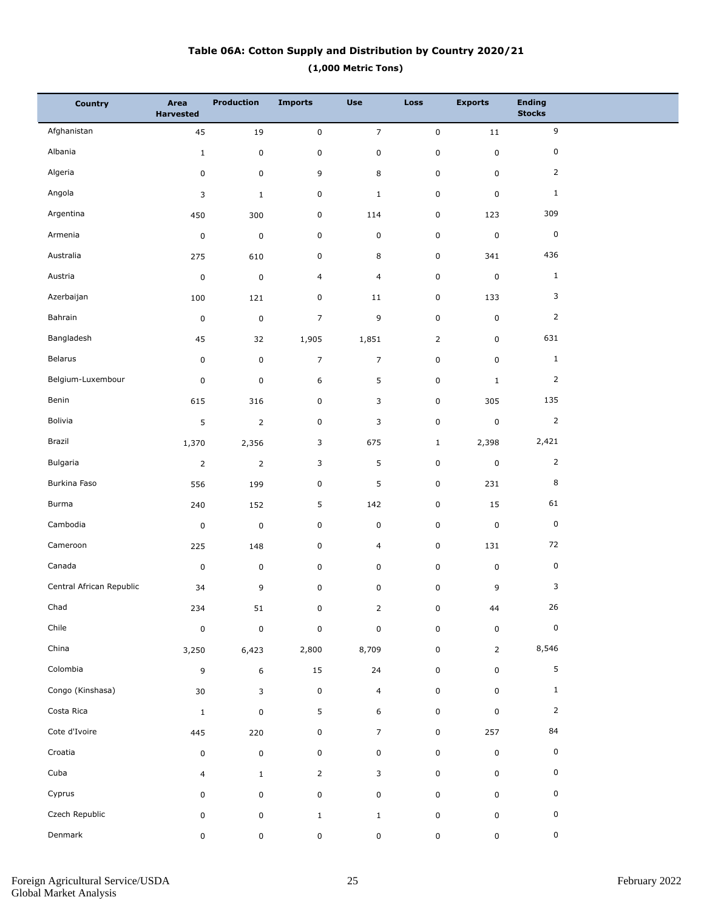## **(1,000 Metric Tons) Table 06A: Cotton Supply and Distribution by Country 2020/21**

| <b>Country</b>           | Area<br><b>Harvested</b> | <b>Production</b> | <b>Imports</b> | <b>Use</b>     | <b>Loss</b>    | <b>Exports</b> | <b>Ending</b><br><b>Stocks</b> |  |
|--------------------------|--------------------------|-------------------|----------------|----------------|----------------|----------------|--------------------------------|--|
| Afghanistan              | 45                       | 19                | $\pmb{0}$      | $\overline{7}$ | $\mathsf 0$    | 11             | 9                              |  |
| Albania                  | $\mathbf{1}$             | $\pmb{0}$         | $\pmb{0}$      | $\pmb{0}$      | $\pmb{0}$      | $\pmb{0}$      | 0                              |  |
| Algeria                  | 0                        | 0                 | 9              | 8              | $\pmb{0}$      | $\pmb{0}$      | $\overline{2}$                 |  |
| Angola                   | 3                        | $\mathbf{1}$      | $\mathsf 0$    | $\mathbf{1}$   | $\pmb{0}$      | $\mathbf 0$    | $\mathbf{1}$                   |  |
| Argentina                | 450                      | 300               | 0              | 114            | $\pmb{0}$      | 123            | 309                            |  |
| Armenia                  | $\pmb{0}$                | $\mathbf 0$       | $\mathsf 0$    | $\pmb{0}$      | $\pmb{0}$      | $\pmb{0}$      | $\mathsf 0$                    |  |
| Australia                | 275                      | 610               | 0              | 8              | 0              | 341            | 436                            |  |
| Austria                  | $\pmb{0}$                | $\mathbf 0$       | 4              | $\overline{4}$ | $\pmb{0}$      | $\mathbf 0$    | $\mathbf{1}$                   |  |
| Azerbaijan               | 100                      | 121               | $\mathsf 0$    | 11             | 0              | 133            | 3                              |  |
| Bahrain                  | $\pmb{0}$                | $\pmb{0}$         | $\overline{7}$ | 9              | $\pmb{0}$      | $\mathbf 0$    | $\overline{2}$                 |  |
| Bangladesh               | 45                       | 32                | 1,905          | 1,851          | $\overline{2}$ | $\mathbf 0$    | 631                            |  |
| Belarus                  | 0                        | 0                 | $\overline{7}$ | $\overline{7}$ | $\pmb{0}$      | $\pmb{0}$      | $\mathbf 1$                    |  |
| Belgium-Luxembour        | $\pmb{0}$                | $\mathbf 0$       | 6              | 5              | 0              | $\mathbf{1}$   | 2                              |  |
| Benin                    | 615                      | 316               | $\mathsf 0$    | 3              | $\pmb{0}$      | 305            | 135                            |  |
| Bolivia                  | 5                        | $\mathsf{2}$      | $\mathsf 0$    | 3              | $\pmb{0}$      | $\pmb{0}$      | 2                              |  |
| Brazil                   | 1,370                    | 2,356             | 3              | 675            | $\mathbf{1}$   | 2,398          | 2,421                          |  |
| Bulgaria                 | $\overline{2}$           | $\mathbf 2$       | 3              | 5              | $\pmb{0}$      | $\pmb{0}$      | $\overline{2}$                 |  |
| Burkina Faso             | 556                      | 199               | $\mathsf 0$    | 5              | $\pmb{0}$      | 231            | 8                              |  |
| Burma                    | 240                      | 152               | 5              | 142            | $\pmb{0}$      | 15             | 61                             |  |
| Cambodia                 | $\pmb{0}$                | $\mathbf 0$       | $\pmb{0}$      | $\pmb{0}$      | $\pmb{0}$      | $\pmb{0}$      | $\mathsf 0$                    |  |
| Cameroon                 | 225                      | 148               | $\mathsf 0$    | $\overline{4}$ | 0              | 131            | 72                             |  |
| Canada                   | $\pmb{0}$                | $\mathbf 0$       | $\mathsf 0$    | $\mathsf 0$    | $\pmb{0}$      | $\pmb{0}$      | $\pmb{0}$                      |  |
| Central African Republic | 34                       | 9                 | 0              | $\pmb{0}$      | 0              | 9              | 3                              |  |
| Chad                     | 234                      | ${\bf 51}$        | $\pmb{0}$      | $\overline{2}$ | 0              | 44             | $26\,$                         |  |
| Chile                    | $\pmb{0}$                | $\pmb{0}$         | $\pmb{0}$      | $\pmb{0}$      | $\pmb{0}$      | $\pmb{0}$      | $\mathsf 0$                    |  |
| China                    | 3,250                    | 6,423             | 2,800          | 8,709          | $\pmb{0}$      | $\overline{2}$ | 8,546                          |  |
| Colombia                 | 9                        | $\boldsymbol{6}$  | 15             | 24             | 0              | $\pmb{0}$      | 5                              |  |
| Congo (Kinshasa)         | 30                       | 3                 | $\pmb{0}$      | $\overline{4}$ | $\pmb{0}$      | $\mathbf 0$    | $\mathbf{1}$                   |  |
| Costa Rica               | $\mathbf{1}$             | $\mathsf 0$       | 5              | 6              | $\pmb{0}$      | $\pmb{0}$      | 2                              |  |
| Cote d'Ivoire            | 445                      | 220               | $\pmb{0}$      | $\overline{7}$ | 0              | 257            | 84                             |  |
| Croatia                  | $\pmb{0}$                | $\pmb{0}$         | $\mathsf 0$    | $\pmb{0}$      | $\pmb{0}$      | $\mathbf 0$    | $\mathsf 0$                    |  |
| Cuba                     | 4                        | $\mathbf 1$       | $\overline{2}$ | 3              | $\pmb{0}$      | $\pmb{0}$      | $\pmb{0}$                      |  |
| Cyprus                   | 0                        | $\mathsf 0$       | $\mathsf 0$    | $\mathsf 0$    | $\pmb{0}$      | $\mathbf 0$    | 0                              |  |
| Czech Republic           | 0                        | $\mathsf 0$       | $\mathbf{1}$   | $\mathbf{1}$   | $\pmb{0}$      | $\mathbf 0$    | $\pmb{0}$                      |  |
| Denmark                  | 0                        | $\mathbf 0$       | $\mathbf 0$    | $\pmb{0}$      | 0              | $\mathsf 0$    | 0                              |  |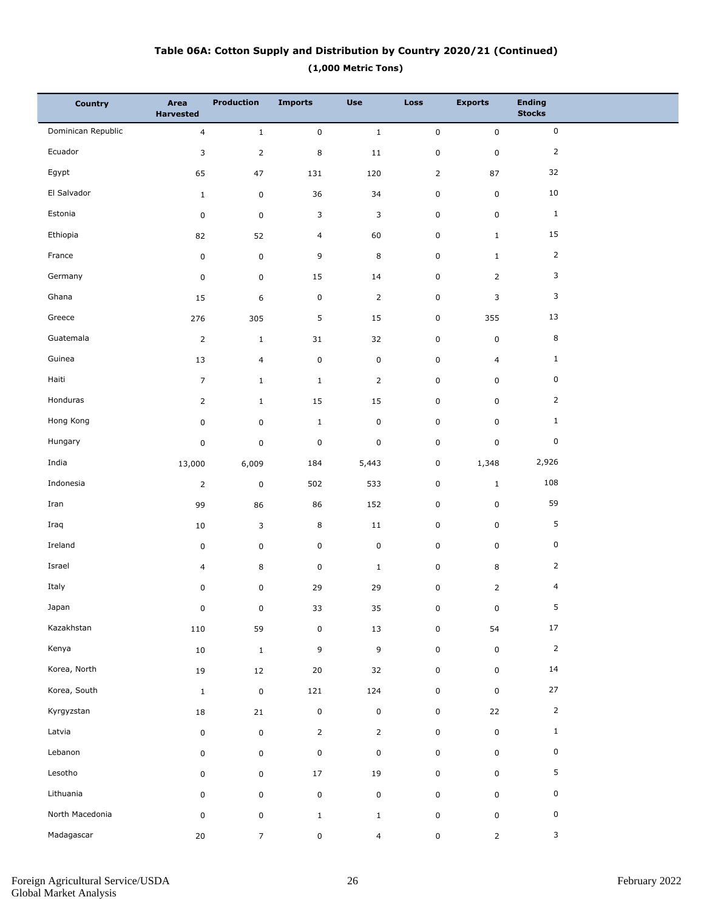## **(1,000 Metric Tons) Table 06A: Cotton Supply and Distribution by Country 2020/21 (Continued)**

| <b>Country</b>     | Area<br><b>Harvested</b> | <b>Production</b>   | <b>Imports</b> | <b>Use</b>     | <b>Loss</b>    | <b>Exports</b> | <b>Ending</b><br><b>Stocks</b> |  |
|--------------------|--------------------------|---------------------|----------------|----------------|----------------|----------------|--------------------------------|--|
| Dominican Republic | $\overline{\mathbf{4}}$  | $\mathbf 1$         | $\mathbf 0$    | $\mathbf 1$    | $\mathbf 0$    | $\mathsf 0$    | $\mathsf 0$                    |  |
| Ecuador            | 3                        | $\mathsf{2}\,$      | $\,8\,$        | 11             | $\pmb{0}$      | $\pmb{0}$      | $\overline{2}$                 |  |
| Egypt              | 65                       | 47                  | 131            | 120            | $\overline{2}$ | 87             | 32                             |  |
| El Salvador        | $1\,$                    | $\pmb{0}$           | 36             | 34             | 0              | $\pmb{0}$      | 10                             |  |
| Estonia            | $\pmb{0}$                | $\mathbf 0$         | 3              | 3              | $\pmb{0}$      | $\pmb{0}$      | $\mathbf{1}$                   |  |
| Ethiopia           | 82                       | 52                  | $\overline{4}$ | 60             | $\pmb{0}$      | $\mathbf{1}$   | 15                             |  |
| France             | $\mathsf 0$              | $\pmb{0}$           | 9              | 8              | $\pmb{0}$      | $\mathbf{1}$   | $\overline{2}$                 |  |
| Germany            | $\mathsf 0$              | $\mathbf 0$         | 15             | 14             | $\pmb{0}$      | $\overline{2}$ | 3                              |  |
| Ghana              | 15                       | 6                   | $\mathsf 0$    | $\overline{2}$ | $\pmb{0}$      | 3              | 3                              |  |
| Greece             | 276                      | 305                 | 5              | 15             | 0              | 355            | 13                             |  |
| Guatemala          | $\overline{2}$           | $\mathbf{1}$        | 31             | 32             | $\pmb{0}$      | $\pmb{0}$      | $\bf 8$                        |  |
| Guinea             | 13                       | 4                   | $\mathsf 0$    | $\mathsf 0$    | $\pmb{0}$      | $\overline{4}$ | $\mathbf{1}$                   |  |
| Haiti              | $\overline{7}$           | $\mathbf{1}$        | $\mathbf{1}$   | $\overline{2}$ | $\pmb{0}$      | $\pmb{0}$      | 0                              |  |
| Honduras           | $\overline{2}$           | $1\,$               | 15             | 15             | $\pmb{0}$      | $\pmb{0}$      | $\overline{2}$                 |  |
| Hong Kong          | 0                        | $\mathbf 0$         | $\mathbf{1}$   | $\mathsf 0$    | $\pmb{0}$      | $\pmb{0}$      | $\mathbf{1}$                   |  |
| Hungary            | $\pmb{0}$                | $\pmb{0}$           | $\pmb{0}$      | $\mathsf 0$    | $\pmb{0}$      | $\pmb{0}$      | 0                              |  |
| India              | 13,000                   | 6,009               | 184            | 5,443          | $\pmb{0}$      | 1,348          | 2,926                          |  |
| Indonesia          | $\overline{2}$           | $\pmb{0}$           | 502            | 533            | 0              | $\mathbf{1}$   | 108                            |  |
| Iran               | 99                       | 86                  | 86             | 152            | $\pmb{0}$      | $\pmb{0}$      | 59                             |  |
| Iraq               | 10                       | 3                   | 8              | $11\,$         | $\pmb{0}$      | $\pmb{0}$      | 5                              |  |
| Ireland            | $\pmb{0}$                | $\mathbf 0$         | 0              | $\pmb{0}$      | $\pmb{0}$      | $\pmb{0}$      | 0                              |  |
| Israel             | 4                        | 8                   | $\pmb{0}$      | $\mathbf{1}$   | $\pmb{0}$      | 8              | $\overline{2}$                 |  |
| Italy              | $\pmb{0}$                | 0                   | 29             | 29             | $\pmb{0}$      | $\overline{2}$ | 4                              |  |
| Japan              | 0                        | $\boldsymbol{0}$    | 33             | 35             | 0              | 0              | 5                              |  |
| Kazakhstan         | 110                      | 59                  | $\pmb{0}$      | 13             | 0              | 54             | $17\,$                         |  |
| Kenya              | $10\,$                   | $\mathbf 1$         | 9              | $\mathsf g$    | $\mathsf 0$    | $\mathsf 0$    | $\mathsf{2}$                   |  |
| Korea, North       | 19                       | 12                  | $20\,$         | 32             | 0              | $\mathsf 0$    | 14                             |  |
| Korea, South       | $\mathbf{1}$             | $\pmb{0}$           | 121            | 124            | 0              | $\mathbf 0$    | $27\,$                         |  |
| Kyrgyzstan         | $18\,$                   | 21                  | $\pmb{0}$      | $\pmb{0}$      | 0              | 22             | $\mathsf{2}$                   |  |
| Latvia             | $\pmb{0}$                | $\mathbf 0$         | $\mathsf{2}$   | $\overline{2}$ | 0              | $\mathsf 0$    | $\mathbf{1}$                   |  |
| Lebanon            | 0                        | $\mathsf{O}\xspace$ | $\mathsf 0$    | $\pmb{0}$      | 0              | $\mathsf 0$    | $\pmb{0}$                      |  |
| Lesotho            | $\pmb{0}$                | $\mathbf 0$         | $17\,$         | 19             | 0              | $\mathsf 0$    | 5                              |  |
| Lithuania          | 0                        | $\mathsf 0$         | $\pmb{0}$      | $\mathsf 0$    | 0              | $\mathsf 0$    | 0                              |  |
| North Macedonia    | $\pmb{0}$                | $\mathbf 0$         | $\mathbf 1$    | $\mathbf{1}$   | 0              | $\mathbf 0$    | $\pmb{0}$                      |  |
| Madagascar         | $20\,$                   | $\overline{7}$      | $\mathbf 0$    | $\overline{4}$ | 0              | $\overline{2}$ | $\mathbf{3}$                   |  |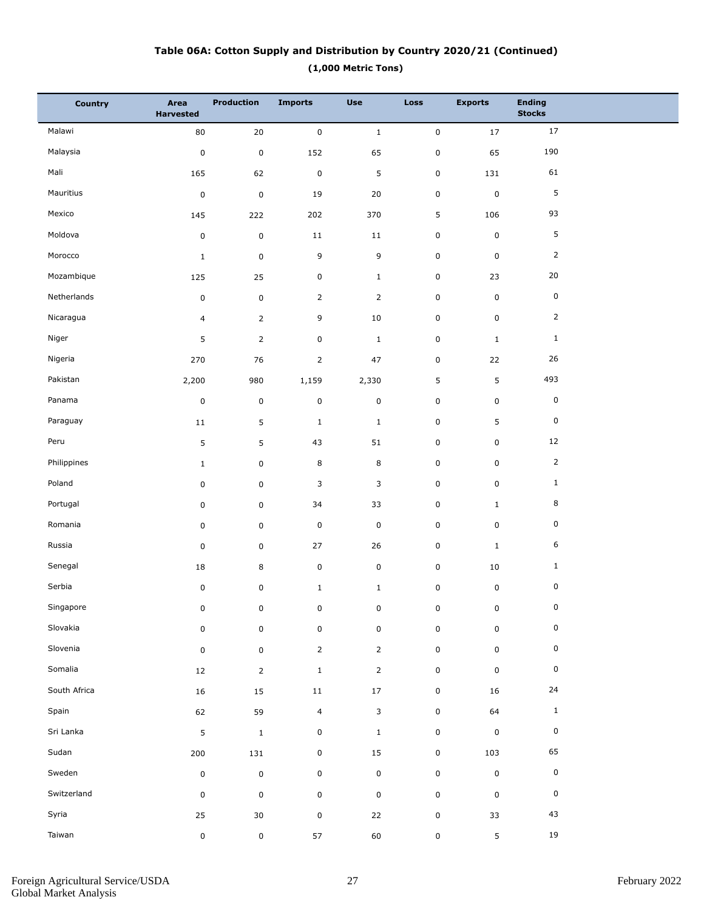## **(1,000 Metric Tons) Table 06A: Cotton Supply and Distribution by Country 2020/21 (Continued)**

| <b>Country</b> | Area<br><b>Harvested</b> | <b>Production</b> | <b>Imports</b> | <b>Use</b>     | Loss                | <b>Exports</b> | <b>Ending</b><br><b>Stocks</b> |  |
|----------------|--------------------------|-------------------|----------------|----------------|---------------------|----------------|--------------------------------|--|
| Malawi         | 80                       | $20\,$            | $\pmb{0}$      | $\mathbf 1$    | $\mathsf{O}\xspace$ | $17\,$         | 17                             |  |
| Malaysia       | $\pmb{0}$                | $\pmb{0}$         | 152            | 65             | $\mathbf 0$         | 65             | 190                            |  |
| Mali           | 165                      | 62                | $\pmb{0}$      | 5              | $\pmb{0}$           | 131            | 61                             |  |
| Mauritius      | $\pmb{0}$                | $\pmb{0}$         | 19             | 20             | $\mathbf 0$         | $\pmb{0}$      | $\sqrt{5}$                     |  |
| Mexico         | 145                      | 222               | 202            | 370            | 5                   | 106            | 93                             |  |
| Moldova        | $\pmb{0}$                | $\pmb{0}$         | $11\,$         | 11             | $\mathbf 0$         | $\mathsf 0$    | 5                              |  |
| Morocco        | $\mathbf 1$              | $\mathsf 0$       | 9              | 9              | $\mathbf 0$         | $\pmb{0}$      | 2                              |  |
| Mozambique     | 125                      | 25                | $\mathbf 0$    | $\mathbf{1}$   | $\mathbf 0$         | 23             | 20                             |  |
| Netherlands    | $\pmb{0}$                | $\mathsf 0$       | $\overline{2}$ | $\overline{2}$ | $\mathbf 0$         | $\mathsf 0$    | 0                              |  |
| Nicaragua      | $\overline{4}$           | $\overline{2}$    | 9              | 10             | $\mathbf 0$         | $\mathsf 0$    | $\overline{2}$                 |  |
| Niger          | 5                        | $\overline{2}$    | $\mathsf 0$    | $\mathbf 1$    | $\pmb{0}$           | $1\,$          | $\mathbf{1}$                   |  |
| Nigeria        | 270                      | 76                | $\overline{2}$ | 47             | $\mathbf 0$         | 22             | 26                             |  |
| Pakistan       | 2,200                    | 980               | 1,159          | 2,330          | 5                   | 5              | 493                            |  |
| Panama         | $\pmb{0}$                | $\pmb{0}$         | $\pmb{0}$      | $\pmb{0}$      | $\mathbf 0$         | $\mathsf 0$    | 0                              |  |
| Paraguay       | $11\,$                   | 5                 | $\mathbf 1$    | $\mathbf{1}$   | $\mathbf 0$         | 5              | 0                              |  |
| Peru           | 5                        | 5                 | 43             | 51             | $\mathbf 0$         | $\pmb{0}$      | 12                             |  |
| Philippines    | $\mathbf{1}$             | 0                 | 8              | 8              | $\mathbf 0$         | $\mathsf 0$    | $\mathsf{2}$                   |  |
| Poland         | 0                        | 0                 | 3              | 3              | $\mathbf 0$         | $\mathsf 0$    | $\mathbf{1}$                   |  |
| Portugal       | 0                        | 0                 | 34             | 33             | $\mathbf 0$         | $1\,$          | 8                              |  |
| Romania        | 0                        | 0                 | $\pmb{0}$      | $\mathbf 0$    | $\mathbf 0$         | $\mathsf 0$    | 0                              |  |
| Russia         | 0                        | 0                 | 27             | 26             | $\mathbf 0$         | $1\,$          | 6                              |  |
| Senegal        | 18                       | 8                 | $\pmb{0}$      | $\mathsf 0$    | $\mathbf 0$         | 10             | $\mathbf{1}$                   |  |
| Serbia         | $\pmb{0}$                | $\mathsf 0$       | $\mathbf{1}$   | $\mathbf 1$    | $\pmb{0}$           | $\mathsf 0$    | 0                              |  |
| Singapore      | $\pmb{0}$                | 0                 | 0              | $\pmb{0}$      | 0                   | 0              | $\mathsf{O}\xspace$            |  |
| Slovakia       | 0                        | $\mathsf 0$       | $\pmb{0}$      | $\pmb{0}$      | $\mathbf 0$         | $\pmb{0}$      | 0                              |  |
| Slovenia       | $\pmb{0}$                | $\pmb{0}$         | $\mathsf{2}$   | $\overline{2}$ | $\mathsf 0$         | $\mathsf 0$    | 0                              |  |
| Somalia        | 12                       | $\overline{2}$    | $\mathbf 1$    | $\overline{2}$ | $\mathbf 0$         | $\mathsf 0$    | 0                              |  |
| South Africa   | $16\,$                   | $15\,$            | $11\,$         | 17             | $\pmb{0}$           | $16\,$         | $24\,$                         |  |
| Spain          | 62                       | 59                | $\overline{4}$ | 3              | $\mathbf 0$         | 64             | $\,$ 1 $\,$                    |  |
| Sri Lanka      | 5                        | $\mathbf 1$       | $\pmb{0}$      | $\mathbf{1}$   | $\pmb{0}$           | $\pmb{0}$      | 0                              |  |
| Sudan          | 200                      | 131               | $\mathbf 0$    | 15             | $\pmb{0}$           | 103            | 65                             |  |
| Sweden         | $\pmb{0}$                | $\pmb{0}$         | $\pmb{0}$      | $\mathbf 0$    | $\pmb{0}$           | $\pmb{0}$      | $\pmb{0}$                      |  |
| Switzerland    | 0                        | $\mathsf 0$       | $\pmb{0}$      | $\mathbf 0$    | $\mathbf 0$         | $\pmb{0}$      | 0                              |  |
| Syria          | 25                       | 30                | $\pmb{0}$      | $22\,$         | $\mathsf 0$         | 33             | 43                             |  |
| Taiwan         | $\pmb{0}$                | $\mathbf 0$       | 57             | $60\,$         | $\pmb{0}$           | $\mathsf S$    | 19                             |  |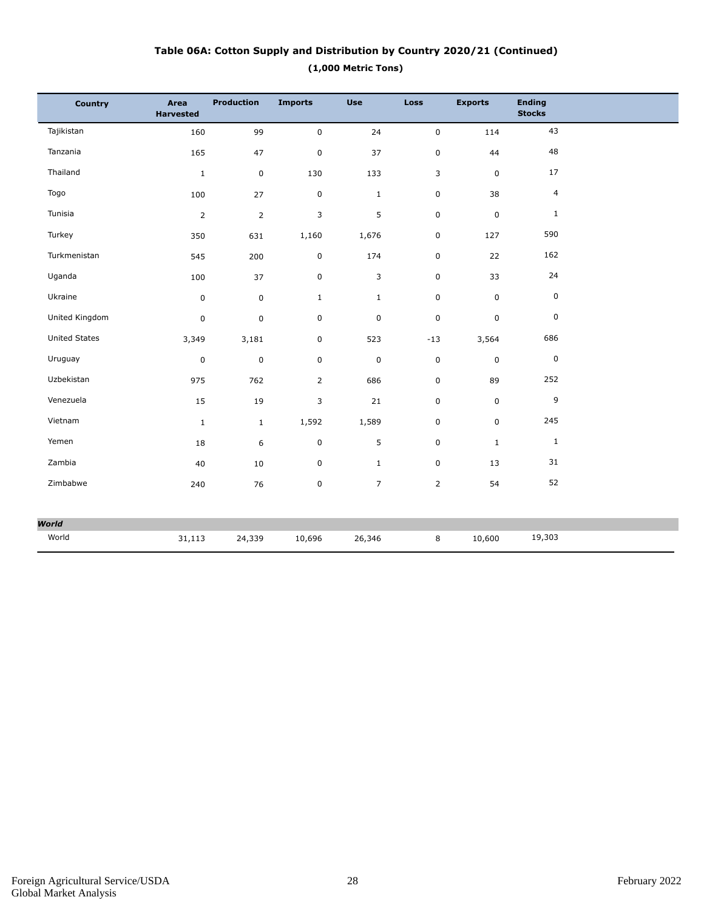## **(1,000 Metric Tons) Table 06A: Cotton Supply and Distribution by Country 2020/21 (Continued)**

| <b>Country</b>       | Area<br><b>Harvested</b> | <b>Production</b> | <b>Imports</b> | <b>Use</b>     | <b>Loss</b>    | <b>Exports</b> | <b>Ending</b><br><b>Stocks</b> |  |
|----------------------|--------------------------|-------------------|----------------|----------------|----------------|----------------|--------------------------------|--|
| Tajikistan           | 160                      | 99                | $\mathbf 0$    | 24             | $\mathsf 0$    | 114            | 43                             |  |
| Tanzania             | 165                      | 47                | 0              | 37             | $\mathsf 0$    | 44             | 48                             |  |
| Thailand             | $\mathbf 1$              | $\mathbf 0$       | 130            | 133            | 3              | $\mathsf 0$    | 17                             |  |
| Togo                 | 100                      | 27                | $\pmb{0}$      | $\mathbf{1}$   | 0              | 38             | $\overline{4}$                 |  |
| Tunisia              | $\overline{2}$           | $\overline{2}$    | 3              | 5              | 0              | $\pmb{0}$      | $\mathbf{1}$                   |  |
| Turkey               | 350                      | 631               | 1,160          | 1,676          | 0              | 127            | 590                            |  |
| Turkmenistan         | 545                      | 200               | 0              | 174            | $\mathsf 0$    | 22             | 162                            |  |
| Uganda               | 100                      | 37                | 0              | 3              | $\mathbf 0$    | 33             | 24                             |  |
| Ukraine              | $\pmb{0}$                | $\mathbf 0$       | $\mathbf{1}$   | $\mathbf{1}$   | $\mathbf 0$    | $\mathbf 0$    | $\mathsf 0$                    |  |
| United Kingdom       | 0                        | $\pmb{0}$         | $\pmb{0}$      | $\pmb{0}$      | $\pmb{0}$      | $\mathsf 0$    | $\pmb{0}$                      |  |
| <b>United States</b> | 3,349                    | 3,181             | 0              | 523            | $-13$          | 3,564          | 686                            |  |
| Uruguay              | $\pmb{0}$                | $\pmb{0}$         | 0              | $\pmb{0}$      | $\pmb{0}$      | $\pmb{0}$      | $\pmb{0}$                      |  |
| Uzbekistan           | 975                      | 762               | $\overline{2}$ | 686            | $\mathbf 0$    | 89             | 252                            |  |
| Venezuela            | 15                       | 19                | 3              | 21             | $\mathbf 0$    | $\mathsf 0$    | 9                              |  |
| Vietnam              | $\mathbf 1$              | $\mathbf{1}$      | 1,592          | 1,589          | 0              | $\mathbf 0$    | 245                            |  |
| Yemen                | 18                       | 6                 | 0              | 5              | $\mathbf 0$    | $\mathbf{1}$   | $\mathbf{1}$                   |  |
| Zambia               | 40                       | 10                | 0              | $\mathbf{1}$   | $\pmb{0}$      | 13             | 31                             |  |
| Zimbabwe             | 240                      | 76                | 0              | $\overline{7}$ | $\overline{2}$ | 54             | 52                             |  |
| <b>World</b>         |                          |                   |                |                |                |                |                                |  |
| World                | 31,113                   | 24,339            | 10,696         | 26,346         | 8              | 10,600         | 19,303                         |  |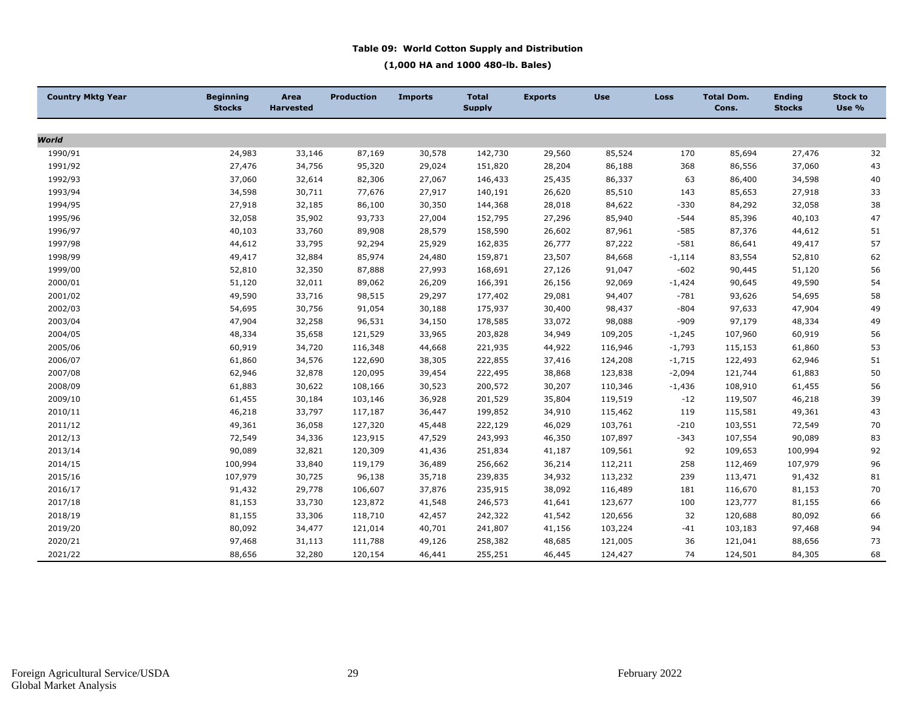#### **Table 09: World Cotton Supply and Distribution**

**(1,000 HA and 1000 480-lb. Bales)**

| <b>Country Mktg Year</b> | <b>Beginning</b><br><b>Stocks</b> | Area<br><b>Harvested</b> | <b>Production</b> | <b>Imports</b> | <b>Total</b><br><b>Supply</b> | <b>Exports</b> | <b>Use</b> | Loss     | <b>Total Dom.</b><br>Cons. | <b>Ending</b><br><b>Stocks</b> | <b>Stock to</b><br>Use % |
|--------------------------|-----------------------------------|--------------------------|-------------------|----------------|-------------------------------|----------------|------------|----------|----------------------------|--------------------------------|--------------------------|
|                          |                                   |                          |                   |                |                               |                |            |          |                            |                                |                          |
| World                    |                                   |                          |                   |                |                               |                |            |          |                            |                                |                          |
| 1990/91                  | 24,983                            | 33,146                   | 87,169            | 30,578         | 142,730                       | 29,560         | 85,524     | 170      | 85,694                     | 27,476                         | 32                       |
| 1991/92                  | 27,476                            | 34,756                   | 95,320            | 29,024         | 151,820                       | 28,204         | 86,188     | 368      | 86,556                     | 37,060                         | 43                       |
| 1992/93                  | 37,060                            | 32,614                   | 82,306            | 27,067         | 146,433                       | 25,435         | 86,337     | 63       | 86,400                     | 34,598                         | 40                       |
| 1993/94                  | 34,598                            | 30,711                   | 77,676            | 27,917         | 140,191                       | 26,620         | 85,510     | 143      | 85,653                     | 27,918                         | 33                       |
| 1994/95                  | 27,918                            | 32,185                   | 86,100            | 30,350         | 144,368                       | 28,018         | 84,622     | $-330$   | 84,292                     | 32,058                         | 38                       |
| 1995/96                  | 32,058                            | 35,902                   | 93,733            | 27,004         | 152,795                       | 27,296         | 85,940     | $-544$   | 85,396                     | 40,103                         | 47                       |
| 1996/97                  | 40,103                            | 33,760                   | 89,908            | 28,579         | 158,590                       | 26,602         | 87,961     | $-585$   | 87,376                     | 44,612                         | 51                       |
| 1997/98                  | 44,612                            | 33,795                   | 92,294            | 25,929         | 162,835                       | 26,777         | 87,222     | $-581$   | 86,641                     | 49,417                         | 57                       |
| 1998/99                  | 49,417                            | 32,884                   | 85,974            | 24,480         | 159,871                       | 23,507         | 84,668     | $-1,114$ | 83,554                     | 52,810                         | 62                       |
| 1999/00                  | 52,810                            | 32,350                   | 87,888            | 27,993         | 168,691                       | 27,126         | 91,047     | $-602$   | 90,445                     | 51,120                         | 56                       |
| 2000/01                  | 51,120                            | 32,011                   | 89,062            | 26,209         | 166,391                       | 26,156         | 92,069     | $-1,424$ | 90,645                     | 49,590                         | 54                       |
| 2001/02                  | 49,590                            | 33,716                   | 98,515            | 29,297         | 177,402                       | 29,081         | 94,407     | $-781$   | 93,626                     | 54,695                         | 58                       |
| 2002/03                  | 54,695                            | 30,756                   | 91,054            | 30,188         | 175,937                       | 30,400         | 98,437     | $-804$   | 97,633                     | 47,904                         | 49                       |
| 2003/04                  | 47,904                            | 32,258                   | 96,531            | 34,150         | 178,585                       | 33,072         | 98,088     | $-909$   | 97,179                     | 48,334                         | 49                       |
| 2004/05                  | 48,334                            | 35,658                   | 121,529           | 33,965         | 203,828                       | 34,949         | 109,205    | $-1,245$ | 107,960                    | 60,919                         | 56                       |
| 2005/06                  | 60,919                            | 34,720                   | 116,348           | 44,668         | 221,935                       | 44,922         | 116,946    | $-1,793$ | 115,153                    | 61,860                         | 53                       |
| 2006/07                  | 61,860                            | 34,576                   | 122,690           | 38,305         | 222,855                       | 37,416         | 124,208    | $-1,715$ | 122,493                    | 62,946                         | 51                       |
| 2007/08                  | 62,946                            | 32,878                   | 120,095           | 39,454         | 222,495                       | 38,868         | 123,838    | $-2,094$ | 121,744                    | 61,883                         | 50                       |
| 2008/09                  | 61,883                            | 30,622                   | 108,166           | 30,523         | 200,572                       | 30,207         | 110,346    | $-1,436$ | 108,910                    | 61,455                         | 56                       |
| 2009/10                  | 61,455                            | 30,184                   | 103,146           | 36,928         | 201,529                       | 35,804         | 119,519    | $-12$    | 119,507                    | 46,218                         | 39                       |
| 2010/11                  | 46,218                            | 33,797                   | 117,187           | 36,447         | 199,852                       | 34,910         | 115,462    | 119      | 115,581                    | 49,361                         | 43                       |
| 2011/12                  | 49,361                            | 36,058                   | 127,320           | 45,448         | 222,129                       | 46,029         | 103,761    | $-210$   | 103,551                    | 72,549                         | 70                       |
| 2012/13                  | 72,549                            | 34,336                   | 123,915           | 47,529         | 243,993                       | 46,350         | 107,897    | $-343$   | 107,554                    | 90,089                         | 83                       |
| 2013/14                  | 90,089                            | 32,821                   | 120,309           | 41,436         | 251,834                       | 41,187         | 109,561    | 92       | 109,653                    | 100,994                        | 92                       |
| 2014/15                  | 100,994                           | 33,840                   | 119,179           | 36,489         | 256,662                       | 36,214         | 112,211    | 258      | 112,469                    | 107,979                        | 96                       |
| 2015/16                  | 107,979                           | 30,725                   | 96,138            | 35,718         | 239,835                       | 34,932         | 113,232    | 239      | 113,471                    | 91,432                         | 81                       |
| 2016/17                  | 91,432                            | 29,778                   | 106,607           | 37,876         | 235,915                       | 38,092         | 116,489    | 181      | 116,670                    | 81,153                         | 70                       |
| 2017/18                  | 81,153                            | 33,730                   | 123,872           | 41,548         | 246,573                       | 41,641         | 123,677    | 100      | 123,777                    | 81,155                         | 66                       |
| 2018/19                  | 81,155                            | 33,306                   | 118,710           | 42,457         | 242,322                       | 41,542         | 120,656    | 32       | 120,688                    | 80,092                         | 66                       |
| 2019/20                  | 80,092                            | 34,477                   | 121,014           | 40,701         | 241,807                       | 41,156         | 103,224    | $-41$    | 103,183                    | 97,468                         | 94                       |
| 2020/21                  | 97,468                            | 31,113                   | 111,788           | 49,126         | 258,382                       | 48,685         | 121,005    | 36       | 121,041                    | 88,656                         | 73                       |
| 2021/22                  | 88,656                            | 32,280                   | 120,154           | 46,441         | 255,251                       | 46,445         | 124,427    | 74       | 124,501                    | 84,305                         | 68                       |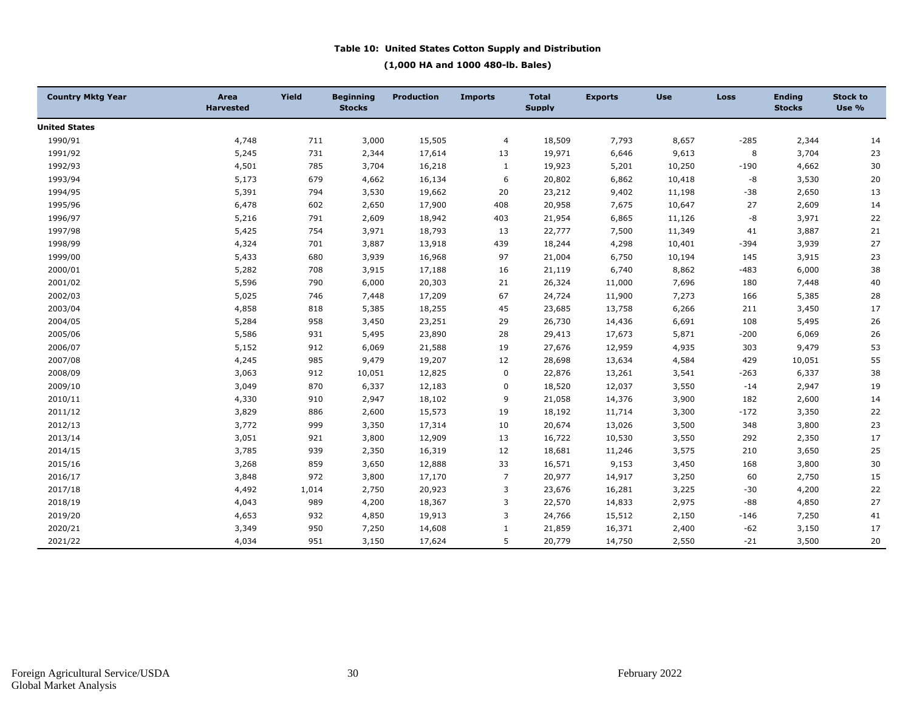#### **Table 10: United States Cotton Supply and Distribution**

#### **(1,000 HA and 1000 480-lb. Bales)**

| <b>Country Mktg Year</b> | Area<br><b>Harvested</b> | Yield | <b>Beginning</b><br><b>Stocks</b> | <b>Production</b> | <b>Imports</b> | <b>Total</b><br><b>Supply</b> | <b>Exports</b> | <b>Use</b> | <b>Loss</b> | <b>Ending</b><br><b>Stocks</b> | <b>Stock to</b><br>Use % |
|--------------------------|--------------------------|-------|-----------------------------------|-------------------|----------------|-------------------------------|----------------|------------|-------------|--------------------------------|--------------------------|
| <b>United States</b>     |                          |       |                                   |                   |                |                               |                |            |             |                                |                          |
| 1990/91                  | 4,748                    | 711   | 3,000                             | 15,505            | 4              | 18,509                        | 7,793          | 8,657      | $-285$      | 2,344                          | 14                       |
| 1991/92                  | 5,245                    | 731   | 2,344                             | 17,614            | 13             | 19,971                        | 6,646          | 9,613      | 8           | 3,704                          | 23                       |
| 1992/93                  | 4,501                    | 785   | 3,704                             | 16,218            | 1              | 19,923                        | 5,201          | 10,250     | $-190$      | 4,662                          | 30                       |
| 1993/94                  | 5,173                    | 679   | 4,662                             | 16,134            | 6              | 20,802                        | 6,862          | 10,418     | -8          | 3,530                          | 20                       |
| 1994/95                  | 5,391                    | 794   | 3,530                             | 19,662            | 20             | 23,212                        | 9,402          | 11,198     | $-38$       | 2,650                          | 13                       |
| 1995/96                  | 6,478                    | 602   | 2,650                             | 17,900            | 408            | 20,958                        | 7,675          | 10,647     | 27          | 2,609                          | 14                       |
| 1996/97                  | 5,216                    | 791   | 2,609                             | 18,942            | 403            | 21,954                        | 6,865          | 11,126     | -8          | 3,971                          | $22\,$                   |
| 1997/98                  | 5,425                    | 754   | 3,971                             | 18,793            | 13             | 22,777                        | 7,500          | 11,349     | 41          | 3,887                          | 21                       |
| 1998/99                  | 4,324                    | 701   | 3,887                             | 13,918            | 439            | 18,244                        | 4,298          | 10,401     | $-394$      | 3,939                          | 27                       |
| 1999/00                  | 5,433                    | 680   | 3,939                             | 16,968            | 97             | 21,004                        | 6,750          | 10,194     | 145         | 3,915                          | 23                       |
| 2000/01                  | 5,282                    | 708   | 3,915                             | 17,188            | 16             | 21,119                        | 6,740          | 8,862      | $-483$      | 6,000                          | 38                       |
| 2001/02                  | 5,596                    | 790   | 6,000                             | 20,303            | 21             | 26,324                        | 11,000         | 7,696      | 180         | 7,448                          | 40                       |
| 2002/03                  | 5,025                    | 746   | 7,448                             | 17,209            | 67             | 24,724                        | 11,900         | 7,273      | 166         | 5,385                          | 28                       |
| 2003/04                  | 4,858                    | 818   | 5,385                             | 18,255            | 45             | 23,685                        | 13,758         | 6,266      | 211         | 3,450                          | 17                       |
| 2004/05                  | 5,284                    | 958   | 3,450                             | 23,251            | 29             | 26,730                        | 14,436         | 6,691      | 108         | 5,495                          | 26                       |
| 2005/06                  | 5,586                    | 931   | 5,495                             | 23,890            | 28             | 29,413                        | 17,673         | 5,871      | $-200$      | 6,069                          | $26\,$                   |
| 2006/07                  | 5,152                    | 912   | 6,069                             | 21,588            | 19             | 27,676                        | 12,959         | 4,935      | 303         | 9,479                          | 53                       |
| 2007/08                  | 4,245                    | 985   | 9,479                             | 19,207            | 12             | 28,698                        | 13,634         | 4,584      | 429         | 10,051                         | 55                       |
| 2008/09                  | 3,063                    | 912   | 10,051                            | 12,825            | 0              | 22,876                        | 13,261         | 3,541      | $-263$      | 6,337                          | 38                       |
| 2009/10                  | 3,049                    | 870   | 6,337                             | 12,183            | $\mathbf 0$    | 18,520                        | 12,037         | 3,550      | $-14$       | 2,947                          | 19                       |
| 2010/11                  | 4,330                    | 910   | 2,947                             | 18,102            | 9              | 21,058                        | 14,376         | 3,900      | 182         | 2,600                          | 14                       |
| 2011/12                  | 3,829                    | 886   | 2,600                             | 15,573            | 19             | 18,192                        | 11,714         | 3,300      | $-172$      | 3,350                          | $22\,$                   |
| 2012/13                  | 3,772                    | 999   | 3,350                             | 17,314            | 10             | 20,674                        | 13,026         | 3,500      | 348         | 3,800                          | 23                       |
| 2013/14                  | 3,051                    | 921   | 3,800                             | 12,909            | 13             | 16,722                        | 10,530         | 3,550      | 292         | 2,350                          | 17                       |
| 2014/15                  | 3,785                    | 939   | 2,350                             | 16,319            | 12             | 18,681                        | 11,246         | 3,575      | 210         | 3,650                          | 25                       |
| 2015/16                  | 3,268                    | 859   | 3,650                             | 12,888            | 33             | 16,571                        | 9,153          | 3,450      | 168         | 3,800                          | 30                       |
| 2016/17                  | 3,848                    | 972   | 3,800                             | 17,170            | $\overline{7}$ | 20,977                        | 14,917         | 3,250      | 60          | 2,750                          | 15                       |
| 2017/18                  | 4,492                    | 1,014 | 2,750                             | 20,923            | 3              | 23,676                        | 16,281         | 3,225      | $-30$       | 4,200                          | 22                       |
| 2018/19                  | 4,043                    | 989   | 4,200                             | 18,367            | 3              | 22,570                        | 14,833         | 2,975      | $-88$       | 4,850                          | 27                       |
| 2019/20                  | 4,653                    | 932   | 4,850                             | 19,913            | 3              | 24,766                        | 15,512         | 2,150      | $-146$      | 7,250                          | 41                       |
| 2020/21                  | 3,349                    | 950   | 7,250                             | 14,608            |                | 21,859                        | 16,371         | 2,400      | $-62$       | 3,150                          | 17                       |
| 2021/22                  | 4,034                    | 951   | 3,150                             | 17,624            | 5              | 20,779                        | 14,750         | 2,550      | $-21$       | 3,500                          | 20                       |